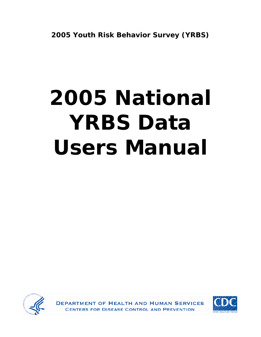# **2005 National YRBS Data Users Manual**



ENT OF HEALTH AND HUMAN SERVICES FOR DISEASE CONTROL AND PREVENTION

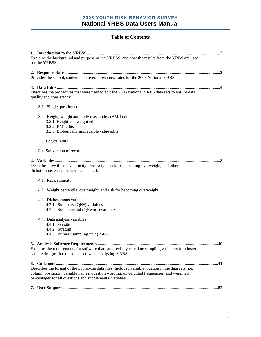#### **Table of Contents**

| Explains the background and purpose of the YRBSS, and how the results from the YRBS are used                                                                                                                                                                   |  |  |
|----------------------------------------------------------------------------------------------------------------------------------------------------------------------------------------------------------------------------------------------------------------|--|--|
| for the YRBSS.                                                                                                                                                                                                                                                 |  |  |
| Provides the school, student, and overall response rates for the 2005 National YRBS.                                                                                                                                                                           |  |  |
| Describes the procedures that were used to edit the 2005 National YRBS data sets to ensure data<br>quality and consistency.                                                                                                                                    |  |  |
| 3.1. Single question edits                                                                                                                                                                                                                                     |  |  |
| 3.2. Height, weight and body mass index (BMI) edits<br>3.2.1. Height and weight edits<br>3.2.2 BMI edits<br>3.2.3. Biologically implausible value edits                                                                                                        |  |  |
| 3.3. Logical edits                                                                                                                                                                                                                                             |  |  |
| 3.4. Subversion of records                                                                                                                                                                                                                                     |  |  |
| Describes how the race/ethnicity, overweight, risk for becoming overweight, and other<br>dichotomous variables were calculated.                                                                                                                                |  |  |
| 4.1. Race/ethnicity                                                                                                                                                                                                                                            |  |  |
| 4.2. Weight percentile, overweight, and risk for becoming overweight                                                                                                                                                                                           |  |  |
| 4.3. Dichotomous variables<br>4.3.1. Summary (QN#) variables<br>4.3.2. Supplemental (QNword) variables                                                                                                                                                         |  |  |
| 4.4. Data analysis variables<br>4.4.1. Weight<br>4.4.2. Stratum<br>4.4.3. Primary sampling unit (PSU)                                                                                                                                                          |  |  |
| Explains the requirements for software that can precisely calculate sampling variances for cluster<br>sample designs that must be used when analyzing YRBS data.                                                                                               |  |  |
| Describes the format of the public-use data files. Included variable location in the data sets (i.e.<br>column positions), variable names, question wording, unweighted frequencies, and weighted<br>percentages for all questions and supplemental variables. |  |  |
|                                                                                                                                                                                                                                                                |  |  |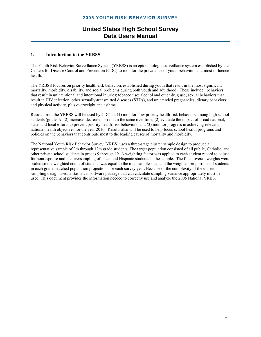#### **1. Introduction to the YRBSS**

The Youth Risk Behavior Surveillance System (YRBSS) is an epidemiologic surveillance system established by the Centers for Disease Control and Prevention (CDC) to monitor the prevalence of youth behaviors that most influence health.

The YRBSS focuses on priority health-risk behaviors established during youth that result in the most significant mortality, morbidity, disability, and social problems during both youth and adulthood. These include: behaviors that result in unintentional and intentional injuries; tobacco use; alcohol and other drug use; sexual behaviors that result in HIV infection, other sexually-transmitted diseases (STDs), and unintended pregnancies; dietary behaviors; and physical activity, plus overweight and asthma.

Results from the YRBSS will be used by CDC to: (1) monitor how priority health-risk behaviors among high school students (grades 9-12) increase, decrease, or remain the same over time; (2) evaluate the impact of broad national, state, and local efforts to prevent priority health-risk behaviors; and (3) monitor progress in achieving relevant national health objectives for the year 2010. Results also will be used to help focus school health programs and policies on the behaviors that contribute most to the leading causes of mortality and morbidity.

The National Youth Risk Behavior Survey (YRBS) uses a three-stage cluster sample design to produce a representative sample of 9th through 12th grade students. The target population consisted of all public, Catholic, and other private school students in grades 9 through 12. A weighting factor was applied to each student record to adjust for nonresponse and the oversampling of black and Hispanic students in the sample. The final, overall weights were scaled so the weighted count of students was equal to the total sample size, and the weighted proportions of students in each grade matched population projections for each survey year. Because of the complexity of the cluster sampling design used, a statistical software package that can calculate sampling variance appropriately must be used. This document provides the information needed to correctly use and analyze the 2005 National YRBS.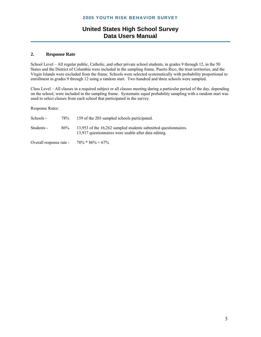#### **2. Response Rate**

School Level – All regular public, Catholic, and other private school students, in grades 9 through 12, in the 50 States and the District of Columbia were included in the sampling frame. Puerto Rico, the trust territories, and the Virgin Islands were excluded from the frame. Schools were selected systematically with probability proportional to enrollment in grades 9 through 12 using a random start. Two hundred and three schools were sampled.

Class Level – All classes in a required subject or all classes meeting during a particular period of the day, depending on the school, were included in the sampling frame. Systematic equal probability sampling with a random start was used to select classes from each school that participated in the survey.

Response Rates:

| Schools -  | 78% | 159 of the 203 sampled schools participated.                                                                             |
|------------|-----|--------------------------------------------------------------------------------------------------------------------------|
| Students - | 86% | 13,953 of the 16,262 sampled students submitted questionnaires.<br>13,917 questionnaires were usable after data editing. |

Overall response rate -  $78\% * 86\% = 67\%$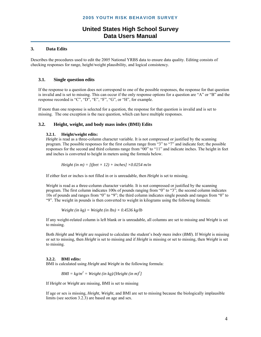#### **3. Data Edits**

Describes the procedures used to edit the 2005 National YRBS data to ensure data quality. Editing consists of checking responses for range, height/weight plausibility, and logical consistency.

#### **3.1. Single question edits**

If the response to a question does not correspond to one of the possible responses, the response for that question is invalid and is set to missing. This can occur if the only response options for a question are "A" or "B" and the response recorded is "C", "D", "E", "F", "G", or "H", for example.

If more than one response is selected for a question, the response for that question is invalid and is set to missing. The one exception is the race question, which can have multiple responses.

#### **3.2. Height, weight, and body mass index (BMI) Edits**

#### **3.2.1. Height/weight edits:**

*Height* is read as a three-column character variable. It is not compressed or justified by the scanning program. The possible responses for the first column range from "3" to "7" and indicate feet; the possible responses for the second and third columns range from "00" to "11" and indicate inches. The height in feet and inches is converted to height in meters using the formula below.

*Height (in m)* =  $[(feet \times 12) + inches] \times 0.0254$  *m/in* 

If either feet or inches is not filled in or is unreadable, then *Height* is set to missing.

*Weight* is read as a three-column character variable. It is not compressed or justified by the scanning program. The first column indicates 100s of pounds ranging from "0" to "3"; the second column indicates 10s of pounds and ranges from "0" to "9"; the third column indicates single pounds and ranges from "0" to "9". The weight in pounds is then converted to weight in kilograms using the following formula:

$$
Weight (in kg) = Weight (in lbs) \times 0.4536 kg/lb
$$

If any weight-related column is left blank or is unreadable, all columns are set to missing and *Weight* is set to missing.

Both *Height* and *Weight* are required to calculate the student's *body mass index* (*BMI*). If *Weight* is missing or set to missing, then *Height* is set to missing and if *Height* is missing or set to missing, then *Weight* is set to missing.

#### **3.2.2. BMI edits:**

BMI is calculated using *Height* and *Weight* in the following formula:

 $BMI = kg/m^2 = Weight (in kg)/[Height (in m)^2]$ 

If *Height* or *Weight* are missing, BMI is set to missing

If age or sex is missing, *Height*, *Weight*, and BMI are set to missing because the biologically implausible limits (see section 3.2.3) are based on age and sex.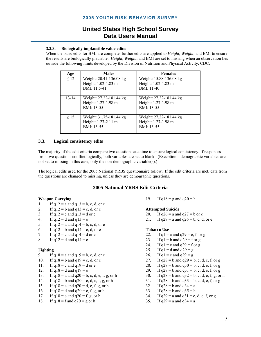#### **3.2.3. Biologically implausible value edits:**

When the basic edits for BMI are complete, further edits are applied to *Height*, *Weight*, and BMI to ensure the results are biologically plausible. *Height*, *Weight*, and BMI are set to missing when an observation lies outside the following limits developed by the Division of Nutrition and Physical Activity, CDC.

| Age       | <b>Males</b>                                                   | <b>Females</b>                                               |
|-----------|----------------------------------------------------------------|--------------------------------------------------------------|
| $\leq 12$ | Weight: 20.41-136.08 kg<br>Height: 1.02-1.83 m<br>BMI: 11.5-41 | Weight: 15.88-136.08 kg<br>Height: 1.02-1.83 m<br>BMI: 11-40 |
| $13 - 14$ | Weight: 27.22-181.44 kg<br>Height: 1.27-1.98 m<br>BMI: 13-55   | Weight: 27.22-181.44 kg<br>Height: 1.27-1.98 m<br>BMI: 13-55 |
| $\geq$ 15 | Weight: 31.75-181.44 kg<br>Height: 1.27-2.11 m<br>BMI: 13-55   | Weight: 27.22-181.44 kg<br>Height: 1.27-1.98 m<br>BMI: 13-55 |

#### **3.3. Logical consistency edits**

The majority of the edit criteria compare two questions at a time to ensure logical consistency. If responses from two questions conflict logically, both variables are set to blank. (Exception – demographic variables are not set to missing in this case, only the non-demographic variable(s).)

The logical edits used for the 2005 National YRBS questionnaire follow. If the edit criteria are met, data from the questions are changed to missing, unless they are demographic questions.

#### **2005 National YRBS Edit Criteria**

- 1. If  $q12 = a$  and  $q13 = b$ , c, d, or e
- 2. If  $q12 = b$  and  $q13 = c$ , d, or e
- 3. If  $q12 = c$  and  $q13 = d$  or e
- 4. If  $q12 = d$  and  $q13 = e$
- 5. If  $q12 = a$  and  $q14 = b$ , c, d, or e
- 6. If  $q12 = b$  and  $q14 = c$ , d, or e
- 7. If  $q12 = c$  and  $q14 = d$  or e
- 8. If  $q12 = d$  and  $q14 = e$

#### **Fighting**

- 9. If  $q18 = a$  and  $q19 = b$ , c, d, or e
- 10. If  $q18 = b$  and  $q19 = c$ , d, or e
- 11. If  $q18 = c$  and  $q19 = d$  or e
- 12. If  $q18 = d$  and  $q19 = e$
- 13. If  $q18 = a$  and  $q20 = b$ , c, d, e, f, g, or h
- 14. If  $q18 = b$  and  $q20 = c$ , d, e, f, g, or h
- 15. If  $q18 = c$  and  $q20 = d$ , e, f, g, or h
- 16. If  $q18 = d$  and  $q20 = e$ , f, g, or h
- 17. If  $q18 = e$  and  $q20 = f, g, or h$
- 18. If  $q18 = f$  and  $q20 = g$  or h

**Weapon Carrying** 20. **19.** If  $q18 = g$  and  $q20 = h$ 

#### **Attempted Suicide**

20. If  $q26 = a$  and  $q27 = b$  or c

21. If  $q27 = a$  and  $q26 = b$ , c, d, or e

#### **Tobacco Use**

- 22. If  $q1 = a$  and  $q29 = e$ , f, or g
- 23. If  $q1 = b$  and  $q29 = f$  or g
- 24. If  $q1 = c$  and  $q29 = f$  or g
- 25. If  $q1 = d$  and  $q29 = g$
- 26. If  $q1 = e$  and  $q29 = g$
- 27. If  $q28 = b$  and  $q29 = b$ , c, d, e, f, or g
- 28. If  $q28 = b$  and  $q30 = b$ , c, d, e, f, or g
- 29. If  $q28 = b$  and  $q31 = b$ , c, d, e, f, or g
- 30. If  $q28 = b$  and  $q32 = b$ , c, d, e, f, g, or h
- 31. If  $q28 = b$  and  $q33 = b$ , c, d, e, f, or g
- 32. If  $q28 = b$  and  $q34 = a$
- 33. If  $a28 = b$  and  $a35 = b$
- 34. If  $q29 = a$  and  $q31 = c$ , d, e, f, or g
- 35. If  $q29 = a$  and  $q34 = a$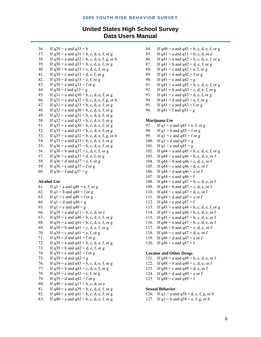#### **United States High School Survey Data Users Manual**

```
36. If q29 = a and q35 = b37. If q30 = a and q31 = b, c, d, e, f, or g
38. If q30 = a and q32 = b, c, d, e, f, g, or h
39. If q30 = a and q33 = b, c, d, e, f, or g
40. If q30 = b and q33 = c, d, e, f, or g
41. If q30 = c and q33 = d, e, f, or g
42. If q30 = d and q33 = e, f, or g
43. If q30 = e and q33 = f or g
44. If q30 = f and q33 = g45. If q31 = a and q30 = b, c, d, e, f, or g
46. If q31 = a and q32 = b, c, d, e, f, g, or h
47. If q31 = a and q33 = b, c, d, e, f, or g
48. If q32 = a and q30 = b, c, d, e, f, or g
49. If q32 = a and q31 = b, c, d, e, f, or g
50. If q32 = a and q33 = b, c, d, e, f, or g
51. If q35 = a and q30 = b, c, d, e, f, or g
52. If q35 = a and q31 = b, c, d, e, f, or g
53. If q35 = a and q32 = b, c, d, e, f, g, or h
54. If q35 = a and q33 = b, c, d, e, f, or g
55. If q36 = a and q37 = b, c, d, e, f, or g
56. If q36 = b and q37 = c, d, e, f, or g
57. If q36 = c and q37 = d, e, f, or g
58. If q36 = d and q37 = e, f, or g
59. If q36 = e and q37 = f or g
60. If q36 = f and q37 = g
```
#### **Alcohol Use**

61. If  $q1 = a$  and  $q40 = e$ , f, or g 62. If  $q1 = b$  and  $q40 = f$  or g 63. If  $q1 = c$  and  $q40 = f$  or g 64. If  $q1 = d$  and  $q40 = g$ 65. If  $q1 = e$  and  $q40 = g$ 66. If  $q39 = a$  and  $q11 = b$ , c, d, or e 67. If  $q39 = a$  and  $q40 = b$ , c, d, e, f, or g 68. If  $q39 = a$  and  $q41 = b$ , c, d, e, f, or g 69. If  $q39 = b$  and  $q41 = c$ , d, e, f, or g 70. If  $q39 = c$  and  $q41 = e$ , f, or g 71. If  $q39 = d$  and  $q41 = f$  or g 72. If  $q39 = a$  and  $q42 = b$ , c, d, e, f, or g 73. If  $q39 = b$  and  $q42 = d$ , e, f, or g 74. If  $q39 = c$  and  $q42 = f$  or g 75. If  $q39 = d$  and  $q42 = g$ 76. If  $q39 = a$  and  $q43 = b$ , c, d, e, f, or g 77. If  $q39 = b$  and  $q43 = c$ , d, e, f, or g 78. If  $q39 = c$  and  $q43 = e$ , f, or g 79. If  $q39 = d$  and  $q43 = f$  or g 80. If  $q40 = a$  and  $q11 = b$ , c, d, or e 81. If  $q40 = a$  and  $q39 = b$ , c, d, e, f, or g 82. If  $q40 = a$  and  $q41 = b$ , c, d, e, f, or g 83. If  $q40 = a$  and  $q42 = b$ , c, d, e, f, or g

- 84. If  $q40 = a$  and  $q43 = b$ , c, d, e, f, or g 85. If  $q41 = a$  and  $q11 = b$ , c, d, or e 86. If  $q41 = a$  and  $q42 = b$ , c, d, e, f, or g 87. If  $q41 = b$  and  $q42 = d$ , e, f, or g 88. If  $q41 = c$  and  $q42 = e$ , f, or g 89. If  $q41 = d$  and  $q42 = f$  or g 90. If  $q41 = e$  and  $q42 = g$ 91. If  $q41 = a$  and  $q43 = b$ , c, d, e, f, or g 92. If  $q41 = b$  and  $q43 = c$ , d, e, f, or g 93. If  $q41 = c$  and  $q43 = d$ , e, f, or g 94. If  $q41 = d$  and  $q43 = e$ , f, or g 95. If  $q41 = e$  and  $q43 = f$  or g
	- 96. If  $q41 = f$  and  $q43 = g$

#### **Marijuana Use**

- 97. If  $q1 = a$  and  $q45 = e$ , f, or g 98. If  $q1 = b$  and  $q45 = f$  or g 99. If  $q1 = c$  and  $q45 = f$  or g 100. If  $q1 = d$  and  $q45 = g$ 101. If  $q1 = e$  and  $q45 = g$ 102. If  $q44 = a$  and  $q45 = b$ , c, d, e, f, or g 103. If  $q44 = a$  and  $q46 = b$ , c, d, e, or f 104. If  $q44 = b$  and  $q46 = c$ , d, e, or f 105. If  $q44 = c$  and  $q46 = d$ , e, or f 106. If  $q44 = d$  and  $q46 = e$  or f 107. If  $q44 = e$  and  $q46 = f$ 108. If  $q44 = a$  and  $q47 = b$ , c, d, e, or f 109. If  $q44 = b$  and  $q47 = c$ , d, e, or f 110. If  $q44 = c$  and  $q47 = d$ , e, or f 111. If  $q44 = d$  and  $q47 = e$  or f 112. If  $q44 = e$  and  $q47 = f$ 113. If  $q45 = a$  and  $q44 = b$ , c, d, e, f, or g 114. If  $q45 = a$  and  $q46 = b$ , c, d, e, or f 115. If  $q45 = a$  and  $q47 = b$ , c, d, e, or f 116. If  $q46 = a$  and  $q47 = b$ , c, d, e, or f 117. If  $q46 = b$  and  $q47 = c$ , d, e, or f 118. If  $q46 = c$  and  $q47 = d$ , e, or f
- 119. If  $q46 = d$  and  $q47 = e$  or f
- 120. If  $q46 = e$  and  $q47 = f$

#### **Cocaine and Other Drugs**

121. If  $q48 = a$  and  $q49 = b$ , c, d, e, or f 122. If  $q48 = b$  and  $q49 = c$ , d, e, or f 123. If  $q48 = c$  and  $q49 = d$ , e, or f 124. If  $q48 = d$  and  $q49 = e$  or f 125. If  $q48 = e$  and  $q49 = f$ 

#### **Sexual Behavior**

- 126. If  $q1 = a$  and  $q58 = d$ , e, f, g, or h
- 127. If  $q1 = b$  and  $q58 = e$ , f, g, or h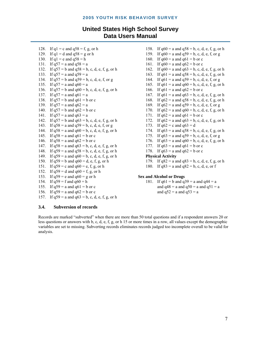## **United States High School Survey Data Users Manual**

- 128. If  $q1 = c$  and  $q58 = f, g, or h$ 129. If  $q1 = d$  and  $q58 = g$  or h 130. If  $q1 = e$  and  $q58 = h$ 131. If  $q57 = a$  and  $q58 = a$ 132. If  $q57 = b$  and  $q58 = b$ , c, d, e, f, g, or h 133. If  $q57 = a$  and  $q59 = a$ 134. If  $q57 = b$  and  $q59 = b$ , c, d, e, f, or g 135. If  $q57 = a$  and  $q60 = a$ 136. If  $q57 = b$  and  $q60 = b$ , c, d, e, f, g, or h 137. If  $q57 = a$  and  $q61 = a$ 138. If  $q57 = b$  and  $q61 = b$  or c 139. If  $q57 = a$  and  $q62 = a$ 140. If  $q57 = b$  and  $q62 = b$  or c 141. If  $q57 = a$  and  $q63 = a$ 142. If  $q57 = b$  and  $q63 = b$ , c, d, e, f, g, or h 143. If  $q58 = a$  and  $q59 = b$ , c, d, e, f, or g 144. If  $q58 = a$  and  $q60 = b$ , c, d, e, f, g, or h 145. If  $q58 = a$  and  $q61 = b$  or c 146. If  $q58 = a$  and  $q62 = b$  or c 147. If  $q58 = a$  and  $q63 = b$ , c, d, e, f, g, or h 148. If  $q59 = a$  and  $q58 = b$ , c, d, e, f, g, or h 149. If  $q59 = a$  and  $q60 = b$ , c, d, e, f, g, or h 150. If  $q59 = b$  and  $q60 = d$ , e, f, g, or h 151. If  $q59 = c$  and  $q60 = e$ , f, g, or h 152. If  $q59 = d$  and  $q60 = f, g, or h$ 153. If  $q59 = e$  and  $q60 = g$  or h 154. If  $q59 = f$  and  $q60 = h$ 155. If  $q59 = a$  and  $q61 = b$  or c 156. If  $q59 = a$  and  $q62 = b$  or c 157. If  $q59 = a$  and  $q63 = b$ , c, d, e, f, g, or h
- 158. If  $q60 = a$  and  $q58 = b$ , c, d, e, f, g, or h 159. If  $q60 = a$  and  $q59 = b$ , c, d, e, f, or g 160. If  $q60 = a$  and  $q61 = b$  or c 161. If  $q60 = a$  and  $q62 = b$  or c 162. If  $q60 = a$  and  $q63 = b$ , c, d, e, f, g, or h 163. If  $q61 = a$  and  $q58 = b$ , c, d, e, f, g, or h 164. If  $q61 = a$  and  $q59 = b$ , c, d, e, f, or g 165. If  $q61 = a$  and  $q60 = b$ , c, d, e, f, g, or h 166. If  $q61 = a$  and  $q62 = b$  or c 167. If  $q61 = a$  and  $q63 = b$ , c, d, e, f, g, or h 168. If  $q62 = a$  and  $q58 = b$ , c, d, e, f, g, or h 169. If  $q62 = a$  and  $q59 = b$ , c, d, e, f, or g 170. If  $q62 = a$  and  $q60 = b$ , c, d, e, f, g, or h 171. If  $q62 = a$  and  $q61 = b$  or c 172. If  $q62 = a$  and  $q63 = b$ , c, d, e, f, g, or h 173. If  $q62 = c$  and  $q63 = d$ 174. If  $q63 = a$  and  $q58 = b$ , c, d, e, f, g, or h 175. If  $q63 = a$  and  $q59 = b$ , c, d, e, f, or g 176. If  $q63 = a$  and  $q60 = b$ , c, d, e, f, g, or h 177. If  $q63 = a$  and  $q61 = b$  or c 178. If  $q63 = a$  and  $q62 = b$  or c **Physical Activity**  179. If  $q82 = a$  and  $q83 = b$ , c, d, e, f, g, or h
- 180. If  $q83 = a$  and  $q82 = b$ , c, d, e, or f

#### **Sex and Alcohol or Drugs**

181. If  $q61 = b$  and  $q39 = a$  and  $q44 = a$ and  $q48 = a$  and  $q50 = a$  and  $q51 = a$ and  $q52$  = a and  $q53$  = a

#### **3.4. Subversion of records**

Records are marked "subverted" when there are more than 50 total questions and if a respondent answers 20 or less questions or answers with b, c, d, e, f, g, or h 15 or more times in a row, all values except the demographic variables are set to missing. Subverting records eliminates records judged too incomplete overall to be valid for analysis.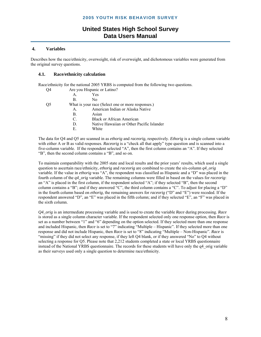#### **4. Variables**

Describes how the race/ethnicity, overweight, risk of overweight, and dichotomous variables were generated from the original survey questions.

#### **4.1. Race/ethnicity calculation**

Race/ethnicity for the national 2005 YRBS is computed from the following two questions.

| O <sub>4</sub> | Are you Hispanic or Latino? |                                                   |  |
|----------------|-----------------------------|---------------------------------------------------|--|
|                | $\mathsf{A}$                | <b>Yes</b>                                        |  |
|                | B.                          | Nο                                                |  |
| O <sub>5</sub> |                             | What is your race (Select one or more responses.) |  |
|                | $A_{\cdot}$                 | American Indian or Alaska Native                  |  |
|                | B.                          | Asian                                             |  |
|                | $C_{\cdot}$                 | Black or African American                         |  |
|                | D.                          | Native Hawaiian or Other Pacific Islander         |  |
|                | Е.                          | White                                             |  |
|                |                             |                                                   |  |

The data for Q4 and Q5 are scanned in as *ethorig* and *raceorig,* respectively. *Ethorig* is a single column variable with either A or B as valid responses. *Raceorig* is a "check all that apply" type question and is scanned into a five-column variable. If the respondent selected "A", then the first column contains an "A". If they selected "B", then the second column contains a "B", and so on.

To maintain comparability with the 2005 state and local results and the prior years' results, which used a single question to ascertain race/ethnicity, *ethorig* and *raceorig* are combined to create the six-column *q4\_orig*  variable. If the value in *ethorig* was "A", the respondent was classified as Hispanic and a "D" was placed in the fourth column of the *q4\_orig* variable. The remaining columns were filled in based on the values for *raceorig*: an "A" is placed in the first column, if the respondent selected "A"; if they selected "B", then the second column contains a "B"; and if they answered "C", the third column contains a "C". To adjust for placing a "D" in the fourth column based on *ethorig*, the remaining answers for *raceorig* ("D" and "E") were recoded. If the respondent answered "D", an "E" was placed in the fifth column; and if they selected "E", an "F" was placed in the sixth column.

*Q4\_orig* is an intermediate processing variable and is used to create the variable *Race* during processing. *Race*  is stored as a single column character variable. If the respondent selected only one response option, then *Race* is set as a number between "1" and "6" depending on the option selected. If they selected more than one response and included Hispanic, then *Race* is set to "7" indicating "Multiple – Hispanic". If they selected more than one response and did not include Hispanic, then *Race* is set to "8" indicating "Multiple – Non-Hispanic". *Race* is "missing" if they did not select any response, if they left Q4 blank, or if they answered "No" to Q4 without selecting a response for Q5. Please note that 2,212 students completed a state or local YRBS questionnaire instead of the National YRBS questionnaire. The records for these students will have only the q4\_orig variable as their surveys used only a single question to determine race/ethnicity.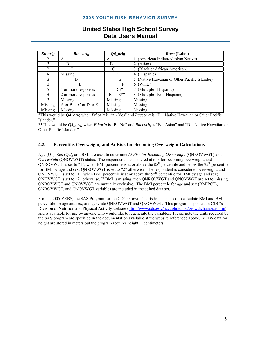| <b>Ethorig</b> | Raceorig              | $Q4\_orig$    | <i>Race</i> (Label)                         |
|----------------|-----------------------|---------------|---------------------------------------------|
| B              | A                     | A             | (American Indian/Alaskan Native)            |
| B              | B                     | B             | (Asian)                                     |
| B              |                       | C             | (Black or African American)                 |
| A              | Missing               | D             | (Hispanic)<br>4                             |
| B              |                       | Е             | (Native Hawaiian or Other Pacific Islander) |
| B              | E                     | F             | (White)<br>6                                |
| A              | 1 or more responses   | $DE*$         | (Multiple–Hispanic)                         |
| B              | 2 or more responses   | $E^{**}$<br>R | (Multiple-Non-Hispanic)<br>8                |
| B              | Missing               | Missing       | Missing                                     |
| Missing        | A or B or C or D or E | Missing       | Missing                                     |
| Missing        | Missing               | Missing       | Missing                                     |

## **United States High School Survey Data Users Manual**

\*This would be *Q4\_orig* when *Ethorig* is "A - Yes" and *Raceorig* is "D – Native Hawaiian or Other Pacific Islander."

\*\*This would be *Q4\_orig* when *Ethorig* is "B - No" and *Raceorig* is "B – Asian" and "D – Native Hawaiian or Other Pacific Islander."

#### **4.2. Percentile, Overweight, and At Risk for Becoming Overweight Calculations**

Age (Q1), Sex (Q2), and BMI are used to determine *At Risk for Becoming Overweight* (QNROVWGT) and *Overweight* (QNOVWGT) status. The respondent is considered at risk for becoming overweight, and QNROVWGT is set to "1", when BMI percentile is at or above the  $85<sup>th</sup>$  percentile and below the  $95<sup>th</sup>$  percentile for BMI by age and sex; QNROVWGT is set to "2" otherwise. The respondent is considered overweight, and ONOVWGT is set to "1", when BMI percentile is at or above the  $95<sup>th</sup>$  percentile for BMI by age and sex; QNOVWGT is set to "2" otherwise. If BMI is missing, then QNROVWGT and QNOVWGT are set to missing. QNROVWGT and QNOVWGT are mutually exclusive. The BMI percentile for age and sex (BMIPCT), QNROVWGT, and QNOVWGT variables are included in the edited data set.

For the 2005 YRBS, the SAS Program for the CDC Growth Charts has been used to calculate BMI and BMI percentile for age and sex, and generate QNROVWGT and QNOVWGT. This program is posted on CDC's Division of Nutrition and Physical Activity website (http://www.cdc.gov/nccdphp/dnpa/growthcharts/sas.htm) and is available for use by anyone who would like to regenerate the variables. Please note the units required by the SAS program are specified in the documentation available at the website referenced above. YRBS data for height are stored in meters but the program requires height in centimeters.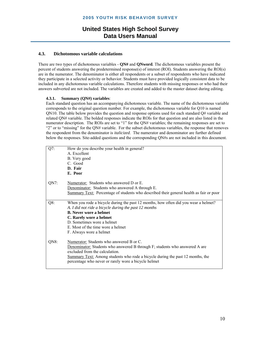#### **4.3. Dichotomous variable calculations**

There are two types of dichotomous variables - **QN#** and **QNword***.* The dichotomous variables present the percent of students answering the predetermined response(s) of interest (ROI). Students answering the ROI(s) are in the numerator. The denominator is either all respondents or a subset of respondents who have indicated they participate in a selected activity or behavior. Students must have provided logically consistent data to be included in any dichotomous variable calculations. Therefore students with missing responses or who had their answers subverted are not included. The variables are created and added to the master dataset during editing.

#### **4.3.1. Summary (QN#) variables**:

Each standard question has an accompanying dichotomous variable. The name of the dichotomous variable corresponds to the original question number. For example, the dichotomous variable for Q10 is named QN10. The table below provides the question and response options used for each standard Q# variable and related QN# variable. The bolded responses indicate the ROIs for that question and are also listed in the numerator description. The ROIs are set to "1" for the QN# variables; the remaining responses are set to "2" or to "missing" for the QN# variable. For the subset dichotomous variables, the response that removes the respondent from the denominator is *italicized*. The numerator and denominator are further defined below the responses. Site-added questions and the corresponding QN#s are not included in this document.

| $Q7$ :  | How do you describe your health in general?                                                    |
|---------|------------------------------------------------------------------------------------------------|
|         | A. Excellent                                                                                   |
|         | B. Very good                                                                                   |
|         | C. Good                                                                                        |
|         | D. Fair                                                                                        |
|         | E. Poor                                                                                        |
|         |                                                                                                |
| $QN7$ : | Numerator: Students who answered D or E.                                                       |
|         | Denominator: Students who answered A through E.                                                |
|         | <b>Summary Text:</b> Percentage of students who described their general health as fair or poor |
|         |                                                                                                |
| $Q8$ :  | When you rode a bicycle during the past 12 months, how often did you wear a helmet?            |
|         | A. I did not ride a bicycle during the past 12 months                                          |
|         | <b>B.</b> Never wore a helmet                                                                  |
|         | C. Rarely wore a helmet                                                                        |
|         | D. Sometimes wore a helmet                                                                     |
|         | E. Most of the time wore a helmet                                                              |
|         | F. Always wore a helmet                                                                        |
|         |                                                                                                |
| QN8:    | Numerator: Students who answered B or C.                                                       |
|         | Denominator: Students who answered B through F; students who answered A are                    |
|         | excluded from the calculation.                                                                 |
|         | Summary Text: Among students who rode a bicycle during the past 12 months, the                 |
|         | percentage who never or rarely wore a bicycle helmet                                           |
|         |                                                                                                |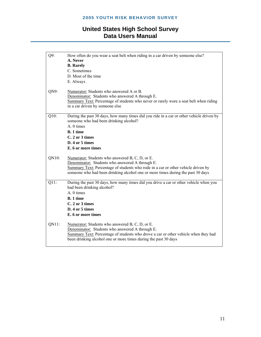| How often do you wear a seat belt when riding in a car driven by someone else?                                                                         |
|--------------------------------------------------------------------------------------------------------------------------------------------------------|
|                                                                                                                                                        |
|                                                                                                                                                        |
|                                                                                                                                                        |
|                                                                                                                                                        |
|                                                                                                                                                        |
| Numerator: Students who answered A or B.                                                                                                               |
| Denominator: Students who answered A through E.                                                                                                        |
| Summary Text: Percentage of students who never or rarely wore a seat belt when riding                                                                  |
| in a car driven by someone else                                                                                                                        |
| During the past 30 days, how many times did you ride in a car or other vehicle driven by                                                               |
| someone who had been drinking alcohol?                                                                                                                 |
|                                                                                                                                                        |
|                                                                                                                                                        |
|                                                                                                                                                        |
|                                                                                                                                                        |
|                                                                                                                                                        |
|                                                                                                                                                        |
|                                                                                                                                                        |
| Numerator: Students who answered B, C, D, or E.                                                                                                        |
| Denominator: Students who answered A through E.                                                                                                        |
| Summary Text: Percentage of students who rode in a car or other vehicle driven by                                                                      |
| someone who had been drinking alcohol one or more times during the past 30 days                                                                        |
| During the past 30 days, how many times did you drive a car or other vehicle when you                                                                  |
| had been drinking alcohol?                                                                                                                             |
|                                                                                                                                                        |
|                                                                                                                                                        |
|                                                                                                                                                        |
|                                                                                                                                                        |
|                                                                                                                                                        |
| Numerator: Students who answered B, C, D, or E.                                                                                                        |
| Denominator: Students who answered A through E.                                                                                                        |
| Summary Text: Percentage of students who drove a car or other vehicle when they had<br>been drinking alcohol one or more times during the past 30 days |
|                                                                                                                                                        |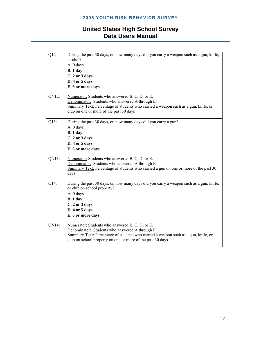| $\overline{Q12}$ | During the past 30 days, on how many days did you carry a weapon such as a gun, knife,<br>or club?<br>A. 0 days<br>B.1 day<br>C. 2 or 3 days<br>D. 4 or 5 days<br>E. 6 or more days                                                                    |
|------------------|--------------------------------------------------------------------------------------------------------------------------------------------------------------------------------------------------------------------------------------------------------|
| QN12:            | Numerator: Students who answered B, C, D, or E.<br>Denominator: Students who answered A through E.<br>Summary Text: Percentage of students who carried a weapon such as a gun, knife, or<br>club on one or more of the past 30 days                    |
| Q13:             | During the past 30 days, on how many days did you carry a gun?<br>A. 0 days<br>B.1 day<br>C. 2 or 3 days<br>D. 4 or 5 days<br>E. 6 or more days                                                                                                        |
| QN13:            | Numerator: Students who answered B, C, D, or E.<br>Denominator: Students who answered A through E.<br>Summary Text: Percentage of students who carried a gun on one or more of the past 30<br>days                                                     |
| $Q14$ :          | During the past 30 days, on how many days did you carry a weapon such as a gun, knife,<br>or club on school property?<br>A. 0 days<br>B.1 day<br>C. 2 or 3 days<br>D. 4 or 5 days<br>E. 6 or more days                                                 |
| QN14:            | Numerator: Students who answered B, C, D, or E.<br>Denominator: Students who answered A through E.<br>Summary Text: Percentage of students who carried a weapon such as a gun, knife, or<br>club on school property on one or more of the past 30 days |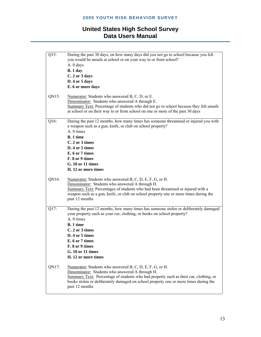| $Q15$ : | During the past 30 days, on how many days did you not go to school because you felt<br>you would be unsafe at school or on your way to or from school?<br>A. 0 days<br>B.1 day<br>C. 2 or 3 days<br>D. 4 or 5 days<br>E. 6 or more days                                                                           |
|---------|-------------------------------------------------------------------------------------------------------------------------------------------------------------------------------------------------------------------------------------------------------------------------------------------------------------------|
| QN15:   | Numerator: Students who answered B, C, D, or E.<br>Denominator: Students who answered A through E.<br>Summary Text: Percentage of students who did not go to school because they felt unsafe<br>at school or on their way to or from school on one or more of the past 30 days                                    |
| Q16:    | During the past 12 months, how many times has someone threatened or injured you with<br>a weapon such as a gun, knife, or club on school property?<br>A. 0 times<br>B. 1 time<br>C. 2 or 3 times<br>D. 4 or 5 times<br>E. 6 or 7 times<br>F. 8 or 9 times<br>G. 10 or 11 times<br>H. 12 or more times             |
| QN16:   | Numerator: Students who answered B, C, D, E, F, G, or H.<br>Denominator: Students who answered A through H.<br>Summary Text: Percentages of students who had been threatened or injured with a<br>weapon such as a gun, knife, or club on school property one or more times during the<br>past 12 months          |
| Q17:    | During the past 12 months, how many times has someone stolen or deliberately damaged<br>your property such as your car, clothing, or books on school property?<br>A. 0 times<br>B. 1 time<br>C. 2 or 3 times<br>D. 4 or 5 times<br>E. 6 or 7 times<br>F. 8 or 9 times<br>G. 10 or 11 times<br>H. 12 or more times |
| QN17:   | Numerator: Students who answered B, C, D, E, F, G, or H.<br>Denominator: Students who answered A through H.<br>Summary Text: Percentage of students who had property such as their car, clothing, or<br>books stolen or deliberately damaged on school property one or more times during the<br>past 12 months    |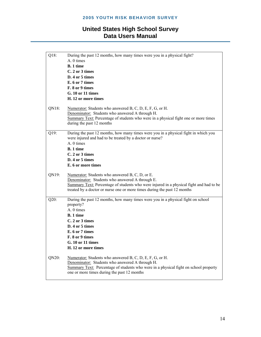| Q18:    | During the past 12 months, how many times were you in a physical fight?                 |
|---------|-----------------------------------------------------------------------------------------|
|         | A. 0 times                                                                              |
|         | <b>B.</b> 1 time                                                                        |
|         | C. 2 or 3 times                                                                         |
|         | D. 4 or 5 times                                                                         |
|         | E. 6 or 7 times                                                                         |
|         | F. 8 or 9 times                                                                         |
|         | G. 10 or 11 times                                                                       |
|         | H. 12 or more times                                                                     |
| QN18:   | Numerator: Students who answered B, C, D, E, F, G, or H.                                |
|         | Denominator: Students who answered A through H.                                         |
|         | Summary Text: Percentage of students who were in a physical fight one or more times     |
|         | during the past 12 months                                                               |
| Q19:    | During the past 12 months, how many times were you in a physical fight in which you     |
|         | were injured and had to be treated by a doctor or nurse?                                |
|         | A. 0 times                                                                              |
|         | <b>B.</b> 1 time                                                                        |
|         | C. 2 or 3 times                                                                         |
|         | D. 4 or 5 times                                                                         |
|         | E. 6 or more times                                                                      |
| QN19:   | Numerator: Students who answered B, C, D, or E.                                         |
|         | Denominator: Students who answered A through E.                                         |
|         | Summary Text: Percentage of students who were injured in a physical fight and had to be |
|         | treated by a doctor or nurse one or more times during the past 12 months                |
| $Q20$ : | During the past 12 months, how many times were you in a physical fight on school        |
|         | property?                                                                               |
|         | A. 0 times                                                                              |
|         | B. 1 time                                                                               |
|         | C. 2 or 3 times                                                                         |
|         | D. 4 or 5 times                                                                         |
|         | E. 6 or 7 times                                                                         |
|         | F. 8 or 9 times                                                                         |
|         | G. 10 or 11 times                                                                       |
|         | H. 12 or more times                                                                     |
| QN20:   | Numerator: Students who answered B, C, D, E, F, G, or H.                                |
|         | Denominator: Students who answered A through H.                                         |
|         | Summary Text: Percentage of students who were in a physical fight on school property    |
|         | one or more times during the past 12 months                                             |
|         |                                                                                         |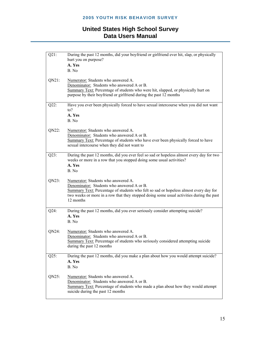| $Q21$ : | During the past 12 months, did your boyfriend or girlfriend ever hit, slap, or physically<br>hurt you on purpose?                                                                                                                                                                   |
|---------|-------------------------------------------------------------------------------------------------------------------------------------------------------------------------------------------------------------------------------------------------------------------------------------|
|         | A. Yes                                                                                                                                                                                                                                                                              |
|         | B. No                                                                                                                                                                                                                                                                               |
| QN21:   | Numerator: Students who answered A.<br>Denominator: Students who answered A or B.<br>Summary Text: Percentage of students who were hit, slapped, or physically hurt on<br>purpose by their boyfriend or girlfriend during the past 12 months                                        |
| $Q22$ : | Have you ever been physically forced to have sexual intercourse when you did not want<br>to?                                                                                                                                                                                        |
|         | A. Yes                                                                                                                                                                                                                                                                              |
|         | B. No                                                                                                                                                                                                                                                                               |
| QN22:   | Numerator: Students who answered A.                                                                                                                                                                                                                                                 |
|         | Denominator: Students who answered A or B.                                                                                                                                                                                                                                          |
|         | Summary Text: Percentage of students who have ever been physically forced to have                                                                                                                                                                                                   |
|         | sexual intercourse when they did not want to                                                                                                                                                                                                                                        |
| $Q23$ : | During the past 12 months, did you ever feel so sad or hopeless almost every day for two                                                                                                                                                                                            |
|         | weeks or more in a row that you stopped doing some usual activities?                                                                                                                                                                                                                |
|         | A. Yes                                                                                                                                                                                                                                                                              |
|         | B. No                                                                                                                                                                                                                                                                               |
| QN23:   | Numerator: Students who answered A.<br>Denominator: Students who answered A or B.<br>Summary Text: Percentage of students who felt so sad or hopeless almost every day for<br>two weeks or more in a row that they stopped doing some usual activities during the past<br>12 months |
| $Q24$ : | During the past 12 months, did you ever seriously consider attempting suicide?                                                                                                                                                                                                      |
|         | A. Yes                                                                                                                                                                                                                                                                              |
|         | B. No                                                                                                                                                                                                                                                                               |
| QN24:   | Numerator: Students who answered A.                                                                                                                                                                                                                                                 |
|         | Denominator: Students who answered A or B.                                                                                                                                                                                                                                          |
|         | Summary Text: Percentage of students who seriously considered attempting suicide                                                                                                                                                                                                    |
|         | during the past 12 months                                                                                                                                                                                                                                                           |
| $Q25$ : | During the past 12 months, did you make a plan about how you would attempt suicide?                                                                                                                                                                                                 |
|         | A. Yes                                                                                                                                                                                                                                                                              |
|         | B. No                                                                                                                                                                                                                                                                               |
| QN25:   | Numerator: Students who answered A.                                                                                                                                                                                                                                                 |
|         | Denominator: Students who answered A or B.                                                                                                                                                                                                                                          |
|         | Summary Text: Percentage of students who made a plan about how they would attempt                                                                                                                                                                                                   |
|         | suicide during the past 12 months                                                                                                                                                                                                                                                   |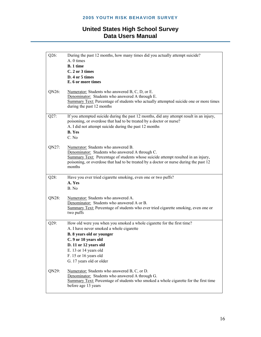| Q26:    | During the past 12 months, how many times did you actually attempt suicide?<br>A. 0 times<br><b>B.</b> 1 time<br>C. 2 or 3 times<br>D. 4 or 5 times<br>E. 6 or more times                                                                                                      |
|---------|--------------------------------------------------------------------------------------------------------------------------------------------------------------------------------------------------------------------------------------------------------------------------------|
| QN26:   | Numerator: Students who answered B, C, D, or E.<br>Denominator: Students who answered A through E.<br>Summary Text: Percentage of students who actually attempted suicide one or more times<br>during the past 12 months                                                       |
| Q27:    | If you attempted suicide during the past 12 months, did any attempt result in an injury,<br>poisoning, or overdose that had to be treated by a doctor or nurse?<br>A. I did not attempt suicide during the past 12 months<br><b>B.</b> Yes<br>C. No                            |
| QN27:   | Numerator: Students who answered B.<br>Denominator: Students who answered A through C.<br>Summary Text: Percentage of students whose suicide attempt resulted in an injury,<br>poisoning, or overdose that had to be treated by a doctor or nurse during the past 12<br>months |
| $Q28$ : | Have you ever tried cigarette smoking, even one or two puffs?<br>A. Yes<br>B. No                                                                                                                                                                                               |
| QN28:   | Numerator: Students who answered A.<br>Denominator: Students who answered A or B.<br>Summary Text: Percentage of students who ever tried cigarette smoking, even one or<br>two puffs                                                                                           |
| Q29:    | How old were you when you smoked a whole cigarette for the first time?<br>A. I have never smoked a whole cigarette<br>B. 8 years old or younger<br>C. 9 or 10 years old<br>D. 11 or 12 years old<br>E. 13 or 14 years old<br>F. 15 or 16 years old<br>G. 17 years old or older |
| QN29:   | Numerator: Students who answered B, C, or D.<br>Denominator: Students who answered A through G.<br>Summary Text: Percentage of students who smoked a whole cigarette for the first time<br>before age 13 years                                                                 |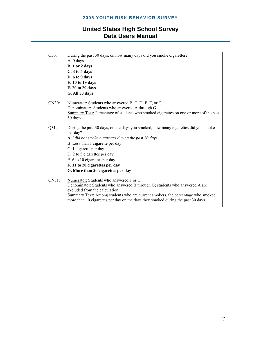| Q30:    | During the past 30 days, on how many days did you smoke cigarettes?                   |
|---------|---------------------------------------------------------------------------------------|
|         | A. 0 days                                                                             |
|         | B. 1 or 2 days                                                                        |
|         | C. 3 to 5 days                                                                        |
|         | D. 6 to 9 days                                                                        |
|         | E. 10 to 19 days                                                                      |
|         | F. 20 to 29 days                                                                      |
|         | G. All 30 days                                                                        |
|         |                                                                                       |
| QN30:   | Numerator: Students who answered B, C, D, E, F, or G.                                 |
|         | Denominator: Students who answered A through G.                                       |
|         | Summary Text: Percentage of students who smoked cigarettes on one or more of the past |
|         | 30 days                                                                               |
| $Q31$ : | During the past 30 days, on the days you smoked, how many cigarettes did you smoke    |
|         | per day?                                                                              |
|         | A. I did not smoke cigarettes during the past 30 days                                 |
|         | B. Less than 1 cigarette per day                                                      |
|         | C. 1 cigarette per day                                                                |
|         | D. 2 to 5 cigarettes per day                                                          |
|         | E. 6 to 10 cigarettes per day                                                         |
|         | F. 11 to 20 cigarettes per day                                                        |
|         | G. More than 20 cigarettes per day                                                    |
| QN31:   | Numerator: Students who answered F or G.                                              |
|         | Denominator: Students who answered B through G; students who answered A are           |
|         | excluded from the calculation.                                                        |
|         | Summary Text: Among students who are current smokers, the percentage who smoked       |
|         | more than 10 cigarettes per day on the days they smoked during the past 30 days       |
|         |                                                                                       |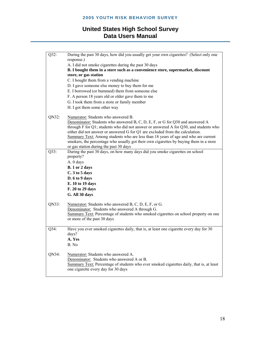| Q32:  | During the past 30 days, how did you usually get your own cigarettes? (Select only one<br>response.)                                    |
|-------|-----------------------------------------------------------------------------------------------------------------------------------------|
|       |                                                                                                                                         |
|       | A. I did not smoke cigarettes during the past 30 days<br>B. I bought them in a store such as a convenience store, supermarket, discount |
|       | store, or gas station                                                                                                                   |
|       | C. I bought them from a vending machine                                                                                                 |
|       | D. I gave someone else money to buy them for me                                                                                         |
|       | E. I borrowed (or bummed) them from someone else                                                                                        |
|       | F. A person 18 years old or older gave them to me                                                                                       |
|       | G. I took them from a store or family member                                                                                            |
|       | H. I got them some other way                                                                                                            |
| QN32: | Numerator: Students who answered B.                                                                                                     |
|       | Denominator: Students who answered B, C, D, E, F, or G for Q30 and answered A                                                           |
|       | through F for Q1; students who did not answer or answered A for Q30, and students who                                                   |
|       | either did not answer or answered G for Q1 are excluded from the calculation.                                                           |
|       | Summary Text: Among students who are less than 18 years of age and who are current                                                      |
|       | smokers, the percentage who usually got their own cigarettes by buying them in a store<br>or gas station during the past 30 days        |
| Q33:  | During the past 30 days, on how many days did you smoke cigarettes on school                                                            |
|       | property?                                                                                                                               |
|       | A. 0 days                                                                                                                               |
|       | B. 1 or 2 days                                                                                                                          |
|       | C. 3 to 5 days                                                                                                                          |
|       | D. 6 to 9 days                                                                                                                          |
|       | E. 10 to 19 days                                                                                                                        |
|       | F. 20 to 29 days                                                                                                                        |
|       | G. All 30 days                                                                                                                          |
| QN33: | Numerator: Students who answered B, C, D, E, F, or G.                                                                                   |
|       | Denominator: Students who answered A through G.                                                                                         |
|       | Summary Text: Percentage of students who smoked cigarettes on school property on one                                                    |
|       | or more of the past 30 days                                                                                                             |
| Q34:  | Have you ever smoked cigarettes daily, that is, at least one cigarette every day for 30                                                 |
|       | days?                                                                                                                                   |
|       | A. Yes                                                                                                                                  |
|       | B. No                                                                                                                                   |
| QN34: | Numerator: Students who answered A.                                                                                                     |
|       | Denominator: Students who answered A or B.                                                                                              |
|       | Summary Text: Percentage of students who ever smoked cigarettes daily, that is, at least                                                |
|       | one cigarette every day for 30 days                                                                                                     |
|       |                                                                                                                                         |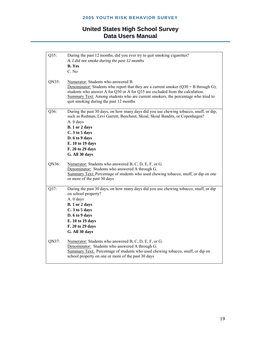| Q35:  | During the past 12 months, did you ever try to quit smoking cigarettes?<br>A. I did not smoke during the past 12 months<br><b>B.</b> Yes<br>C. No                                                                                                                                                                                             |
|-------|-----------------------------------------------------------------------------------------------------------------------------------------------------------------------------------------------------------------------------------------------------------------------------------------------------------------------------------------------|
| QN35: | Numerator: Students who answered B.<br>Denominator: Students who report that they are a current smoker $(Q30 = B$ through G);<br>students who answer A for Q30 or A for Q35 are excluded from the calculation.<br>Summary Text: Among students who are current smokers, the percentage who tried to<br>quit smoking during the past 12 months |
| Q36:  | During the past 30 days, on how many days did you use chewing tobacco, snuff, or dip,<br>such as Redman, Levi Garrett, Beechnut, Skoal, Skoal Bandits, or Copenhagen?<br>A. 0 days<br>B. 1 or 2 days<br>C. 3 to 5 days<br>D. 6 to 9 days<br>E. 10 to 19 days<br>F. 20 to 29 days<br>G. All 30 days                                            |
| QN36: | Numerator: Students who answered B, C, D, E, F, or G.<br>Denominator: Students who answered A through G.<br>Summary Text: Percentage of students who used chewing tobacco, snuff, or dip on one<br>or more of the past 30 days                                                                                                                |
| Q37:  | During the past 30 days, on how many days did you use chewing tobacco, snuff, or dip<br>on school property?<br>A. 0 days<br>B. 1 or 2 days<br>C. 3 to 5 days<br>D. 6 to 9 days<br>E. 10 to 19 days<br>F. 20 to 29 days<br>G. All 30 days                                                                                                      |
| QN37: | Numerator: Students who answered B, C, D, E, F, or G.<br>Denominator: Students who answered A through G.<br>Summary Text: Percentage of students who used chewing tobacco, snuff, or dip on<br>school property on one or more of the past 30 days                                                                                             |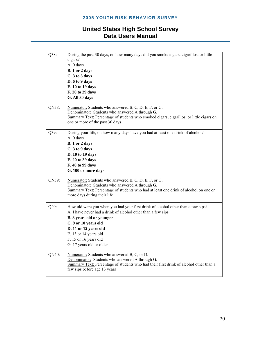| Q38:  | During the past 30 days, on how many days did you smoke cigars, cigarillos, or little<br>cigars?                           |
|-------|----------------------------------------------------------------------------------------------------------------------------|
|       | A. 0 days                                                                                                                  |
|       | B. 1 or 2 days                                                                                                             |
|       | C. 3 to 5 days                                                                                                             |
|       | D. 6 to 9 days                                                                                                             |
|       | E. 10 to 19 days                                                                                                           |
|       | F. 20 to 29 days                                                                                                           |
|       | G. All 30 days                                                                                                             |
| QN38: | Numerator: Students who answered B, C, D, E, F, or G.                                                                      |
|       | Denominator: Students who answered A through G.                                                                            |
|       | Summary Text: Percentage of students who smoked cigars, cigarillos, or little cigars on<br>one or more of the past 30 days |
|       |                                                                                                                            |
| Q39:  | During your life, on how many days have you had at least one drink of alcohol?                                             |
|       | A. 0 days                                                                                                                  |
|       | B. 1 or 2 days                                                                                                             |
|       | C. 3 to 9 days                                                                                                             |
|       | D. 10 to 19 days                                                                                                           |
|       | E. 20 to 39 days                                                                                                           |
|       | F. 40 to 99 days                                                                                                           |
|       | G. 100 or more days                                                                                                        |
| QN39: | Numerator: Students who answered B, C, D, E, F, or G.                                                                      |
|       | Denominator: Students who answered A through G.                                                                            |
|       | Summary Text: Percentage of students who had at least one drink of alcohol on one or                                       |
|       | more days during their life                                                                                                |
| Q40:  | How old were you when you had your first drink of alcohol other than a few sips?                                           |
|       | A. I have never had a drink of alcohol other than a few sips                                                               |
|       | <b>B.</b> 8 years old or younger                                                                                           |
|       | C. 9 or 10 years old                                                                                                       |
|       | D. 11 or 12 years old                                                                                                      |
|       | E. 13 or 14 years old                                                                                                      |
|       | F. 15 or 16 years old                                                                                                      |
|       | G. 17 years old or older                                                                                                   |
|       |                                                                                                                            |
| QN40: | Numerator: Students who answered B, C, or D.                                                                               |
|       | Denominator: Students who answered A through G.                                                                            |
|       | Summary Text: Percentage of students who had their first drink of alcohol other than a                                     |
|       | few sips before age 13 years                                                                                               |
|       |                                                                                                                            |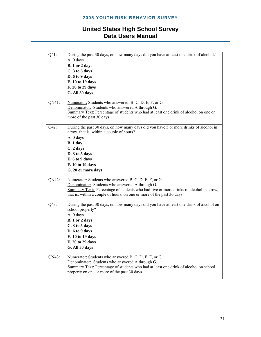| $Q41$ : | During the past 30 days, on how many days did you have at least one drink of alcohol?<br>A. 0 days<br>B. 1 or 2 days<br>C. 3 to 5 days<br>D. 6 to 9 days<br>E. 10 to 19 days<br>F. 20 to 29 days<br>G. All 30 days                                                         |
|---------|----------------------------------------------------------------------------------------------------------------------------------------------------------------------------------------------------------------------------------------------------------------------------|
| QN41:   | Numerator: Students who answered $B, C, D, E, F, or G.$<br>Denominator: Students who answered A through G.<br>Summary Text: Percentage of students who had at least one drink of alcohol on one or<br>more of the past 30 days                                             |
| Q42:    | During the past 30 days, on how many days did you have 5 or more drinks of alcohol in<br>a row, that is, within a couple of hours?<br>A. 0 days<br>B.1 day<br>C. 2 days<br>D. 3 to 5 days<br>E. 6 to 9 days<br>F. 10 to 19 days<br>G. 20 or more days                      |
| QN42:   | Numerator: Students who answered B, C, D, E, F, or G.<br>Denominator: Students who answered A through G.<br>Summary Text: Percentage of students who had five or more drinks of alcohol in a row,<br>that is, within a couple of hours, on one or more of the past 30 days |
| Q43:    | During the past 30 days, on how many days did you have at least one drink of alcohol on<br>school property?<br>A. 0 days<br>B. 1 or 2 days<br>C. 3 to 5 days<br>D. 6 to 9 days<br>E. 10 to 19 days<br>F. 20 to 29 days<br>G. All 30 days                                   |
| QN43:   | Numerator: Students who answered B, C, D, E, F, or G.<br>Denominator: Students who answered A through G.<br>Summary Text: Percentage of students who had at least one drink of alcohol on school<br>property on one or more of the past 30 days                            |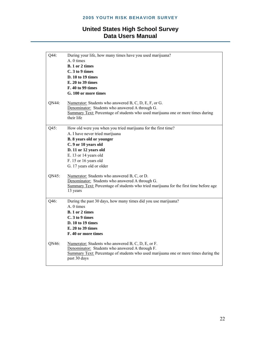| Q44:  | During your life, how many times have you used marijuana?                              |
|-------|----------------------------------------------------------------------------------------|
|       | A. 0 times                                                                             |
|       | B. 1 or 2 times                                                                        |
|       | C. 3 to 9 times                                                                        |
|       | D. 10 to 19 times                                                                      |
|       | E. 20 to 39 times                                                                      |
|       | F. 40 to 99 times                                                                      |
|       | G. 100 or more times                                                                   |
| QN44: | Numerator: Students who answered B, C, D, E, F, or G.                                  |
|       | Denominator: Students who answered A through G.                                        |
|       | Summary Text: Percentage of students who used marijuana one or more times during       |
|       | their life                                                                             |
| Q45:  | How old were you when you tried marijuana for the first time?                          |
|       | A. I have never tried marijuana                                                        |
|       | <b>B.</b> 8 years old or younger                                                       |
|       | C. 9 or 10 years old                                                                   |
|       | D. 11 or 12 years old                                                                  |
|       | E. 13 or 14 years old                                                                  |
|       | F. 15 or 16 years old                                                                  |
|       | G. 17 years old or older                                                               |
| QN45: | Numerator: Students who answered B, C, or D.                                           |
|       | Denominator: Students who answered A through G.                                        |
|       | Summary Text: Percentage of students who tried marijuana for the first time before age |
|       | 13 years                                                                               |
| Q46:  | During the past 30 days, how many times did you use marijuana?                         |
|       | A. 0 times                                                                             |
|       | <b>B.</b> 1 or 2 times                                                                 |
|       | C. 3 to 9 times                                                                        |
|       | D. 10 to 19 times                                                                      |
|       | E. 20 to 39 times                                                                      |
|       | F. 40 or more times                                                                    |
| QN46: | Numerator: Students who answered B, C, D, E, or F.                                     |
|       | Denominator: Students who answered A through F.                                        |
|       | Summary Text: Percentage of students who used marijuana one or more times during the   |
|       | past 30 days                                                                           |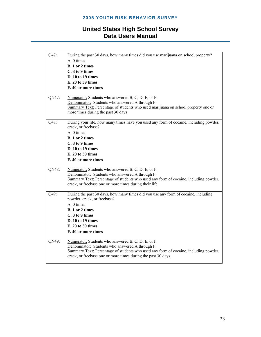| Q47:  | During the past 30 days, how many times did you use marijuana on school property?                                 |
|-------|-------------------------------------------------------------------------------------------------------------------|
|       | A. 0 times                                                                                                        |
|       | B. 1 or 2 times                                                                                                   |
|       | C. 3 to 9 times                                                                                                   |
|       | D. 10 to 19 times                                                                                                 |
|       | E. 20 to 39 times                                                                                                 |
|       | F. 40 or more times                                                                                               |
| QN47: | Numerator: Students who answered B, C, D, E, or F.                                                                |
|       | Denominator: Students who answered A through F.                                                                   |
|       | Summary Text: Percentage of students who used marijuana on school property one or                                 |
|       | more times during the past 30 days                                                                                |
| Q48:  | During your life, how many times have you used any form of cocaine, including powder,                             |
|       | crack, or freebase?                                                                                               |
|       | A. 0 times                                                                                                        |
|       | B. 1 or 2 times                                                                                                   |
|       | C. 3 to 9 times                                                                                                   |
|       | D. 10 to 19 times                                                                                                 |
|       | E. 20 to 39 times                                                                                                 |
|       | F. 40 or more times                                                                                               |
| QN48: | Numerator: Students who answered B, C, D, E, or F.                                                                |
|       | Denominator: Students who answered A through F.                                                                   |
|       | Summary Text: Percentage of students who used any form of cocaine, including powder,                              |
|       | crack, or freebase one or more times during their life                                                            |
| Q49:  | During the past 30 days, how many times did you use any form of cocaine, including<br>powder, crack, or freebase? |
|       |                                                                                                                   |
|       | A. 0 times                                                                                                        |
|       | <b>B.</b> 1 or 2 times                                                                                            |
|       | C. 3 to 9 times                                                                                                   |
|       | D. 10 to 19 times                                                                                                 |
|       | E. 20 to 39 times                                                                                                 |
|       | F. 40 or more times                                                                                               |
| QN49: | Numerator: Students who answered B, C, D, E, or F.                                                                |
|       | Denominator: Students who answered A through F.                                                                   |
|       | Summary Text: Percentage of students who used any form of cocaine, including powder,                              |
|       | crack, or freebase one or more times during the past 30 days                                                      |
|       |                                                                                                                   |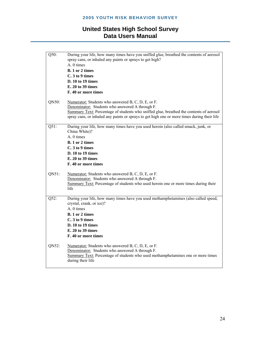| $Q50$ : | During your life, how many times have you sniffed glue, breathed the contents of aerosol<br>spray cans, or inhaled any paints or sprays to get high?<br>A. 0 times |
|---------|--------------------------------------------------------------------------------------------------------------------------------------------------------------------|
|         | <b>B.</b> 1 or 2 times                                                                                                                                             |
|         | C. 3 to 9 times                                                                                                                                                    |
|         | D. 10 to 19 times                                                                                                                                                  |
|         | E. 20 to 39 times                                                                                                                                                  |
|         |                                                                                                                                                                    |
|         | F. 40 or more times                                                                                                                                                |
| QN50:   | Numerator: Students who answered B, C, D, E, or F.                                                                                                                 |
|         | Denominator: Students who answered A through F.                                                                                                                    |
|         | Summary Text: Percentage of students who sniffed glue, breathed the contents of aerosol                                                                            |
|         | spray cans, or inhaled any paints or sprays to get high one or more times during their life                                                                        |
|         |                                                                                                                                                                    |
| $Q51$ : | During your life, how many times have you used heroin (also called smack, junk, or<br>China White)?                                                                |
|         | A. 0 times                                                                                                                                                         |
|         | <b>B.</b> 1 or 2 times                                                                                                                                             |
|         | C. 3 to 9 times                                                                                                                                                    |
|         | D. 10 to 19 times                                                                                                                                                  |
|         | E. 20 to 39 times                                                                                                                                                  |
|         | F. 40 or more times                                                                                                                                                |
| QN51:   | Numerator: Students who answered B, C, D, E, or F.                                                                                                                 |
|         | Denominator: Students who answered A through F.                                                                                                                    |
|         | Summary Text: Percentage of students who used heroin one or more times during their                                                                                |
|         | life                                                                                                                                                               |
|         |                                                                                                                                                                    |
| Q52:    | During your life, how many times have you used methamphetamines (also called speed,<br>crystal, crank, or ice)?                                                    |
|         | A. 0 times                                                                                                                                                         |
|         | B. 1 or 2 times                                                                                                                                                    |
|         | C. 3 to 9 times                                                                                                                                                    |
|         | D. 10 to 19 times                                                                                                                                                  |
|         | E. 20 to 39 times                                                                                                                                                  |
|         | F. 40 or more times                                                                                                                                                |
|         |                                                                                                                                                                    |
| QN52:   | Numerator: Students who answered B, C, D, E, or F.                                                                                                                 |
|         | Denominator: Students who answered A through F.                                                                                                                    |
|         | Summary Text: Percentage of students who used methamphetamines one or more times                                                                                   |
|         | during their life                                                                                                                                                  |
|         |                                                                                                                                                                    |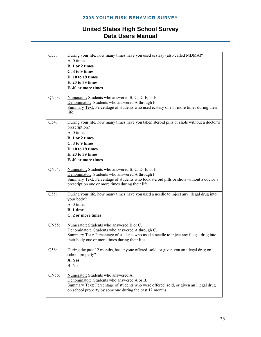| Q53:    | During your life, how many times have you used ecstasy (also called MDMA)?<br>A. 0 times                                                                                                       |
|---------|------------------------------------------------------------------------------------------------------------------------------------------------------------------------------------------------|
|         | B. 1 or 2 times                                                                                                                                                                                |
|         | C. 3 to 9 times                                                                                                                                                                                |
|         | D. 10 to 19 times                                                                                                                                                                              |
|         | E. 20 to 39 times                                                                                                                                                                              |
|         | F. 40 or more times                                                                                                                                                                            |
|         |                                                                                                                                                                                                |
| QN53:   | Numerator: Students who answered B, C, D, E, or F.<br>Denominator: Students who answered A through F.<br>Summary Text: Percentage of students who used ecstasy one or more times during their  |
|         | life                                                                                                                                                                                           |
|         |                                                                                                                                                                                                |
| Q54:    | During your life, how many times have you taken steroid pills or shots without a doctor's<br>prescription?                                                                                     |
|         | A. 0 times                                                                                                                                                                                     |
|         | B. 1 or 2 times                                                                                                                                                                                |
|         | C. 3 to 9 times                                                                                                                                                                                |
|         | D. 10 to 19 times                                                                                                                                                                              |
|         | E. 20 to 39 times                                                                                                                                                                              |
|         | F. 40 or more times                                                                                                                                                                            |
| QN54:   | Numerator: Students who answered B, C, D, E, or F.                                                                                                                                             |
|         | Denominator: Students who answered A through F.<br>Summary Text: Percentage of students who took steroid pills or shots without a doctor's<br>prescription one or more times during their life |
| $Q55$ : | During your life, how many times have you used a needle to inject any illegal drug into<br>your body?                                                                                          |
|         | A. 0 times                                                                                                                                                                                     |
|         | B. 1 time                                                                                                                                                                                      |
|         | C. 2 or more times                                                                                                                                                                             |
| QN55:   | Numerator: Students who answered B or C.                                                                                                                                                       |
|         | Denominator: Students who answered A through C.                                                                                                                                                |
|         | Summary Text: Percentage of students who used a needle to inject any illegal drug into                                                                                                         |
|         | their body one or more times during their life                                                                                                                                                 |
|         |                                                                                                                                                                                                |
| Q56:    | During the past 12 months, has anyone offered, sold, or given you an illegal drug on<br>school property?                                                                                       |
|         | A. Yes                                                                                                                                                                                         |
|         | B. No                                                                                                                                                                                          |
| QN56:   | Numerator: Students who answered A.                                                                                                                                                            |
|         | Denominator: Students who answered A or B.                                                                                                                                                     |
|         | Summary Text: Percentage of students who were offered, sold, or given an illegal drug                                                                                                          |
|         | on school property by someone during the past 12 months                                                                                                                                        |
|         |                                                                                                                                                                                                |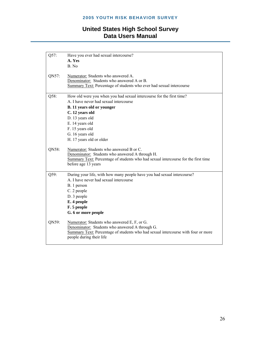| Q57:  | Have you ever had sexual intercourse?<br>A. Yes                                                               |
|-------|---------------------------------------------------------------------------------------------------------------|
|       | B. No                                                                                                         |
| QN57: | Numerator: Students who answered A.                                                                           |
|       | Denominator: Students who answered A or B.                                                                    |
|       | Summary Text: Percentage of students who ever had sexual intercourse                                          |
| Q58:  | How old were you when you had sexual intercourse for the first time?                                          |
|       | A. I have never had sexual intercourse                                                                        |
|       | B. 11 years old or younger                                                                                    |
|       | C. 12 years old                                                                                               |
|       | D. 13 years old                                                                                               |
|       | E. 14 years old                                                                                               |
|       | F. 15 years old                                                                                               |
|       | G. 16 years old                                                                                               |
|       | H. 17 years old or older                                                                                      |
| QN58: | Numerator: Students who answered B or C.<br>Denominator: Students who answered A through H.                   |
|       | Summary Text: Percentage of students who had sexual intercourse for the first time                            |
|       | before age 13 years                                                                                           |
| Q59:  | During your life, with how many people have you had sexual intercourse?                                       |
|       | A. I have never had sexual intercourse                                                                        |
|       | B. 1 person                                                                                                   |
|       | C. 2 people                                                                                                   |
|       | D. 3 people                                                                                                   |
|       | E. 4 people                                                                                                   |
|       | F. 5 people                                                                                                   |
|       | G. 6 or more people                                                                                           |
| QN59: | Numerator: Students who answered E, F, or G.<br>Denominator: Students who answered A through G.               |
|       | Summary Text: Percentage of students who had sexual intercourse with four or more<br>people during their life |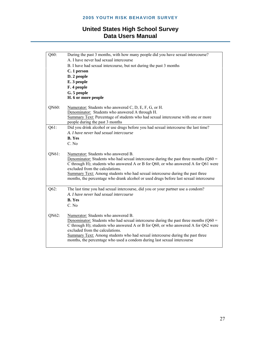| Q60:  | During the past 3 months, with how many people did you have sexual intercourse?         |
|-------|-----------------------------------------------------------------------------------------|
|       | A. I have never had sexual intercourse                                                  |
|       | B. I have had sexual intercourse, but not during the past 3 months                      |
|       | C. 1 person                                                                             |
|       | D. 2 people                                                                             |
|       | E. 3 people                                                                             |
|       | F. 4 people                                                                             |
|       | G. 5 people                                                                             |
|       | H. 6 or more people                                                                     |
| QN60: | Numerator: Students who answered C, D, E, F, G, or H.                                   |
|       | Denominator: Students who answered A through H.                                         |
|       | Summary Text: Percentage of students who had sexual intercourse with one or more        |
|       | people during the past 3 months                                                         |
| Q61:  | Did you drink alcohol or use drugs before you had sexual intercourse the last time?     |
|       | A. I have never had sexual intercourse                                                  |
|       | <b>B.</b> Yes                                                                           |
|       | C. No                                                                                   |
| QN61: | Numerator: Students who answered B.                                                     |
|       | Denominator: Students who had sexual intercourse during the past three months ( $Q60 =$ |
|       | C through H); students who answered A or B for Q60, or who answered A for Q61 were      |
|       | excluded from the calculations.                                                         |
|       | Summary Text: Among students who had sexual intercourse during the past three           |
|       | months, the percentage who drank alcohol or used drugs before last sexual intercourse   |
|       |                                                                                         |
| Q62:  | The last time you had sexual intercourse, did you or your partner use a condom?         |
|       | A. I have never had sexual intercourse                                                  |
|       | <b>B.</b> Yes                                                                           |
|       | C. No                                                                                   |
| QN62: | Numerator: Students who answered B.                                                     |
|       | Denominator: Students who had sexual intercourse during the past three months ( $Q60 =$ |
|       | C through H); students who answered A or B for Q60, or who answered A for Q62 were      |
|       | excluded from the calculations.                                                         |
|       | Summary Text: Among students who had sexual intercourse during the past three           |
|       | months, the percentage who used a condom during last sexual intercourse                 |
|       |                                                                                         |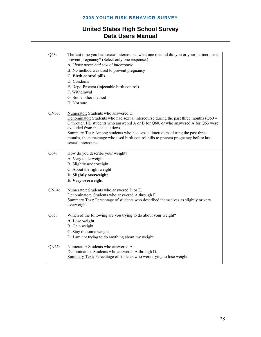| Q63:  | The last time you had sexual intercourse, what one method did you or your partner use to                                                                                      |
|-------|-------------------------------------------------------------------------------------------------------------------------------------------------------------------------------|
|       | prevent pregnancy? (Select only one response.)                                                                                                                                |
|       | A. I have never had sexual intercourse                                                                                                                                        |
|       | B. No method was used to prevent pregnancy                                                                                                                                    |
|       | C. Birth control pills                                                                                                                                                        |
|       | D. Condoms                                                                                                                                                                    |
|       | E. Depo-Provera (injectable birth control)                                                                                                                                    |
|       | F. Withdrawal                                                                                                                                                                 |
|       | G. Some other method                                                                                                                                                          |
|       | H. Not sure                                                                                                                                                                   |
| QN63: | Numerator: Students who answered C.                                                                                                                                           |
|       | Denominator: Students who had sexual intercourse during the past three months ( $Q60 =$<br>C through H); students who answered A or B for Q60, or who answered A for Q63 were |
|       | excluded from the calculations.                                                                                                                                               |
|       | Summary Text: Among students who had sexual intercourse during the past three                                                                                                 |
|       | months, the percentage who used birth control pills to prevent pregnancy before last                                                                                          |
|       | sexual intercourse                                                                                                                                                            |
| Q64:  | How do you describe your weight?                                                                                                                                              |
|       | A. Very underweight                                                                                                                                                           |
|       | B. Slightly underweight                                                                                                                                                       |
|       | C. About the right weight                                                                                                                                                     |
|       | D. Slightly overweight                                                                                                                                                        |
|       | E. Very overweight                                                                                                                                                            |
| QN64: | Numerator: Students who answered D or E.                                                                                                                                      |
|       | Denominator: Students who answered A through E.                                                                                                                               |
|       | Summary Text: Percentage of students who described themselves as slightly or very                                                                                             |
|       | overweight                                                                                                                                                                    |
| Q65:  | Which of the following are you trying to do about your weight?                                                                                                                |
|       | A. Lose weight                                                                                                                                                                |
|       | B. Gain weight                                                                                                                                                                |
|       | C. Stay the same weight                                                                                                                                                       |
|       | D. I am not trying to do anything about my weight                                                                                                                             |
| QN65: | Numerator: Students who answered A.                                                                                                                                           |
|       | Denominator: Students who answered A through D.                                                                                                                               |
|       |                                                                                                                                                                               |
|       | Summary Text: Percentage of students who were trying to lose weight                                                                                                           |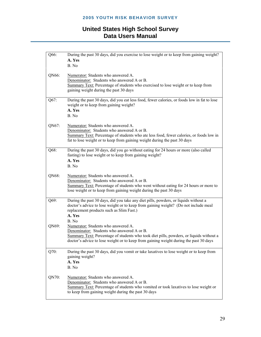| Q66:  | During the past 30 days, did you exercise to lose weight or to keep from gaining weight?                                                                                                                               |
|-------|------------------------------------------------------------------------------------------------------------------------------------------------------------------------------------------------------------------------|
|       | A. Yes                                                                                                                                                                                                                 |
|       | B. No                                                                                                                                                                                                                  |
|       |                                                                                                                                                                                                                        |
| QN66: | Numerator: Students who answered A.                                                                                                                                                                                    |
|       | Denominator: Students who answered A or B.<br>Summary Text: Percentage of students who exercised to lose weight or to keep from                                                                                        |
|       | gaining weight during the past 30 days                                                                                                                                                                                 |
|       |                                                                                                                                                                                                                        |
| Q67:  | During the past 30 days, did you eat less food, fewer calories, or foods low in fat to lose<br>weight or to keep from gaining weight?                                                                                  |
|       | A. Yes                                                                                                                                                                                                                 |
|       | B. No                                                                                                                                                                                                                  |
|       |                                                                                                                                                                                                                        |
| QN67: | Numerator: Students who answered A.                                                                                                                                                                                    |
|       | Denominator: Students who answered A or B.                                                                                                                                                                             |
|       | Summary Text: Percentage of students who ate less food, fewer calories, or foods low in<br>fat to lose weight or to keep from gaining weight during the past 30 days                                                   |
|       |                                                                                                                                                                                                                        |
| Q68:  | During the past 30 days, did you go without eating for 24 hours or more (also called<br>fasting) to lose weight or to keep from gaining weight?                                                                        |
|       | A. Yes                                                                                                                                                                                                                 |
|       | B. No                                                                                                                                                                                                                  |
|       |                                                                                                                                                                                                                        |
| QN68: | Numerator: Students who answered A.<br>Denominator: Students who answered A or B.                                                                                                                                      |
|       | Summary Text: Percentage of students who went without eating for 24 hours or more to                                                                                                                                   |
|       | lose weight or to keep from gaining weight during the past 30 days                                                                                                                                                     |
|       |                                                                                                                                                                                                                        |
| Q69:  | During the past 30 days, did you take any diet pills, powders, or liquids without a<br>doctor's advice to lose weight or to keep from gaining weight? (Do not include meal<br>replacement products such as Slim Fast.) |
|       | A. Yes                                                                                                                                                                                                                 |
|       | B No                                                                                                                                                                                                                   |
| QN69: | Numerator: Students who answered A.                                                                                                                                                                                    |
|       | Denominator: Students who answered A or B.                                                                                                                                                                             |
|       | Summary Text: Percentage of students who took diet pills, powders, or liquids without a                                                                                                                                |
|       | doctor's advice to lose weight or to keep from gaining weight during the past 30 days                                                                                                                                  |
|       |                                                                                                                                                                                                                        |
| Q70:  | During the past 30 days, did you vomit or take laxatives to lose weight or to keep from                                                                                                                                |
|       | gaining weight?                                                                                                                                                                                                        |
|       | A. Yes<br>B. No                                                                                                                                                                                                        |
|       |                                                                                                                                                                                                                        |
| QN70: | Numerator: Students who answered A.                                                                                                                                                                                    |
|       | Denominator: Students who answered A or B.                                                                                                                                                                             |
|       | Summary Text: Percentage of students who vomited or took laxatives to lose weight or                                                                                                                                   |
|       | to keep from gaining weight during the past 30 days                                                                                                                                                                    |
|       |                                                                                                                                                                                                                        |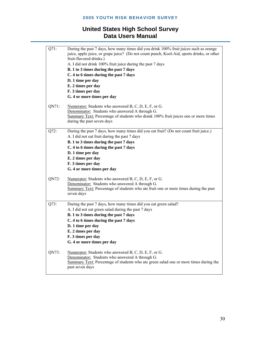| Q71:    | During the past 7 days, how many times did you drink 100% fruit juices such as orange<br>juice, apple juice, or grape juice? (Do not count punch, Kool-Aid, sports drinks, or other<br>fruit-flavored drinks.)<br>A. I did not drink 100% fruit juice during the past 7 days<br>B. 1 to 3 times during the past 7 days<br>C. 4 to 6 times during the past 7 days |
|---------|------------------------------------------------------------------------------------------------------------------------------------------------------------------------------------------------------------------------------------------------------------------------------------------------------------------------------------------------------------------|
|         | D. 1 time per day<br>E. 2 times per day                                                                                                                                                                                                                                                                                                                          |
|         | F. 3 times per day                                                                                                                                                                                                                                                                                                                                               |
|         | G. 4 or more times per day                                                                                                                                                                                                                                                                                                                                       |
| QN71:   | Numerator: Students who answered B, C, D, E, F, or G.<br>Denominator: Students who answered A through G.<br>Summary Text: Percentage of students who drank 100% fruit juices one or more times<br>during the past seven days                                                                                                                                     |
| Q72:    | During the past 7 days, how many times did you eat fruit? (Do not count fruit juice.)<br>A. I did not eat fruit during the past 7 days<br>B. 1 to 3 times during the past 7 days<br>C. 4 to 6 times during the past 7 days<br>D. 1 time per day<br>E. 2 times per day<br>F. 3 times per day                                                                      |
|         | G. 4 or more times per day                                                                                                                                                                                                                                                                                                                                       |
| QN72:   | Numerator: Students who answered B, C, D, E, F, or G.<br>Denominator: Students who answered A through G.<br>Summary Text: Percentage of students who ate fruit one or more times during the past<br>seven days                                                                                                                                                   |
| $Q73$ : | During the past 7 days, how many times did you eat green salad?<br>A. I did not eat green salad during the past 7 days<br>B. 1 to 3 times during the past 7 days<br>C. 4 to 6 times during the past 7 days<br>D. 1 time per day<br>E. 2 times per day<br>F. 3 times per day<br>G. 4 or more times per day                                                        |
| QN73:   | Numerator: Students who answered B, C, D, E, F, or G.<br>Denominator: Students who answered A through G.<br>Summary Text: Percentage of students who ate green salad one or more times during the<br>past seven days                                                                                                                                             |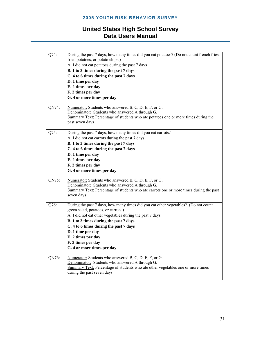| Q74:  | During the past 7 days, how many times did you eat potatoes? (Do not count french fries,<br>fried potatoes, or potato chips.) |
|-------|-------------------------------------------------------------------------------------------------------------------------------|
|       | A. I did not eat potatoes during the past 7 days                                                                              |
|       | B. 1 to 3 times during the past 7 days                                                                                        |
|       | C. 4 to 6 times during the past 7 days                                                                                        |
|       |                                                                                                                               |
|       | D. 1 time per day                                                                                                             |
|       | E. 2 times per day                                                                                                            |
|       | F. 3 times per day                                                                                                            |
|       | G. 4 or more times per day                                                                                                    |
| QN74: | Numerator: Students who answered $B, C, D, E, F, or G.$                                                                       |
|       | Denominator: Students who answered A through G.                                                                               |
|       | Summary Text: Percentage of students who ate potatoes one or more times during the                                            |
|       | past seven days                                                                                                               |
|       |                                                                                                                               |
| Q75:  | During the past 7 days, how many times did you eat carrots?                                                                   |
|       | A. I did not eat carrots during the past 7 days                                                                               |
|       | B. 1 to 3 times during the past 7 days                                                                                        |
|       | C. 4 to 6 times during the past 7 days                                                                                        |
|       | D. 1 time per day                                                                                                             |
|       | E. 2 times per day                                                                                                            |
|       | F. 3 times per day                                                                                                            |
|       | G. 4 or more times per day                                                                                                    |
| QN75: | Numerator: Students who answered B, C, D, E, F, or G.                                                                         |
|       | Denominator: Students who answered A through G.                                                                               |
|       | Summary Text: Percentage of students who ate carrots one or more times during the past                                        |
|       | seven days                                                                                                                    |
|       |                                                                                                                               |
| Q76:  | During the past 7 days, how many times did you eat other vegetables? (Do not count<br>green salad, potatoes, or carrots.)     |
|       | A. I did not eat other vegetables during the past 7 days                                                                      |
|       | B. 1 to 3 times during the past 7 days                                                                                        |
|       | C. 4 to 6 times during the past 7 days                                                                                        |
|       | D. 1 time per day                                                                                                             |
|       | E. 2 times per day                                                                                                            |
|       | F. 3 times per day                                                                                                            |
|       | G. 4 or more times per day                                                                                                    |
|       |                                                                                                                               |
| QN76: | Numerator: Students who answered B, C, D, E, F, or G.                                                                         |
|       | Denominator: Students who answered A through G.                                                                               |
|       | Summary Text: Percentage of students who ate other vegetables one or more times                                               |
|       | during the past seven days                                                                                                    |
|       |                                                                                                                               |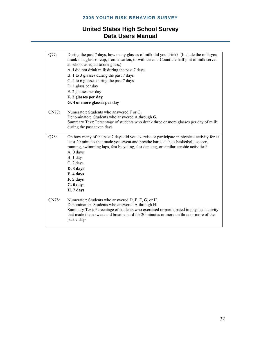| Q77:  | During the past 7 days, how many glasses of milk did you drink? (Include the milk you<br>drank in a glass or cup, from a carton, or with cereal. Count the half pint of milk served |
|-------|-------------------------------------------------------------------------------------------------------------------------------------------------------------------------------------|
|       | at school as equal to one glass.)                                                                                                                                                   |
|       | A. I did not drink milk during the past 7 days                                                                                                                                      |
|       | B. 1 to 3 glasses during the past 7 days                                                                                                                                            |
|       | C. 4 to 6 glasses during the past 7 days                                                                                                                                            |
|       | D. 1 glass per day                                                                                                                                                                  |
|       | E. 2 glasses per day                                                                                                                                                                |
|       | F. 3 glasses per day                                                                                                                                                                |
|       | G. 4 or more glasses per day                                                                                                                                                        |
| QN77: | Numerator: Students who answered F or G.                                                                                                                                            |
|       | Denominator: Students who answered A through G.                                                                                                                                     |
|       | Summary Text: Percentage of students who drank three or more glasses per day of milk                                                                                                |
|       | during the past seven days                                                                                                                                                          |
|       |                                                                                                                                                                                     |
| Q78:  | On how many of the past 7 days did you exercise or participate in physical activity for at                                                                                          |
|       | least 20 minutes that made you sweat and breathe hard, such as basketball, soccer,                                                                                                  |
|       | running, swimming laps, fast bicycling, fast dancing, or similar aerobic activities?                                                                                                |
|       | A. 0 days                                                                                                                                                                           |
|       | $B.1$ day                                                                                                                                                                           |
|       | C. 2 days                                                                                                                                                                           |
|       | D. 3 days                                                                                                                                                                           |
|       | E. 4 days                                                                                                                                                                           |
|       | F. 5 days                                                                                                                                                                           |
|       | G. 6 days                                                                                                                                                                           |
|       | H. 7 days                                                                                                                                                                           |
| QN78: | Numerator: Students who answered D, E, F, G, or H.                                                                                                                                  |
|       | Denominator: Students who answered A through H.                                                                                                                                     |
|       | Summary Text: Percentage of students who exercised or participated in physical activity                                                                                             |
|       | that made them sweat and breathe hard for 20 minutes or more on three or more of the<br>past 7 days                                                                                 |
|       |                                                                                                                                                                                     |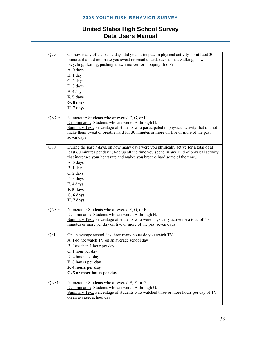| Q79:  | On how many of the past 7 days did you participate in physical activity for at least 30<br>minutes that did not make you sweat or breathe hard, such as fast walking, slow<br>bicycling, skating, pushing a lawn mower, or mopping floors?<br>A. 0 days<br>$B.1$ day<br>C. 2 days<br>D. 3 days<br>E. 4 days<br>F. 5 days<br>G. 6 days<br>H. 7 days                       |
|-------|--------------------------------------------------------------------------------------------------------------------------------------------------------------------------------------------------------------------------------------------------------------------------------------------------------------------------------------------------------------------------|
| QN79: | Numerator: Students who answered F, G, or H.<br>Denominator: Students who answered A through H.<br>Summary Text: Percentage of students who participated in physical activity that did not<br>make them sweat or breathe hard for 30 minutes or more on five or more of the past<br>seven days                                                                           |
| Q80:  | During the past 7 days, on how many days were you physically active for a total of at<br>least 60 minutes per day? (Add up all the time you spend in any kind of physical activity<br>that increases your heart rate and makes you breathe hard some of the time.)<br>A. 0 days<br>B.1 day<br>C. 2 days<br>D. 3 days<br>E. 4 days<br>F. 5 days<br>G. 6 days<br>H. 7 days |
| QN80: | Numerator: Students who answered F, G, or H.<br>Denominator: Students who answered A through H.<br>Summary Text: Percentage of students who were physically active for a total of 60<br>minutes or more per day on five or more of the past seven days                                                                                                                   |
| Q81:  | On an average school day, how many hours do you watch TV?<br>A. I do not watch TV on an average school day<br>B. Less than 1 hour per day<br>C. 1 hour per day<br>D. 2 hours per day<br>E. 3 hours per day<br>F. 4 hours per day<br>G. 5 or more hours per day                                                                                                           |
| QN81: | Numerator: Students who answered E, F, or G.<br>Denominator: Students who answered A through G.<br>Summary Text: Percentage of students who watched three or more hours per day of TV<br>on an average school day                                                                                                                                                        |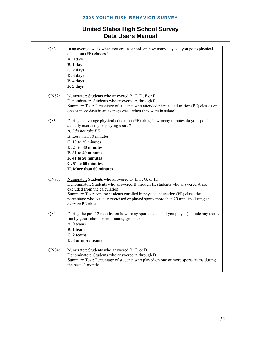| Q82:  | In an average week when you are in school, on how many days do you go to physical<br>education (PE) classes?<br>A. 0 days<br>B.1 day<br>C. 2 days<br>D. 3 days<br>E. 4 days<br>F. 5 days                                                                                                                                                                    |
|-------|-------------------------------------------------------------------------------------------------------------------------------------------------------------------------------------------------------------------------------------------------------------------------------------------------------------------------------------------------------------|
| QN82: | Numerator: Students who answered B, C, D, E or F.<br>Denominator: Students who answered A through F.<br>Summary Text: Percentage of students who attended physical education (PE) classes on<br>one or more days in an average week when they were in school                                                                                                |
| Q83:  | During an average physical education (PE) class, how many minutes do you spend<br>actually exercising or playing sports?<br>A. I do not take PE<br>B. Less than 10 minutes<br>C. 10 to 20 minutes<br>D. 21 to 30 minutes<br>E. 31 to 40 minutes<br>F. 41 to 50 minutes<br>G. 51 to 60 minutes<br>H. More than 60 minutes                                    |
| QN83: | Numerator: Students who answered D, E, F, G, or H.<br>Denominator: Students who answered B through H; students who answered A are<br>excluded from the calculation.<br>Summary Text: Among students enrolled in physical education (PE) class, the<br>percentage who actually exercised or played sports more than 20 minutes during an<br>average PE class |
| Q84:  | During the past 12 months, on how many sports teams did you play? (Include any teams<br>run by your school or community groups.)<br>A. 0 teams<br><b>B.</b> 1 team<br>C. 2 teams<br>D. 3 or more teams                                                                                                                                                      |
| QN84: | Numerator: Students who answered B, C, or D.<br>Denominator: Students who answered A through D.<br>Summary Text: Percentage of students who played on one or more sports teams during<br>the past 12 months                                                                                                                                                 |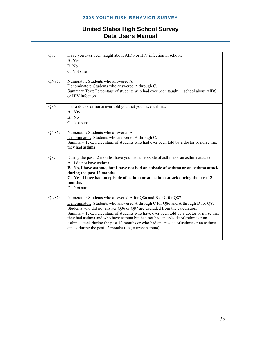| Q85:  | Have you ever been taught about AIDS or HIV infection in school?<br>A. Yes                                     |
|-------|----------------------------------------------------------------------------------------------------------------|
|       | B. No                                                                                                          |
|       | C. Not sure                                                                                                    |
|       |                                                                                                                |
| QN85: | Numerator: Students who answered A.                                                                            |
|       | Denominator: Students who answered A through C.                                                                |
|       | Summary Text: Percentage of students who had ever been taught in school about AIDS<br>or HIV infection         |
|       |                                                                                                                |
| Q86:  | Has a doctor or nurse ever told you that you have asthma?                                                      |
|       | A. Yes                                                                                                         |
|       | B. No                                                                                                          |
|       | C. Not sure                                                                                                    |
|       |                                                                                                                |
| QN86: | Numerator: Students who answered A.<br>Denominator: Students who answered A through C.                         |
|       | Summary Text: Percentage of students who had ever been told by a doctor or nurse that                          |
|       | they had asthma                                                                                                |
|       |                                                                                                                |
| Q87:  | During the past 12 months, have you had an episode of asthma or an asthma attack?                              |
|       | A. I do not have asthma                                                                                        |
|       | B. No, I have asthma, but I have not had an episode of asthma or an asthma attack<br>during the past 12 months |
|       | C. Yes, I have had an episode of asthma or an asthma attack during the past 12                                 |
|       | months.                                                                                                        |
|       | D. Not sure                                                                                                    |
| QN87: | Numerator: Students who answered A for Q86 and B or C for Q87.                                                 |
|       | Denominator: Students who answered A through C for Q86 and A through D for Q87.                                |
|       | Students who did not answer Q86 or Q87 are excluded from the calculation.                                      |
|       | Summary Text: Percentage of students who have ever been told by a doctor or nurse that                         |
|       | they had asthma and who have asthma but had not had an episode of asthma or an                                 |
|       | asthma attack during the past 12 months or who had an episode of asthma or an asthma                           |
|       | attack during the past 12 months (i.e., current asthma)                                                        |
|       |                                                                                                                |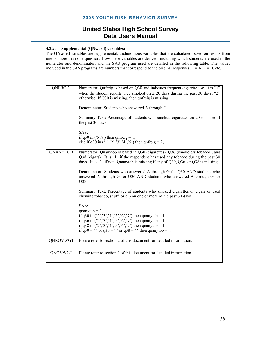#### **2005 YOUTH RISK BEHAVIOR SURVEY**

#### **United States High School Survey Data Users Manual**

#### **4.3.2. Supplemental (QNword) variables:**

The **QNword** variables are supplemental, dichotomous variables that are calculated based on results from one or more than one question. How these variables are derived, including which students are used in the numerator and denominator, and the SAS program used are detailed in the following table. The values included in the SAS programs are numbers that correspond to the original responses;  $1 = A$ ,  $2 = B$ , etc.

| QNFRCIG         | Numerator: Qnfrcig is based on Q30 and indicates frequent cigarette use. It is "1"<br>when the student reports they smoked on $\geq 20$ days during the past 30 days; "2"<br>otherwise. If Q30 is missing, then qnfrcig is missing.<br>Denominator: Students who answered A through G.<br>Summary Text: Percentage of students who smoked cigarettes on 20 or more of<br>the past 30 days<br>SAS:<br>if q30 in ('6','7') then qnfrcig = 1;<br>else if q30 in $(1', 2', 3', 4', 5')$ then qnfrcig = 2; |
|-----------------|-------------------------------------------------------------------------------------------------------------------------------------------------------------------------------------------------------------------------------------------------------------------------------------------------------------------------------------------------------------------------------------------------------------------------------------------------------------------------------------------------------|
| <b>QNANYTOB</b> |                                                                                                                                                                                                                                                                                                                                                                                                                                                                                                       |
|                 | Numerator: Qnanytob is based in Q30 (cigarettes), Q36 (smokeless tobacco), and<br>Q38 (cigars). It is "1" if the respondent has used any tobacco during the past 30<br>days. It is "2" if not. Qnanytob is missing if any of Q30, Q36, or Q38 is missing.                                                                                                                                                                                                                                             |
|                 | Denominator: Students who answered A through G for Q30 AND students who<br>answered A through G for Q36 AND students who answered A through G for<br>Q38.                                                                                                                                                                                                                                                                                                                                             |
|                 | Summary Text: Percentage of students who smoked cigarettes or cigars or used<br>chewing tobacco, snuff, or dip on one or more of the past 30 days                                                                                                                                                                                                                                                                                                                                                     |
|                 | SAS:<br>qnanytob = $2$ ;<br>if q30 in $(2', 3', 4', 5', 6', 7)$ then qnanytob = 1;<br>if q36 in $(2', 3', 4', 5', 6', 7')$ then qnanytob = 1;<br>if q38 in $('2', '3', '4', '5', '6', '7')$ then qnanytob = 1;<br>if $q30 =$ " or $q36 =$ " or $q38 =$ " then quanytob = .;                                                                                                                                                                                                                           |
| <b>QNROVWGT</b> | Please refer to section 2 of this document for detailed information.                                                                                                                                                                                                                                                                                                                                                                                                                                  |
| QNOVWGT         | Please refer to section 2 of this document for detailed information.                                                                                                                                                                                                                                                                                                                                                                                                                                  |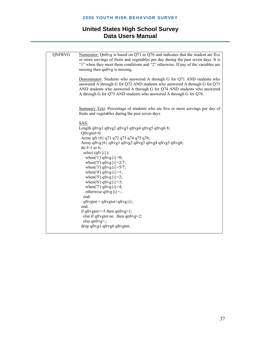| QNFRVG | Numerator: Qnfrvg is based on Q71 to Q76 and indicates that the student ate five<br>or more servings of fruits and vegetables per day during the past seven days. It is<br>"1" when they meet these conditions and "2" otherwise. If any of the variables are                                          |
|--------|--------------------------------------------------------------------------------------------------------------------------------------------------------------------------------------------------------------------------------------------------------------------------------------------------------|
|        | missing then qnfrvg is missing.                                                                                                                                                                                                                                                                        |
|        | Denominator: Students who answered A through G for Q71 AND students who<br>answered A through G for Q72 AND students who answered A through G for Q73<br>AND students who answered A through G for Q74 AND students who answered<br>A through G for Q75 AND students who answered A through G for Q76. |
|        | Summary Text: Percentage of students who ate five or more servings per day of<br>fruits and vegetables during the past seven days                                                                                                                                                                      |
|        | SAS:                                                                                                                                                                                                                                                                                                   |
|        | Length qfrvg1 qfrvg2 qfrvg3 qfrvg4 qfrvg5 qfrvg6 8;                                                                                                                                                                                                                                                    |
|        | Qfrvgtot=0;<br>Array qfv {6} q71 q72 q73 q74 q75 q76;                                                                                                                                                                                                                                                  |
|        | Array qfrvg{6} qfrvg1 qfrvg2 qfrvg3 qfrvg4 qfrvg5 qfrvg6;                                                                                                                                                                                                                                              |
|        | do I=1 to 6;                                                                                                                                                                                                                                                                                           |
|        | select $(qfv{i})$ ;<br>when('1') $qfryg(i)=0;$                                                                                                                                                                                                                                                         |
|        | when('2') qfrvg $\{i\} = 2/7$ ;                                                                                                                                                                                                                                                                        |
|        | when('3') qfrvg $\{i\} = 5/7$ ;                                                                                                                                                                                                                                                                        |
|        | when('4') $qfryg(i)=1$ ;                                                                                                                                                                                                                                                                               |
|        | when('5') qfrvg $\{i\}$ =2;<br>when('6') qfrvg $\{i\} = 3$ ;                                                                                                                                                                                                                                           |
|        | when('7') $qfryg(i)=4;$                                                                                                                                                                                                                                                                                |
|        | otherwise qfrvg $\{i\} =$ ;                                                                                                                                                                                                                                                                            |
|        | end;                                                                                                                                                                                                                                                                                                   |
|        | $qfrygtot = qfrygtot + qfryg i;$<br>end;                                                                                                                                                                                                                                                               |
|        | if qfrvgtot $>=$ 5 then qnfrvg=1;                                                                                                                                                                                                                                                                      |
|        | else if qfrvgtot ne . then $qnfrvg=2$ ;<br>else qnfrvg= $\cdot$ ;                                                                                                                                                                                                                                      |
|        | drop qfrvg1-qfrvg6 qfrvgtot;                                                                                                                                                                                                                                                                           |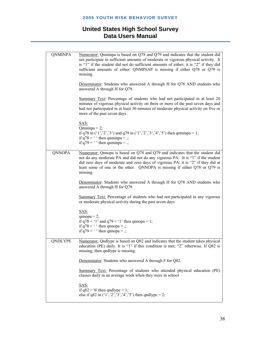#### **2005 YOUTH RISK BEHAVIOR SURVEY**

| <b>QNMINPA</b> | Numerator: Quminpa is based on Q78 and Q79 and indicates that the student did<br>not participate in sufficient amounts of moderate or vigorous physical activity. It<br>is "1" if the student did not do sufficient amounts of either; it is "2" if they did<br>sufficient amounts of either. QNMINAP is missing if either Q78 or Q79 is<br>missing.<br>Denominator: Students who answered A through H for Q78 AND students who<br>answered A through H for Q79.<br>Summary Text: Percentage of students who had not participated in at least 20<br>minutes of vigorous physical activity on three or more of the past seven days and<br>had not participated in at least 30 minutes of moderate physical activity on five or<br>more of the past seven days |
|----------------|--------------------------------------------------------------------------------------------------------------------------------------------------------------------------------------------------------------------------------------------------------------------------------------------------------------------------------------------------------------------------------------------------------------------------------------------------------------------------------------------------------------------------------------------------------------------------------------------------------------------------------------------------------------------------------------------------------------------------------------------------------------|
|                | SAS:<br>$Qnminpa = 2;$<br>if q78 in $(1', 2', 3')$ and q79 in $(1', 2', 3', 4', 5')$ then qnminpa = 1;<br>if $q78 =$ ' ' then qnminpa = .;<br>if $q79 =$ ' ' then qnminpa = .;                                                                                                                                                                                                                                                                                                                                                                                                                                                                                                                                                                               |
| <b>QNNOPA</b>  | Numerator: Qnnopa is based on Q78 and Q79 and indicates that the student did<br>not do any moderate PA and did not do any vigorous PA. It is "1" if the student<br>did zero days of moderate and zero days of vigorous PA; it is "2" if they did at<br>least some of one or the other. QNNOPA is missing if either Q78 or Q79 is<br>missing.                                                                                                                                                                                                                                                                                                                                                                                                                 |
|                | Denominator: Students who answered A through H for Q78 AND students who<br>answered A through H for Q79.                                                                                                                                                                                                                                                                                                                                                                                                                                                                                                                                                                                                                                                     |
|                | Summary Text: Percentage of students who had not participated in any vigorous<br>or moderate physical activity during the past seven days                                                                                                                                                                                                                                                                                                                                                                                                                                                                                                                                                                                                                    |
|                | SAS:<br>$qnnopa = 2;$<br>if $q78 = 1'$ and $q79 = 1'$ then qnnopa = 1;<br>if $q78 =$ ' ' then qnnopa = .;<br>if $q79 =$ ' ' then qnnopa = .;                                                                                                                                                                                                                                                                                                                                                                                                                                                                                                                                                                                                                 |
| QNDLYPE        | Numerator: Qndlype is based on Q82 and indicates that the student takes physical<br>education (PE) daily. It is "1" if this condition is met; "2" otherwise. If Q82 is<br>missing, then qndlype is missing.                                                                                                                                                                                                                                                                                                                                                                                                                                                                                                                                                  |
|                | Denominator: Students who answered A through F for Q82.                                                                                                                                                                                                                                                                                                                                                                                                                                                                                                                                                                                                                                                                                                      |
|                | Summary Text: Percentage of students who attended physical education (PE)<br>classes daily in an average week when they were in school                                                                                                                                                                                                                                                                                                                                                                                                                                                                                                                                                                                                                       |
|                | SAS:<br>if $q82 = 6'$ then qndlype = 1;<br>else if q82 in $(1', 2', 3', 4', 5')$ then qndlype = 2;                                                                                                                                                                                                                                                                                                                                                                                                                                                                                                                                                                                                                                                           |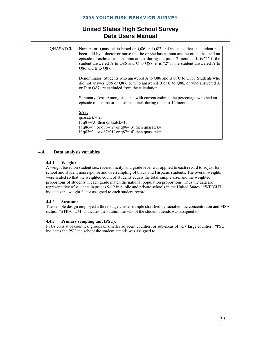| <b>QNASATCK</b> | Numerator: Quasatck is based on Q86 and Q87 and indicates that the student has<br>been told by a doctor or nurse that he or she has asthma and he or she has had an<br>episode of asthma or an asthma attack during the past 12 months. It is "1" if the<br>student answered A to Q86 and C to Q87; it is "2" if the student answered A to<br>Q86 and B to Q87. |
|-----------------|-----------------------------------------------------------------------------------------------------------------------------------------------------------------------------------------------------------------------------------------------------------------------------------------------------------------------------------------------------------------|
|                 | Denominator: Students who answered A to Q86 and B or C to Q87. Students who<br>did not answer Q86 or Q87, or who answered B or C to Q86, or who answered A<br>or D to Q87 are excluded from the calculation.                                                                                                                                                    |
|                 | Summary Text: Among students with current asthma, the percentage who had an<br>episode of asthma or an asthma attack during the past 12 months                                                                                                                                                                                                                  |
|                 | SAS:<br>qnasatck = $2$ ;<br>If $q87 = 3$ ' then qnasatck=1;<br>If $q86=$ $\degree$ or $q86=$ $\degree$ or $q86=$ $\degree$ then quasatek = :<br>If q87=' $\degree$ or q87='1' or q87='4' then qnasatck=.;                                                                                                                                                       |

#### **4.4. Data analysis variables**

#### **4.4.1. Weight:**

A weight based on student sex, race/ethnicity, and grade level was applied to each record to adjust for school and student nonresponse and oversampling of black and Hispanic students. The overall weights were scaled so that the weighted count of students equals the total sample size, and the weighted proportions of students in each grade match the national population proportions. Thus the data are representative of students in grades 9-12 in public and private schools in the United States. "WEIGHT" indicates the weight factor assigned to each student record.

#### **4.4.2. Stratum:**

The sample design employed a three-stage cluster sample stratified by racial/ethnic concentration and MSA status. "STRATUM" indicates the stratum the school the student attends was assigned to.

#### **4.4.3. Primary sampling unit (PSU):**

PSUs consist of counties, groups of smaller adjacent counties, or sub-areas of very large counties. "PSU" indicates the PSU the school the student attends was assigned to.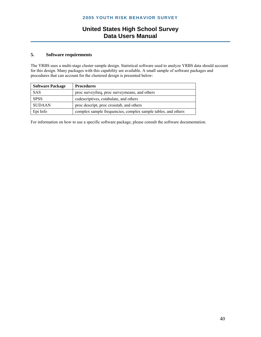#### **5. Software requirements**

The YRBS uses a multi-stage cluster sample design. Statistical software used to analyze YRBS data should account for this design. Many packages with this capability are available. A small sample of software packages and procedures that can account for the clustered design is presented below:

| <b>Software Package</b> | <b>Procedures</b>                                             |
|-------------------------|---------------------------------------------------------------|
| <b>SAS</b>              | proc survey freq, proc survey means, and others               |
| <b>SPSS</b>             | csdescriptives, cstabulate, and others                        |
| SUDAAN                  | proc descript, proc crosstab, and others                      |
| Epi Info                | complex sample frequencies, complex sample tables, and others |

For information on how to use a specific software package, please consult the software documentation.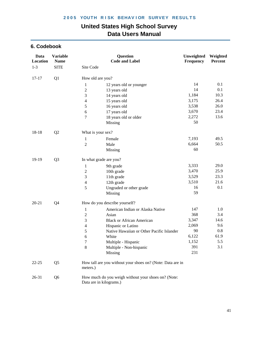#### **6. Codebook**

| Data<br>Location | <b>Variable</b><br><b>Name</b> |                         | <b>Question</b><br><b>Code and Label</b>                   | Unweighted<br>Frequency | Weighted<br>Percent |
|------------------|--------------------------------|-------------------------|------------------------------------------------------------|-------------------------|---------------------|
| $1 - 3$          | <b>SITE</b>                    | Site Code               |                                                            |                         |                     |
| $17 - 17$        | Q1                             | How old are you?        |                                                            |                         |                     |
|                  |                                | $\mathbf{1}$            | 12 years old or younger                                    | 14                      | 0.1                 |
|                  |                                | $\mathbf{2}$            | 13 years old                                               | 14                      | 0.1                 |
|                  |                                | 3                       | 14 years old                                               | 1,184                   | 10.3                |
|                  |                                | $\overline{\mathbf{4}}$ | 15 years old                                               | 3,175                   | 26.4                |
|                  |                                | 5                       | 16 years old                                               | 3,538                   | 26.0                |
|                  |                                | 6                       | 17 years old                                               | 3,670                   | 23.4                |
|                  |                                | 7                       | 18 years old or older                                      | 2,272                   | 13.6                |
|                  |                                |                         | <b>Missing</b>                                             | 50                      |                     |
| 18-18            | Q2                             | What is your sex?       |                                                            |                         |                     |
|                  |                                | 1                       | Female                                                     | 7,193                   | 49.5                |
|                  |                                | $\overline{2}$          | Male                                                       | 6,664                   | 50.5                |
|                  |                                |                         | Missing                                                    | 60                      |                     |
| 19-19            | Q <sub>3</sub>                 | In what grade are you?  |                                                            |                         |                     |
|                  |                                | $\mathbf{1}$            | 9th grade                                                  | 3,333                   | 29.0                |
|                  |                                | $\boldsymbol{2}$        | 10th grade                                                 | 3,470                   | 25.9                |
|                  |                                | 3                       | 11th grade                                                 | 3,529                   | 23.3                |
|                  |                                | $\overline{4}$          | 12th grade                                                 | 3,510                   | 21.6                |
|                  |                                | 5                       | Ungraded or other grade                                    | 16                      | 0.1                 |
|                  |                                |                         | Missing                                                    | 59                      |                     |
| 20-21            | Q4                             |                         | How do you describe yourself?                              |                         |                     |
|                  |                                | $\mathbf{1}$            | American Indian or Alaska Native                           | 147                     | 1.0                 |
|                  |                                | $\sqrt{2}$              | Asian                                                      | 368                     | 3.4                 |
|                  |                                | 3                       | <b>Black or African American</b>                           | 3,347                   | 14.6                |
|                  |                                | $\overline{\mathbf{4}}$ | Hispanic or Latino                                         | 2,069                   | 9.6                 |
|                  |                                | 5                       | Native Hawaiian or Other Pacific Islander                  | 90                      | 0.8                 |
|                  |                                | 6                       | White                                                      | 6,122                   | 61.9                |
|                  |                                | 7                       | Multiple - Hispanic                                        | 1,152                   | 5.5                 |
|                  |                                | $\,8\,$                 | Multiple - Non-hispanic                                    | 391                     | 3.1                 |
|                  |                                |                         | Missing                                                    | 231                     |                     |
| $22 - 25$        | Q <sub>5</sub>                 | meters.)                | How tall are you without your shoes on? (Note: Data are in |                         |                     |
| 26-31            | Q <sub>6</sub>                 | Data are in kilograms.) | How much do you weigh without your shoes on? (Note:        |                         |                     |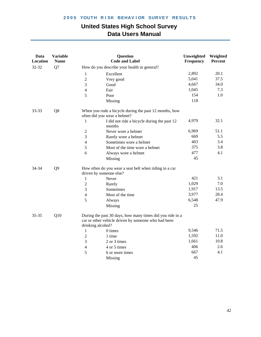| Data<br>Location | <b>Variable</b><br><b>Name</b> |                              | <b>Question</b><br><b>Code and Label</b>                                                                         | Unweighted<br>Frequency | Weighted<br>Percent |
|------------------|--------------------------------|------------------------------|------------------------------------------------------------------------------------------------------------------|-------------------------|---------------------|
| 32-32            | Q7                             |                              | How do you describe your health in general?                                                                      |                         |                     |
|                  |                                | 1                            | Excellent                                                                                                        | 2,892                   | 20.1                |
|                  |                                | $\sqrt{2}$                   | Very good                                                                                                        | 5,041                   | 37.5                |
|                  |                                | 3<br>Good                    |                                                                                                                  | 4,667                   | 34.0                |
|                  |                                | $\overline{4}$<br>Fair       |                                                                                                                  | 1,045                   | 7.3                 |
|                  |                                | 5<br>Poor                    |                                                                                                                  | 154                     | 1.0                 |
|                  |                                |                              | Missing                                                                                                          | 118                     |                     |
| 33-33            | Q8                             | often did you wear a helmet? | When you rode a bicycle during the past 12 months, how                                                           |                         |                     |
|                  |                                | 1                            | I did not ride a bicycle during the past 12<br>months                                                            | 4,979                   | 32.1                |
|                  |                                | $\sqrt{2}$                   | Never wore a helmet                                                                                              | 6,969                   | 51.1                |
|                  |                                | 3                            | Rarely wore a helmet                                                                                             | 669                     | 5.5                 |
|                  |                                | $\overline{4}$               | Sometimes wore a helmet                                                                                          | 403                     | 3.4                 |
|                  |                                | 5                            | Most of the time wore a helmet                                                                                   | 375                     | 3.8                 |
|                  |                                | 6                            | Always wore a helmet                                                                                             | 477                     | 4.1                 |
|                  |                                |                              | Missing                                                                                                          | 45                      |                     |
| 34-34            | Q <sub>9</sub>                 | driven by someone else?      | How often do you wear a seat belt when riding in a car                                                           |                         |                     |
|                  |                                | $\mathbf{1}$                 | Never                                                                                                            | 421                     | 3.1                 |
|                  |                                | $\overline{2}$               | Rarely                                                                                                           | 1,029                   | 7.0                 |
|                  |                                | 3                            | Sometimes                                                                                                        | 1,917                   | 13.5                |
|                  |                                | $\overline{4}$               | Most of the time                                                                                                 | 3,977                   | 28.4                |
|                  |                                | 5                            | Always                                                                                                           | 6,548                   | 47.9                |
|                  |                                |                              | Missing                                                                                                          | 25                      |                     |
| 35-35            | Q10                            | drinking alcohol?            | During the past 30 days, how many times did you ride in a<br>car or other vehicle driven by someone who had been |                         |                     |
|                  |                                | $\mathbf{1}$                 | 0 times                                                                                                          | 9,546                   | 71.5                |
|                  |                                | $\overline{2}$               | 1 time                                                                                                           | 1,592                   | 11.0                |
|                  |                                | 3                            | 2 or 3 times                                                                                                     | 1,661                   | 10.8                |
|                  |                                | $\overline{4}$               | 4 or 5 times                                                                                                     | 406                     | 2.6                 |
|                  |                                | 5                            | 6 or more times                                                                                                  | 667                     | 4.1                 |
|                  |                                |                              | Missing                                                                                                          | 45                      |                     |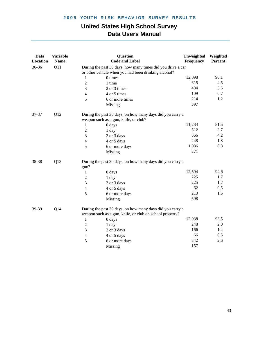| Data<br>Location | <b>Variable</b><br><b>Name</b> |                  | Question<br><b>Code and Label</b>                                                                                     | Unweighted<br>Frequency | Weighted<br>Percent |
|------------------|--------------------------------|------------------|-----------------------------------------------------------------------------------------------------------------------|-------------------------|---------------------|
| 36-36            | Q11                            |                  | During the past 30 days, how many times did you drive a car                                                           |                         |                     |
|                  |                                |                  | or other vehicle when you had been drinking alcohol?                                                                  |                         |                     |
|                  |                                | 1                | 0 times                                                                                                               | 12,098                  | 90.1                |
|                  |                                | $\overline{2}$   | 1 time                                                                                                                | 615                     | 4.5                 |
|                  |                                | 3                | 2 or 3 times                                                                                                          | 484                     | 3.5                 |
|                  |                                | $\overline{4}$   | 4 or 5 times                                                                                                          | 109                     | 0.7                 |
|                  |                                | 5                | 6 or more times                                                                                                       | 214                     | 1.2                 |
|                  |                                |                  | Missing                                                                                                               | 397                     |                     |
| 37-37            | Q12                            |                  | During the past 30 days, on how many days did you carry a                                                             |                         |                     |
|                  |                                |                  | weapon such as a gun, knife, or club?                                                                                 |                         |                     |
|                  |                                | 1                | 0 days                                                                                                                | 11,234                  | 81.5                |
|                  |                                | $\boldsymbol{2}$ | 1 day                                                                                                                 | 512                     | 3.7                 |
|                  |                                | 3                | 2 or 3 days                                                                                                           | 566                     | 4.2                 |
|                  |                                | $\overline{4}$   | 4 or 5 days                                                                                                           | 248                     | 1.8                 |
|                  |                                | 5                | 6 or more days                                                                                                        | 1,086                   | 8.8                 |
|                  |                                |                  | Missing                                                                                                               | 271                     |                     |
| 38-38            | Q13                            | gun?             | During the past 30 days, on how many days did you carry a                                                             |                         |                     |
|                  |                                | 1                | 0 days                                                                                                                | 12,594                  | 94.6                |
|                  |                                | $\overline{2}$   | 1 day                                                                                                                 | 225                     | 1.7                 |
|                  |                                | 3                | 2 or 3 days                                                                                                           | 225                     | 1.7                 |
|                  |                                | $\overline{4}$   | 4 or 5 days                                                                                                           | 62                      | 0.5                 |
|                  |                                | 5                | 6 or more days                                                                                                        | 213                     | 1.5                 |
|                  |                                |                  | Missing                                                                                                               | 598                     |                     |
| 39-39            | Q14                            |                  | During the past 30 days, on how many days did you carry a<br>weapon such as a gun, knife, or club on school property? |                         |                     |
|                  |                                | $\mathbf{1}$     | 0 days                                                                                                                | 12,938                  | 93.5                |
|                  |                                | $\mathfrak{2}$   | 1 day                                                                                                                 | 248                     | 2.0                 |
|                  |                                | 3                | 2 or 3 days                                                                                                           | 166                     | 1.4                 |
|                  |                                | $\overline{4}$   | 4 or 5 days                                                                                                           | 66                      | 0.5                 |
|                  |                                | 5                | 6 or more days                                                                                                        | 342                     | 2.6                 |
|                  |                                |                  | Missing                                                                                                               | 157                     |                     |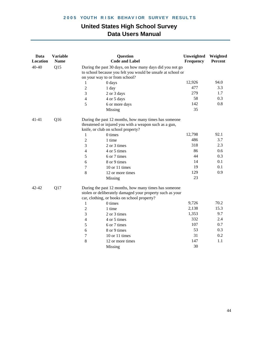| Data<br>Location | <b>Variable</b><br><b>Name</b> |                | <b>Question</b><br><b>Code and Label</b>                                                                                                                          | Unweighted<br>Frequency | Weighted<br>Percent |
|------------------|--------------------------------|----------------|-------------------------------------------------------------------------------------------------------------------------------------------------------------------|-------------------------|---------------------|
| 40-40            | Q15                            |                | During the past 30 days, on how many days did you not go                                                                                                          |                         |                     |
|                  |                                |                | to school because you felt you would be unsafe at school or                                                                                                       |                         |                     |
|                  |                                |                | on your way to or from school?                                                                                                                                    |                         |                     |
|                  |                                | $\mathbf{1}$   | 0 days                                                                                                                                                            | 12,926                  | 94.0                |
|                  |                                | $\overline{2}$ | 1 day                                                                                                                                                             | 477                     | 3.3                 |
|                  |                                | 3              | 2 or 3 days                                                                                                                                                       | 279                     | 1.7                 |
|                  |                                | $\overline{4}$ | 4 or 5 days                                                                                                                                                       | 58                      | 0.3                 |
|                  |                                | 5              | 6 or more days                                                                                                                                                    | 142                     | 0.8                 |
|                  |                                |                | Missing                                                                                                                                                           | 35                      |                     |
| 41-41            | Q16                            |                | During the past 12 months, how many times has someone<br>threatened or injured you with a weapon such as a gun,<br>knife, or club on school property?             |                         |                     |
|                  |                                | 1              | 0 times                                                                                                                                                           | 12,798                  | 92.1                |
|                  |                                | $\overline{2}$ | 1 time                                                                                                                                                            | 486                     | 3.7                 |
|                  |                                | 3              | 2 or 3 times                                                                                                                                                      | 318                     | 2.3                 |
|                  |                                | $\overline{4}$ | 4 or 5 times                                                                                                                                                      | 86                      | 0.6                 |
|                  |                                | 5              | 6 or 7 times                                                                                                                                                      | 44                      | 0.3                 |
|                  |                                | 6              | 8 or 9 times                                                                                                                                                      | 14                      | 0.1                 |
|                  |                                | $\tau$         | 10 or 11 times                                                                                                                                                    | 19                      | 0.1                 |
|                  |                                | 8              | 12 or more times                                                                                                                                                  | 129                     | 0.9                 |
|                  |                                |                | Missing                                                                                                                                                           | 23                      |                     |
| 42-42            | Q17                            |                | During the past 12 months, how many times has someone<br>stolen or deliberately damaged your property such as your<br>car, clothing, or books on school property? |                         |                     |
|                  |                                | $\mathbf{1}$   | 0 times                                                                                                                                                           | 9,726                   | 70.2                |
|                  |                                | $\overline{2}$ | 1 time                                                                                                                                                            | 2,138                   | 15.3                |
|                  |                                | 3              | 2 or 3 times                                                                                                                                                      | 1,353                   | 9.7                 |
|                  |                                | $\overline{4}$ | 4 or 5 times                                                                                                                                                      | 332                     | 2.4                 |
|                  |                                | 5              | 6 or 7 times                                                                                                                                                      | 107                     | 0.7                 |
|                  |                                | 6              | 8 or 9 times                                                                                                                                                      | 53                      | 0.3                 |
|                  |                                | $\tau$         | 10 or 11 times                                                                                                                                                    | 31                      | 0.2                 |
|                  |                                | 8              | 12 or more times                                                                                                                                                  | 147                     | 1.1                 |
|                  |                                |                | Missing                                                                                                                                                           | 30                      |                     |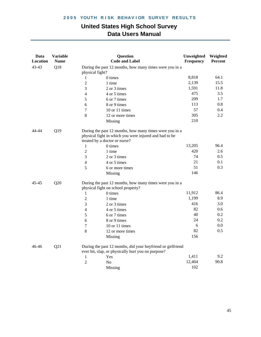| Data<br>Location | <b>Variable</b><br><b>Name</b> |                          | Question<br><b>Code and Label</b>                                                                                                                  | Unweighted<br>Frequency | Weighted<br>Percent |
|------------------|--------------------------------|--------------------------|----------------------------------------------------------------------------------------------------------------------------------------------------|-------------------------|---------------------|
| 43-43            | Q18                            | physical fight?          | During the past 12 months, how many times were you in a                                                                                            |                         |                     |
|                  |                                | 1                        | 0 times                                                                                                                                            | 8,818                   | 64.1                |
|                  |                                | $\overline{c}$           | 1 time                                                                                                                                             | 2,139                   | 15.5                |
|                  |                                | 3                        | 2 or 3 times                                                                                                                                       | 1,591                   | 11.8                |
|                  |                                | 4                        | 4 or 5 times                                                                                                                                       | 475                     | 3.5                 |
|                  |                                | 5                        | 6 or 7 times                                                                                                                                       | 209                     | 1.7                 |
|                  |                                | 6                        | 8 or 9 times                                                                                                                                       | 113                     | 0.8                 |
|                  |                                | 7                        | 10 or 11 times                                                                                                                                     | 57                      | 0.4                 |
|                  |                                | 8                        | 12 or more times                                                                                                                                   | 305                     | 2.2                 |
|                  |                                |                          | Missing                                                                                                                                            | 210                     |                     |
| 44-44            | Q19                            |                          | During the past 12 months, how many times were you in a<br>physical fight in which you were injured and had to be<br>treated by a doctor or nurse? |                         |                     |
|                  |                                | $\mathbf{1}$             | 0 times                                                                                                                                            | 13,205                  | 96.4                |
|                  |                                | $\overline{2}$           | 1 time                                                                                                                                             | 420                     | 2.6                 |
|                  |                                | 3                        | 2 or 3 times                                                                                                                                       | 74                      | 0.5                 |
|                  |                                | $\overline{\mathcal{L}}$ | 4 or 5 times                                                                                                                                       | 21                      | 0.1                 |
|                  |                                | 5                        | 6 or more times                                                                                                                                    | 51                      | 0.3                 |
|                  |                                |                          | Missing                                                                                                                                            | 146                     |                     |
| Q20<br>45-45     |                                |                          | During the past 12 months, how many times were you in a<br>physical fight on school property?                                                      |                         |                     |
|                  |                                | 1                        | 0 times                                                                                                                                            | 11,912                  | 86.4                |
|                  |                                | $\overline{c}$           | 1 time                                                                                                                                             | 1,199                   | 8.9                 |
|                  |                                | 3                        | 2 or 3 times                                                                                                                                       | 416                     | 3.0                 |
|                  |                                | 4                        | 4 or 5 times                                                                                                                                       | 82                      | 0.6                 |
|                  |                                | 5                        | 6 or 7 times                                                                                                                                       | 40                      | 0.2                 |
|                  |                                | 6                        | 8 or 9 times                                                                                                                                       | 24                      | 0.2                 |
|                  |                                | $\overline{7}$           | 10 or 11 times                                                                                                                                     | 6                       | 0.0                 |
|                  |                                | 8                        | 12 or more times                                                                                                                                   | 82                      | 0.5                 |
|                  |                                |                          | Missing                                                                                                                                            | 156                     |                     |
| 46-46            | Q21                            |                          | During the past 12 months, did your boyfriend or girlfriend<br>ever hit, slap, or physically hurt you on purpose?                                  |                         |                     |
|                  |                                | $\mathbf{1}$             | Yes                                                                                                                                                | 1,411                   | 9.2                 |
|                  |                                | $\overline{2}$           | No                                                                                                                                                 | 12,404                  | 90.8                |
|                  |                                |                          | Missing                                                                                                                                            | 102                     |                     |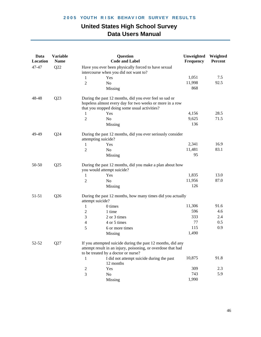| Data<br><b>Location</b> | <b>Variable</b><br><b>Name</b> | <b>Question</b><br><b>Code and Label</b>                                                                                                                           | Unweighted<br>Frequency | Weighted<br>Percent |
|-------------------------|--------------------------------|--------------------------------------------------------------------------------------------------------------------------------------------------------------------|-------------------------|---------------------|
| 47-47                   | Q22                            | Have you ever been physically forced to have sexual<br>intercourse when you did not want to?                                                                       |                         |                     |
|                         |                                | $\mathbf{1}$<br>Yes                                                                                                                                                | 1,051                   | 7.5                 |
|                         |                                | $\overline{2}$<br>No                                                                                                                                               | 11,998                  | 92.5                |
|                         |                                | Missing                                                                                                                                                            | 868                     |                     |
| 48-48                   | Q23                            | During the past 12 months, did you ever feel so sad or<br>hopeless almost every day for two weeks or more in a row                                                 |                         |                     |
|                         |                                | that you stopped doing some usual activities?                                                                                                                      |                         |                     |
|                         |                                | Yes<br>1                                                                                                                                                           | 4,156                   | 28.5                |
|                         |                                | $\overline{2}$<br>No                                                                                                                                               | 9,625                   | 71.5                |
|                         |                                | Missing                                                                                                                                                            | 136                     |                     |
| 49-49                   | Q24                            | During the past 12 months, did you ever seriously consider<br>attempting suicide?                                                                                  |                         |                     |
|                         |                                | Yes<br>1                                                                                                                                                           | 2,341                   | 16.9                |
|                         |                                | No<br>$\overline{2}$                                                                                                                                               | 11,481                  | 83.1                |
|                         |                                | Missing                                                                                                                                                            | 95                      |                     |
| 50-50                   | Q25                            | During the past 12 months, did you make a plan about how<br>you would attempt suicide?                                                                             |                         |                     |
|                         |                                | 1<br>Yes                                                                                                                                                           | 1,835                   | 13.0                |
|                         |                                | $\mathfrak{2}$<br>No                                                                                                                                               | 11,956                  | 87.0                |
|                         |                                | Missing                                                                                                                                                            | 126                     |                     |
| 51-51                   | Q26                            | During the past 12 months, how many times did you actually<br>attempt suicide?                                                                                     |                         |                     |
|                         |                                | 0 times<br>1                                                                                                                                                       | 11,306                  | 91.6                |
|                         |                                | $\mathfrak{2}$<br>1 time                                                                                                                                           | 596                     | 4.6                 |
|                         |                                | 3<br>2 or 3 times                                                                                                                                                  | 333                     | 2.4                 |
|                         |                                | 4 or 5 times<br>4                                                                                                                                                  | 77                      | 0.5                 |
|                         |                                | 5<br>6 or more times                                                                                                                                               | 115                     | 0.9                 |
|                         |                                | Missing                                                                                                                                                            | 1,490                   |                     |
| 52-52                   | Q27                            | If you attempted suicide during the past 12 months, did any<br>attempt result in an injury, poisoning, or overdose that had<br>to be treated by a doctor or nurse? |                         |                     |
|                         |                                | I did not attempt suicide during the past<br>1<br>12 months                                                                                                        | 10,875                  | 91.8                |
|                         |                                | Yes<br>2                                                                                                                                                           | 309                     | 2.3                 |
|                         |                                | 3<br>No                                                                                                                                                            | 743                     | 5.9                 |
|                         |                                | Missing                                                                                                                                                            | 1,990                   |                     |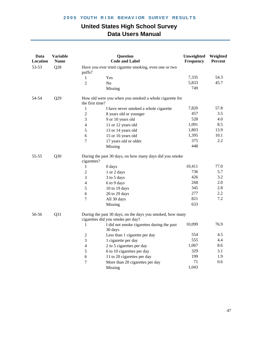| Data<br>Location | <b>Variable</b><br><b>Name</b> |                                                                  | <b>Question</b><br><b>Code and Label</b>                                                       | Unweighted<br>Frequency | Weighted<br>Percent |  |  |
|------------------|--------------------------------|------------------------------------------------------------------|------------------------------------------------------------------------------------------------|-------------------------|---------------------|--|--|
| 53-53            | Q28                            | Have you ever tried cigarette smoking, even one or two<br>puffs? |                                                                                                |                         |                     |  |  |
|                  |                                | $\mathbf{1}$                                                     | Yes                                                                                            | 7,335                   | 54.3                |  |  |
|                  |                                | $\overline{2}$                                                   | No                                                                                             | 5,833                   | 45.7                |  |  |
|                  |                                |                                                                  | Missing                                                                                        | 749                     |                     |  |  |
| 54-54            | Q29                            | the first time?                                                  | How old were you when you smoked a whole cigarette for                                         |                         |                     |  |  |
|                  |                                | 1                                                                | I have never smoked a whole cigarette                                                          | 7,820                   | 57.8                |  |  |
|                  |                                | $\overline{2}$                                                   | 8 years old or younger                                                                         | 457                     | 3.5                 |  |  |
|                  |                                | 3                                                                | 9 or 10 years old                                                                              | 528                     | 4.0                 |  |  |
|                  |                                | 4                                                                | 11 or 12 years old                                                                             | 1,091                   | 8.5                 |  |  |
|                  |                                | 5                                                                | 13 or 14 years old                                                                             | 1,803                   | 13.9                |  |  |
|                  |                                | 6                                                                | 15 or 16 years old                                                                             | 1,395                   | 10.1                |  |  |
|                  |                                | 7                                                                | 17 years old or older                                                                          | 375                     | 2.2                 |  |  |
|                  |                                |                                                                  | Missing                                                                                        | 448                     |                     |  |  |
| 55-55            | Q30                            | cigarettes?                                                      | During the past 30 days, on how many days did you smoke                                        |                         |                     |  |  |
|                  |                                | 1                                                                | 0 days                                                                                         | 10,411                  | 77.0                |  |  |
|                  |                                | $\overline{2}$                                                   | 1 or 2 days                                                                                    | 736                     | 5.7                 |  |  |
|                  |                                | 3                                                                | 3 to 5 days                                                                                    | 426                     | 3.2                 |  |  |
|                  |                                | $\overline{4}$                                                   | 6 to 9 days                                                                                    | 268                     | $2.0\,$             |  |  |
|                  |                                | 5                                                                | 10 to 19 days                                                                                  | 345                     | 2.8                 |  |  |
|                  |                                | 6                                                                | 20 to 29 days                                                                                  | 277                     | 2.2                 |  |  |
|                  |                                | 7                                                                | All 30 days                                                                                    | 821                     | 7.2                 |  |  |
|                  |                                |                                                                  | Missing                                                                                        | 633                     |                     |  |  |
| 56-56            | Q31                            |                                                                  | During the past 30 days, on the days you smoked, how many<br>cigarettes did you smoke per day? |                         |                     |  |  |
|                  |                                | 1                                                                | I did not smoke cigarettes during the past<br>30 days                                          | 10,099                  | 76.9                |  |  |
|                  |                                | $\sqrt{2}$                                                       | Less than 1 cigarette per day                                                                  | 554                     | 4.5                 |  |  |
|                  |                                | 3                                                                | 1 cigarette per day                                                                            | 555                     | 4.4                 |  |  |
|                  |                                | 4                                                                | 2 to 5 cigarettes per day                                                                      | 1,067                   | 8.6                 |  |  |
|                  |                                | 5                                                                | 6 to 10 cigarettes per day                                                                     | 329                     | 3.1                 |  |  |
|                  |                                | 6                                                                | 11 to 20 cigarettes per day                                                                    | 199                     | 1.9                 |  |  |
|                  |                                | 7                                                                | More than 20 cigarettes per day                                                                | 71                      | 0.6                 |  |  |
|                  |                                |                                                                  | Missing                                                                                        | 1,043                   |                     |  |  |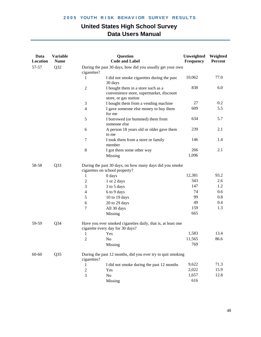| Data<br><b>Location</b> | <b>Variable</b><br><b>Name</b> |                  | <b>Question</b><br><b>Code and Label</b>                                                                | Unweighted<br>Frequency | Weighted<br>Percent |
|-------------------------|--------------------------------|------------------|---------------------------------------------------------------------------------------------------------|-------------------------|---------------------|
| 57-57                   | Q32                            | cigarettes?      | During the past 30 days, how did you usually get your own                                               |                         |                     |
|                         |                                | 1                | I did not smoke cigarettes during the past<br>30 days                                                   | 10,062                  | 77.0                |
|                         |                                | $\overline{c}$   | I bought them in a store such as a<br>convenience store, supermarket, discount<br>store, or gas station | 838                     | 6.0                 |
|                         |                                | 3                | I bought them from a vending machine                                                                    | 27                      | 0.2                 |
|                         |                                | $\overline{4}$   | I gave someone else money to buy them<br>for me                                                         | 609                     | 5.5                 |
|                         |                                | 5                | I borrowed (or bummed) them from<br>someone else                                                        | 634                     | 5.7                 |
|                         |                                | 6                | A person 18 years old or older gave them<br>to me                                                       | 239                     | 2.1                 |
|                         |                                | 7                | I took them from a store or family<br>member                                                            | 146                     | 1.4                 |
|                         |                                | 8                | I got them some other way                                                                               | 266                     | 2.1                 |
|                         |                                |                  | Missing                                                                                                 | 1,096                   |                     |
| 58-58                   | Q <sub>3</sub> 3               |                  | During the past 30 days, on how many days did you smoke<br>cigarettes on school property?               |                         |                     |
|                         |                                | 1                | 0 days                                                                                                  | 12,381                  | 93.2                |
|                         |                                | $\boldsymbol{2}$ | 1 or 2 days                                                                                             | 343                     | 2.6                 |
|                         |                                | 3                | 3 to 5 days                                                                                             | 147                     | 1.2                 |
|                         |                                | 4                | 6 to 9 days                                                                                             | 74                      | 0.6                 |
|                         |                                | 5                | 10 to 19 days                                                                                           | 99                      | 0.8                 |
|                         |                                | 6                | 20 to 29 days                                                                                           | 49                      | 0.4                 |
|                         |                                | $\overline{7}$   | All 30 days                                                                                             | 159                     | 1.3                 |
|                         |                                |                  | Missing                                                                                                 | 665                     |                     |
| 59-59                   | Q <sub>34</sub>                |                  | Have you ever smoked cigarettes daily, that is, at least one<br>cigarette every day for 30 days?        |                         |                     |
|                         |                                | 1                | Yes                                                                                                     | 1,583                   | 13.4                |
|                         |                                | $\mathfrak{2}$   | No                                                                                                      | 11,565                  | 86.6                |
|                         |                                |                  | Missing                                                                                                 | 769                     |                     |
| 60-60                   | Q <sub>35</sub>                | cigarettes?      | During the past 12 months, did you ever try to quit smoking                                             |                         |                     |
|                         |                                | 1                | I did not smoke during the past 12 months                                                               | 9,622                   | 71.3                |
|                         |                                | $\mathfrak{2}$   | Yes                                                                                                     | 2,022                   | 15.9                |
|                         |                                | 3                | N <sub>o</sub>                                                                                          | 1,657                   | 12.8                |
|                         |                                |                  | Missing                                                                                                 | 616                     |                     |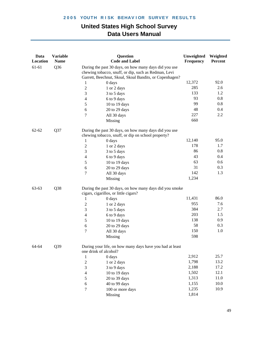| 61-61<br>Q <sub>36</sub><br>During the past 30 days, on how many days did you use<br>chewing tobacco, snuff, or dip, such as Redman, Levi<br>Garrett, Beechnut, Skoal, Skoal Bandits, or Copenhagen?<br>92.0<br>12,372<br>0 days<br>$\mathbf{1}$<br>285<br>2.6<br>$\boldsymbol{2}$<br>1 or 2 days<br>133<br>1.2<br>3<br>3 to 5 days<br>93<br>0.8<br>$\overline{4}$<br>6 to 9 days<br>99<br>0.8<br>5<br>10 to 19 days<br>48<br>0.4<br>20 to 29 days<br>6<br>227<br>2.2<br>7<br>All 30 days<br>660<br>Missing<br>Q37<br>$62 - 62$<br>During the past 30 days, on how many days did you use<br>chewing tobacco, snuff, or dip on school property?<br>95.0<br>12,140<br>$\mathbf{1}$<br>0 days<br>178<br>1.7<br>$\boldsymbol{2}$<br>1 or 2 days<br>0.8<br>86<br>$\mathfrak{Z}$<br>3 to 5 days<br>43<br>0.4<br>$\overline{4}$<br>6 to 9 days<br>0.6<br>63<br>5<br>10 to 19 days<br>31<br>0.3<br>6<br>20 to 29 days<br>142<br>1.3<br>$\overline{7}$<br>All 30 days<br>1,234<br>Missing<br>Q38<br>During the past 30 days, on how many days did you smoke<br>63-63<br>cigars, cigarillos, or little cigars?<br>11,431<br>86.0<br>0 days<br>1<br>955<br>7.6<br>$\boldsymbol{2}$<br>1 or 2 days<br>384<br>2.7<br>3<br>3 to 5 days<br>203<br>1.5<br>6 to 9 days<br>$\overline{4}$<br>138<br>0.9<br>5<br>10 to 19 days<br>58<br>0.3<br>6<br>20 to 29 days<br>150<br>1.0<br>$\overline{7}$<br>All 30 days<br>598<br>Missing<br>64-64<br>Q39<br>During your life, on how many days have you had at least<br>one drink of alcohol?<br>2,912<br>25.7<br>0 days<br>1<br>1,798<br>13.2<br>$\sqrt{2}$<br>1 or 2 days<br>17.2<br>2,188<br>3<br>3 to 9 days<br>12.1<br>1,502<br>$\overline{4}$<br>10 to 19 days<br>1,313<br>11.0<br>5<br>20 to 39 days<br>$10.0\,$<br>1,155<br>$\sqrt{6}$<br>40 to 99 days<br>1,235<br>10.9<br>$\boldsymbol{7}$<br>100 or more days<br>1,814<br>Missing | Data<br>Location | <b>Variable</b><br><b>Name</b> | <b>Question</b><br><b>Code and Label</b> | Unweighted<br>Frequency | Weighted<br>Percent |
|---------------------------------------------------------------------------------------------------------------------------------------------------------------------------------------------------------------------------------------------------------------------------------------------------------------------------------------------------------------------------------------------------------------------------------------------------------------------------------------------------------------------------------------------------------------------------------------------------------------------------------------------------------------------------------------------------------------------------------------------------------------------------------------------------------------------------------------------------------------------------------------------------------------------------------------------------------------------------------------------------------------------------------------------------------------------------------------------------------------------------------------------------------------------------------------------------------------------------------------------------------------------------------------------------------------------------------------------------------------------------------------------------------------------------------------------------------------------------------------------------------------------------------------------------------------------------------------------------------------------------------------------------------------------------------------------------------------------------------------------------------------------------------------------------------------------------------------------------------------------|------------------|--------------------------------|------------------------------------------|-------------------------|---------------------|
|                                                                                                                                                                                                                                                                                                                                                                                                                                                                                                                                                                                                                                                                                                                                                                                                                                                                                                                                                                                                                                                                                                                                                                                                                                                                                                                                                                                                                                                                                                                                                                                                                                                                                                                                                                                                                                                                     |                  |                                |                                          |                         |                     |
|                                                                                                                                                                                                                                                                                                                                                                                                                                                                                                                                                                                                                                                                                                                                                                                                                                                                                                                                                                                                                                                                                                                                                                                                                                                                                                                                                                                                                                                                                                                                                                                                                                                                                                                                                                                                                                                                     |                  |                                |                                          |                         |                     |
|                                                                                                                                                                                                                                                                                                                                                                                                                                                                                                                                                                                                                                                                                                                                                                                                                                                                                                                                                                                                                                                                                                                                                                                                                                                                                                                                                                                                                                                                                                                                                                                                                                                                                                                                                                                                                                                                     |                  |                                |                                          |                         |                     |
|                                                                                                                                                                                                                                                                                                                                                                                                                                                                                                                                                                                                                                                                                                                                                                                                                                                                                                                                                                                                                                                                                                                                                                                                                                                                                                                                                                                                                                                                                                                                                                                                                                                                                                                                                                                                                                                                     |                  |                                |                                          |                         |                     |
|                                                                                                                                                                                                                                                                                                                                                                                                                                                                                                                                                                                                                                                                                                                                                                                                                                                                                                                                                                                                                                                                                                                                                                                                                                                                                                                                                                                                                                                                                                                                                                                                                                                                                                                                                                                                                                                                     |                  |                                |                                          |                         |                     |
|                                                                                                                                                                                                                                                                                                                                                                                                                                                                                                                                                                                                                                                                                                                                                                                                                                                                                                                                                                                                                                                                                                                                                                                                                                                                                                                                                                                                                                                                                                                                                                                                                                                                                                                                                                                                                                                                     |                  |                                |                                          |                         |                     |
|                                                                                                                                                                                                                                                                                                                                                                                                                                                                                                                                                                                                                                                                                                                                                                                                                                                                                                                                                                                                                                                                                                                                                                                                                                                                                                                                                                                                                                                                                                                                                                                                                                                                                                                                                                                                                                                                     |                  |                                |                                          |                         |                     |
|                                                                                                                                                                                                                                                                                                                                                                                                                                                                                                                                                                                                                                                                                                                                                                                                                                                                                                                                                                                                                                                                                                                                                                                                                                                                                                                                                                                                                                                                                                                                                                                                                                                                                                                                                                                                                                                                     |                  |                                |                                          |                         |                     |
|                                                                                                                                                                                                                                                                                                                                                                                                                                                                                                                                                                                                                                                                                                                                                                                                                                                                                                                                                                                                                                                                                                                                                                                                                                                                                                                                                                                                                                                                                                                                                                                                                                                                                                                                                                                                                                                                     |                  |                                |                                          |                         |                     |
|                                                                                                                                                                                                                                                                                                                                                                                                                                                                                                                                                                                                                                                                                                                                                                                                                                                                                                                                                                                                                                                                                                                                                                                                                                                                                                                                                                                                                                                                                                                                                                                                                                                                                                                                                                                                                                                                     |                  |                                |                                          |                         |                     |
|                                                                                                                                                                                                                                                                                                                                                                                                                                                                                                                                                                                                                                                                                                                                                                                                                                                                                                                                                                                                                                                                                                                                                                                                                                                                                                                                                                                                                                                                                                                                                                                                                                                                                                                                                                                                                                                                     |                  |                                |                                          |                         |                     |
|                                                                                                                                                                                                                                                                                                                                                                                                                                                                                                                                                                                                                                                                                                                                                                                                                                                                                                                                                                                                                                                                                                                                                                                                                                                                                                                                                                                                                                                                                                                                                                                                                                                                                                                                                                                                                                                                     |                  |                                |                                          |                         |                     |
|                                                                                                                                                                                                                                                                                                                                                                                                                                                                                                                                                                                                                                                                                                                                                                                                                                                                                                                                                                                                                                                                                                                                                                                                                                                                                                                                                                                                                                                                                                                                                                                                                                                                                                                                                                                                                                                                     |                  |                                |                                          |                         |                     |
|                                                                                                                                                                                                                                                                                                                                                                                                                                                                                                                                                                                                                                                                                                                                                                                                                                                                                                                                                                                                                                                                                                                                                                                                                                                                                                                                                                                                                                                                                                                                                                                                                                                                                                                                                                                                                                                                     |                  |                                |                                          |                         |                     |
|                                                                                                                                                                                                                                                                                                                                                                                                                                                                                                                                                                                                                                                                                                                                                                                                                                                                                                                                                                                                                                                                                                                                                                                                                                                                                                                                                                                                                                                                                                                                                                                                                                                                                                                                                                                                                                                                     |                  |                                |                                          |                         |                     |
|                                                                                                                                                                                                                                                                                                                                                                                                                                                                                                                                                                                                                                                                                                                                                                                                                                                                                                                                                                                                                                                                                                                                                                                                                                                                                                                                                                                                                                                                                                                                                                                                                                                                                                                                                                                                                                                                     |                  |                                |                                          |                         |                     |
|                                                                                                                                                                                                                                                                                                                                                                                                                                                                                                                                                                                                                                                                                                                                                                                                                                                                                                                                                                                                                                                                                                                                                                                                                                                                                                                                                                                                                                                                                                                                                                                                                                                                                                                                                                                                                                                                     |                  |                                |                                          |                         |                     |
|                                                                                                                                                                                                                                                                                                                                                                                                                                                                                                                                                                                                                                                                                                                                                                                                                                                                                                                                                                                                                                                                                                                                                                                                                                                                                                                                                                                                                                                                                                                                                                                                                                                                                                                                                                                                                                                                     |                  |                                |                                          |                         |                     |
|                                                                                                                                                                                                                                                                                                                                                                                                                                                                                                                                                                                                                                                                                                                                                                                                                                                                                                                                                                                                                                                                                                                                                                                                                                                                                                                                                                                                                                                                                                                                                                                                                                                                                                                                                                                                                                                                     |                  |                                |                                          |                         |                     |
|                                                                                                                                                                                                                                                                                                                                                                                                                                                                                                                                                                                                                                                                                                                                                                                                                                                                                                                                                                                                                                                                                                                                                                                                                                                                                                                                                                                                                                                                                                                                                                                                                                                                                                                                                                                                                                                                     |                  |                                |                                          |                         |                     |
|                                                                                                                                                                                                                                                                                                                                                                                                                                                                                                                                                                                                                                                                                                                                                                                                                                                                                                                                                                                                                                                                                                                                                                                                                                                                                                                                                                                                                                                                                                                                                                                                                                                                                                                                                                                                                                                                     |                  |                                |                                          |                         |                     |
|                                                                                                                                                                                                                                                                                                                                                                                                                                                                                                                                                                                                                                                                                                                                                                                                                                                                                                                                                                                                                                                                                                                                                                                                                                                                                                                                                                                                                                                                                                                                                                                                                                                                                                                                                                                                                                                                     |                  |                                |                                          |                         |                     |
|                                                                                                                                                                                                                                                                                                                                                                                                                                                                                                                                                                                                                                                                                                                                                                                                                                                                                                                                                                                                                                                                                                                                                                                                                                                                                                                                                                                                                                                                                                                                                                                                                                                                                                                                                                                                                                                                     |                  |                                |                                          |                         |                     |
|                                                                                                                                                                                                                                                                                                                                                                                                                                                                                                                                                                                                                                                                                                                                                                                                                                                                                                                                                                                                                                                                                                                                                                                                                                                                                                                                                                                                                                                                                                                                                                                                                                                                                                                                                                                                                                                                     |                  |                                |                                          |                         |                     |
|                                                                                                                                                                                                                                                                                                                                                                                                                                                                                                                                                                                                                                                                                                                                                                                                                                                                                                                                                                                                                                                                                                                                                                                                                                                                                                                                                                                                                                                                                                                                                                                                                                                                                                                                                                                                                                                                     |                  |                                |                                          |                         |                     |
|                                                                                                                                                                                                                                                                                                                                                                                                                                                                                                                                                                                                                                                                                                                                                                                                                                                                                                                                                                                                                                                                                                                                                                                                                                                                                                                                                                                                                                                                                                                                                                                                                                                                                                                                                                                                                                                                     |                  |                                |                                          |                         |                     |
|                                                                                                                                                                                                                                                                                                                                                                                                                                                                                                                                                                                                                                                                                                                                                                                                                                                                                                                                                                                                                                                                                                                                                                                                                                                                                                                                                                                                                                                                                                                                                                                                                                                                                                                                                                                                                                                                     |                  |                                |                                          |                         |                     |
|                                                                                                                                                                                                                                                                                                                                                                                                                                                                                                                                                                                                                                                                                                                                                                                                                                                                                                                                                                                                                                                                                                                                                                                                                                                                                                                                                                                                                                                                                                                                                                                                                                                                                                                                                                                                                                                                     |                  |                                |                                          |                         |                     |
|                                                                                                                                                                                                                                                                                                                                                                                                                                                                                                                                                                                                                                                                                                                                                                                                                                                                                                                                                                                                                                                                                                                                                                                                                                                                                                                                                                                                                                                                                                                                                                                                                                                                                                                                                                                                                                                                     |                  |                                |                                          |                         |                     |
|                                                                                                                                                                                                                                                                                                                                                                                                                                                                                                                                                                                                                                                                                                                                                                                                                                                                                                                                                                                                                                                                                                                                                                                                                                                                                                                                                                                                                                                                                                                                                                                                                                                                                                                                                                                                                                                                     |                  |                                |                                          |                         |                     |
|                                                                                                                                                                                                                                                                                                                                                                                                                                                                                                                                                                                                                                                                                                                                                                                                                                                                                                                                                                                                                                                                                                                                                                                                                                                                                                                                                                                                                                                                                                                                                                                                                                                                                                                                                                                                                                                                     |                  |                                |                                          |                         |                     |
|                                                                                                                                                                                                                                                                                                                                                                                                                                                                                                                                                                                                                                                                                                                                                                                                                                                                                                                                                                                                                                                                                                                                                                                                                                                                                                                                                                                                                                                                                                                                                                                                                                                                                                                                                                                                                                                                     |                  |                                |                                          |                         |                     |
|                                                                                                                                                                                                                                                                                                                                                                                                                                                                                                                                                                                                                                                                                                                                                                                                                                                                                                                                                                                                                                                                                                                                                                                                                                                                                                                                                                                                                                                                                                                                                                                                                                                                                                                                                                                                                                                                     |                  |                                |                                          |                         |                     |
|                                                                                                                                                                                                                                                                                                                                                                                                                                                                                                                                                                                                                                                                                                                                                                                                                                                                                                                                                                                                                                                                                                                                                                                                                                                                                                                                                                                                                                                                                                                                                                                                                                                                                                                                                                                                                                                                     |                  |                                |                                          |                         |                     |
|                                                                                                                                                                                                                                                                                                                                                                                                                                                                                                                                                                                                                                                                                                                                                                                                                                                                                                                                                                                                                                                                                                                                                                                                                                                                                                                                                                                                                                                                                                                                                                                                                                                                                                                                                                                                                                                                     |                  |                                |                                          |                         |                     |
|                                                                                                                                                                                                                                                                                                                                                                                                                                                                                                                                                                                                                                                                                                                                                                                                                                                                                                                                                                                                                                                                                                                                                                                                                                                                                                                                                                                                                                                                                                                                                                                                                                                                                                                                                                                                                                                                     |                  |                                |                                          |                         |                     |
|                                                                                                                                                                                                                                                                                                                                                                                                                                                                                                                                                                                                                                                                                                                                                                                                                                                                                                                                                                                                                                                                                                                                                                                                                                                                                                                                                                                                                                                                                                                                                                                                                                                                                                                                                                                                                                                                     |                  |                                |                                          |                         |                     |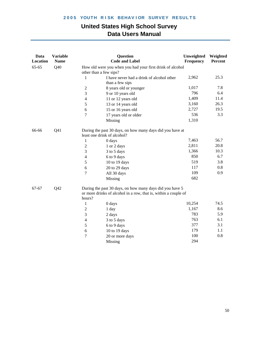| Data<br>Location | <b>Variable</b><br><b>Name</b> |                          | <b>Question</b><br><b>Code and Label</b>                                                                                    | Unweighted<br>Frequency | Weighted<br>Percent |
|------------------|--------------------------------|--------------------------|-----------------------------------------------------------------------------------------------------------------------------|-------------------------|---------------------|
| $65 - 65$        | Q40                            |                          | How old were you when you had your first drink of alcohol                                                                   |                         |                     |
|                  |                                |                          | other than a few sips?                                                                                                      |                         |                     |
|                  |                                | 1                        | I have never had a drink of alcohol other<br>than a few sips                                                                | 2,962                   | 25.3                |
|                  |                                | $\overline{2}$           | 8 years old or younger                                                                                                      | 1,017                   | 7.8                 |
|                  |                                | 3                        | 9 or 10 years old                                                                                                           | 796                     | 6.4                 |
|                  |                                | $\overline{\mathcal{L}}$ | 11 or 12 years old                                                                                                          | 1,409                   | 11.4                |
|                  |                                | 5                        | 13 or 14 years old                                                                                                          | 3,160                   | 26.3                |
|                  |                                | 6                        | 15 or 16 years old                                                                                                          | 2,727                   | 19.5                |
|                  |                                | $\overline{7}$           |                                                                                                                             | 536                     | 3.3                 |
|                  |                                |                          | 17 years old or older<br>Missing                                                                                            | 1,310                   |                     |
| 66-66            | Q <sub>41</sub>                |                          | During the past 30 days, on how many days did you have at<br>least one drink of alcohol?                                    |                         |                     |
|                  |                                | 1                        | 0 days                                                                                                                      | 7,463                   | 56.7                |
|                  |                                | $\overline{2}$           | 1 or 2 days                                                                                                                 | 2,811                   | 20.8                |
|                  |                                | 3                        | 3 to 5 days                                                                                                                 | 1,366                   | 10.3                |
|                  |                                | $\overline{4}$           | 6 to 9 days                                                                                                                 | 850                     | 6.7                 |
|                  |                                | 5                        | 10 to 19 days                                                                                                               | 519                     | 3.8                 |
|                  |                                | 6                        | 20 to 29 days                                                                                                               | 117                     | $0.8\,$             |
|                  |                                | $\overline{7}$           | All 30 days                                                                                                                 | 109                     | 0.9                 |
|                  |                                |                          | Missing                                                                                                                     | 682                     |                     |
| 67-67            | Q42                            | hours?                   | During the past 30 days, on how many days did you have 5<br>or more drinks of alcohol in a row, that is, within a couple of |                         |                     |
|                  |                                | 1                        | 0 days                                                                                                                      | 10,254                  | 74.5                |
|                  |                                | $\mathfrak{2}$           | 1 day                                                                                                                       | 1,167                   | 8.6                 |
|                  |                                | 3                        | 2 days                                                                                                                      | 783                     | 5.9                 |
|                  |                                | $\overline{\mathcal{L}}$ | 3 to 5 days                                                                                                                 | 763                     | 6.1                 |
|                  |                                | 5                        | 6 to 9 days                                                                                                                 | 377                     | 3.1                 |
|                  |                                | 6                        | 10 to 19 days                                                                                                               | 179                     | 1.1                 |
|                  |                                | $\overline{7}$           | 20 or more days                                                                                                             | 100                     | $0.8\,$             |
|                  |                                |                          | Missing                                                                                                                     | 294                     |                     |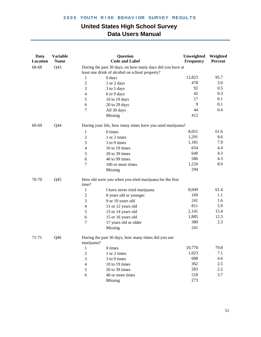| Data<br>Location | <b>Variable</b><br><b>Name</b> |                                                           | Question<br><b>Code and Label</b>                         | Unweighted<br>Frequency | Weighted<br><b>Percent</b> |  |  |
|------------------|--------------------------------|-----------------------------------------------------------|-----------------------------------------------------------|-------------------------|----------------------------|--|--|
| 68-68            | Q <sub>43</sub>                | During the past 30 days, on how many days did you have at |                                                           |                         |                            |  |  |
|                  |                                |                                                           | least one drink of alcohol on school property?            |                         |                            |  |  |
|                  |                                | $\mathbf{1}$                                              | 0 days                                                    | 12,823                  | 95.7                       |  |  |
|                  |                                | $\overline{c}$                                            | 1 or 2 days                                               | 478                     | 3.0                        |  |  |
|                  |                                | 3                                                         | 3 to 5 days                                               | 92                      | 0.5                        |  |  |
|                  |                                | 4                                                         | 6 to 9 days                                               | 42                      | 0.3                        |  |  |
|                  |                                | 5                                                         | 10 to 19 days                                             | 17                      | 0.1                        |  |  |
|                  |                                | 6                                                         | 20 to 29 days                                             | 9                       | 0.1                        |  |  |
|                  |                                | 7                                                         | All 30 days                                               | 44                      | 0.4                        |  |  |
|                  |                                |                                                           | Missing                                                   | 412                     |                            |  |  |
| 69-69            | Q44                            |                                                           | During your life, how many times have you used marijuana? |                         |                            |  |  |
|                  |                                | 1                                                         | 0 times                                                   | 8,051                   | 61.6                       |  |  |
|                  |                                | $\overline{c}$                                            | 1 or 2 times                                              | 1,291                   | 8.6                        |  |  |
|                  |                                | 3                                                         | 3 to 9 times                                              | 1,181                   | 7.9                        |  |  |
|                  |                                | $\overline{\mathcal{L}}$                                  | 10 to 19 times                                            | 654                     | 4.4                        |  |  |
|                  |                                | 5                                                         | 20 to 39 times                                            | 640                     | 4.3                        |  |  |
|                  |                                | 6                                                         | 40 to 99 times                                            | 586                     | 4.3                        |  |  |
|                  |                                | $\overline{7}$                                            | 100 or more times                                         | 1,220                   | 8.9                        |  |  |
|                  |                                |                                                           | Missing                                                   | 294                     |                            |  |  |
| 70-70            | Q <sub>45</sub>                | time?                                                     | How old were you when you tried marijuana for the first   |                         |                            |  |  |
|                  |                                | $\mathbf{1}$                                              | I have never tried marijuana                              | 8,049                   | 61.4                       |  |  |
|                  |                                | $\overline{c}$                                            | 8 years old or younger                                    | 169                     | 1.1                        |  |  |
|                  |                                | 3                                                         | 9 or 10 years old                                         | 241                     | 1.6                        |  |  |
|                  |                                | 4                                                         | 11 or 12 years old                                        | 811                     | 5.9                        |  |  |
|                  |                                | 5                                                         | 13 or 14 years old                                        | 2,141                   | 15.4                       |  |  |
|                  |                                | 6                                                         | 15 or 16 years old                                        | 1,885                   | 12.3                       |  |  |
|                  |                                | 7                                                         | 17 years old or older                                     | 380                     | 2.3                        |  |  |
|                  |                                |                                                           | Missing                                                   | 241                     |                            |  |  |
| 71-71            | Q46                            | marijuana?                                                | During the past 30 days, how many times did you use       |                         |                            |  |  |
|                  |                                | 1                                                         | 0 times                                                   | 10,770                  | 79.8                       |  |  |
|                  |                                | $\overline{c}$                                            | 1 or 2 times                                              | 1,023                   | 7.1                        |  |  |
|                  |                                | 3                                                         | 3 to 9 times                                              | 688                     | 4.6                        |  |  |
|                  |                                | 4                                                         | 10 to 19 times                                            | 362                     | 2.5                        |  |  |
|                  |                                | 5                                                         | 20 to 39 times                                            | 283                     | 2.2                        |  |  |
|                  |                                | 6                                                         | 40 or more times                                          | 518                     | 3.7                        |  |  |
|                  |                                |                                                           | Missing                                                   | 273                     |                            |  |  |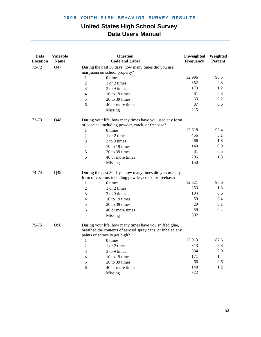| Data<br>Location | <b>Variable</b><br><b>Name</b> |                | <b>Question</b><br><b>Code and Label</b>                                                                                                                | Unweighted<br>Frequency | Weighted<br><b>Percent</b> |
|------------------|--------------------------------|----------------|---------------------------------------------------------------------------------------------------------------------------------------------------------|-------------------------|----------------------------|
| 72-72            | Q47                            |                | During the past 30 days, how many times did you use<br>marijuana on school property?                                                                    |                         |                            |
|                  |                                | 1              | 0 times                                                                                                                                                 | 12,996                  | 95.5                       |
|                  |                                | $\mathfrak{2}$ | 1 or 2 times                                                                                                                                            | 352                     | 2.3                        |
|                  |                                | 3              | 3 to 9 times                                                                                                                                            | 173                     | 1.2                        |
|                  |                                | $\overline{4}$ | 10 to 19 times                                                                                                                                          | 61                      | 0.3                        |
|                  |                                | $\sqrt{5}$     | 20 to 39 times                                                                                                                                          | 33                      | 0.2                        |
|                  |                                | 6              | 40 or more times                                                                                                                                        | 87                      | 0.6                        |
|                  |                                |                | Missing                                                                                                                                                 | 215                     |                            |
| 73-73            | Q48                            |                | During your life, how many times have you used any form<br>of cocaine, including powder, crack, or freebase?                                            |                         |                            |
|                  |                                | 1              | 0 times                                                                                                                                                 | 12,618                  | 92.4                       |
|                  |                                | $\mathfrak{2}$ | 1 or 2 times                                                                                                                                            | 456                     | 3.1                        |
|                  |                                | 3              | 3 to 9 times                                                                                                                                            | 266                     | 1.8                        |
|                  |                                | $\overline{4}$ | 10 to 19 times                                                                                                                                          | 140                     | 0.9                        |
|                  |                                | 5              | 20 to 39 times                                                                                                                                          | 81                      | 0.5                        |
|                  |                                | 6              | 40 or more times                                                                                                                                        | 206                     | 1.3                        |
|                  |                                |                | Missing                                                                                                                                                 | 150                     |                            |
| 74-74            | Q49                            |                | During the past 30 days, how many times did you use any<br>form of cocaine, including powder, crack, or freebase?                                       |                         |                            |
|                  |                                | 1              | 0 times                                                                                                                                                 | 12,821                  | 96.6                       |
|                  |                                | $\mathfrak{2}$ | 1 or 2 times                                                                                                                                            | 253                     | 1.8                        |
|                  |                                | 3              | 3 to 9 times                                                                                                                                            | 104                     | 0.6                        |
|                  |                                | $\overline{4}$ | 10 to 19 times                                                                                                                                          | 59                      | 0.4                        |
|                  |                                | 5              | 20 to 39 times                                                                                                                                          | 29                      | 0.1                        |
|                  |                                | 6              | 40 or more times                                                                                                                                        | 59                      | 0.4                        |
|                  |                                |                | Missing                                                                                                                                                 | 592                     |                            |
| 75-75            | Q50                            |                | During your life, how many times have you sniffed glue,<br>breathed the contents of aerosol spray cans, or inhaled any<br>paints or sprays to get high? |                         |                            |
|                  |                                | 1              | 0 times                                                                                                                                                 | 12,013                  | 87.6                       |
|                  |                                | $\overline{2}$ | 1 or 2 times                                                                                                                                            | 813                     | 6.3                        |
|                  |                                | 3              | 3 to 9 times                                                                                                                                            | 384                     | 2.9                        |
|                  |                                | 4              | 10 to 19 times                                                                                                                                          | 171                     | 1.4                        |
|                  |                                | 5              | 20 to 39 times                                                                                                                                          | 66                      | 0.6                        |
|                  |                                | 6              | 40 or more times                                                                                                                                        | 148                     | 1.2                        |
|                  |                                |                | Missing                                                                                                                                                 | 322                     |                            |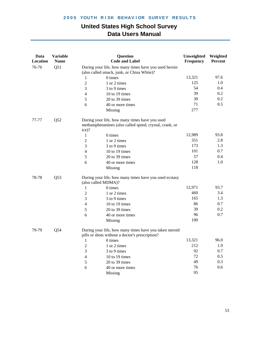| Data<br>Location | <b>Variable</b><br><b>Name</b> |                                                                                                     | <b>Question</b><br><b>Code and Label</b>                                                                   | Unweighted<br>Frequency | Weighted<br>Percent |
|------------------|--------------------------------|-----------------------------------------------------------------------------------------------------|------------------------------------------------------------------------------------------------------------|-------------------------|---------------------|
| 76-76            | Q51                            | During your life, how many times have you used heroin<br>(also called smack, junk, or China White)? |                                                                                                            |                         |                     |
|                  |                                | 1                                                                                                   | 0 times                                                                                                    | 13,321                  | 97.6                |
|                  |                                | $\mathfrak{2}$                                                                                      | 1 or 2 times                                                                                               | 125                     | 1.0                 |
|                  |                                | 3                                                                                                   | 3 to 9 times                                                                                               | 54                      | 0.4                 |
|                  |                                | $\overline{4}$                                                                                      | 10 to 19 times                                                                                             | 39                      | 0.2                 |
|                  |                                | 5                                                                                                   | 20 to 39 times                                                                                             | 30                      | 0.2                 |
|                  |                                | 6                                                                                                   | 40 or more times                                                                                           | 71                      | 0.5                 |
|                  |                                |                                                                                                     | Missing                                                                                                    | 277                     |                     |
| 77-77            | Q52                            | ice)?                                                                                               | During your life, how many times have you used<br>methamphetamines (also called speed, crystal, crank, or  |                         |                     |
|                  |                                | $\mathbf{1}$                                                                                        | 0 times                                                                                                    | 12,989                  | 93.8                |
|                  |                                | $\mathfrak{2}$                                                                                      | 1 or 2 times                                                                                               | 351                     | 2.8                 |
|                  |                                | 3                                                                                                   | 3 to 9 times                                                                                               | 173                     | 1.3                 |
|                  |                                | $\overline{4}$                                                                                      | 10 to 19 times                                                                                             | 101                     | 0.7                 |
|                  |                                | 5                                                                                                   | 20 to 39 times                                                                                             | 57                      | 0.4                 |
|                  |                                | 6                                                                                                   | 40 or more times                                                                                           | 128                     | 1.0                 |
|                  |                                |                                                                                                     | Missing                                                                                                    | 118                     |                     |
| 78-78            | Q53                            | (also called MDMA)?                                                                                 | During your life, how many times have you used ecstasy                                                     |                         |                     |
|                  |                                | 1                                                                                                   | 0 times                                                                                                    | 12,971                  | 93.7                |
|                  |                                | $\mathfrak{2}$                                                                                      | 1 or 2 times                                                                                               | 460                     | 3.4                 |
|                  |                                | 3                                                                                                   | 3 to 9 times                                                                                               | 165                     | 1.3                 |
|                  |                                | $\overline{4}$                                                                                      | 10 to 19 times                                                                                             | 86                      | 0.7                 |
|                  |                                | 5                                                                                                   | 20 to 39 times                                                                                             | 39                      | 0.2                 |
|                  |                                | 6                                                                                                   | 40 or more times                                                                                           | 96                      | 0.7                 |
|                  |                                |                                                                                                     | Missing                                                                                                    | 100                     |                     |
| 79-79            | Q <sub>54</sub>                |                                                                                                     | During your life, how many times have you taken steroid<br>pills or shots without a doctor's prescription? |                         |                     |
|                  |                                | 1                                                                                                   | 0 times                                                                                                    | 13,321                  | 96.0                |
|                  |                                | $\mathfrak{2}$                                                                                      | 1 or 2 times                                                                                               | 212                     | 1.9                 |
|                  |                                | 3                                                                                                   | 3 to 9 times                                                                                               | 92                      | 0.7                 |
|                  |                                | $\overline{4}$                                                                                      | 10 to 19 times                                                                                             | 72                      | 0.5                 |
|                  |                                | 5                                                                                                   | 20 to 39 times                                                                                             | 49                      | 0.3                 |
|                  |                                | 6                                                                                                   | 40 or more times                                                                                           | 76                      | 0.6                 |
|                  |                                |                                                                                                     | Missing                                                                                                    | 95                      |                     |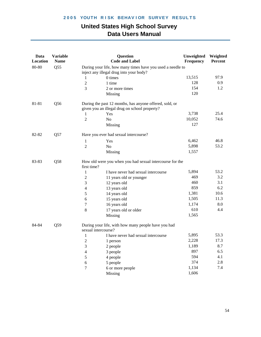| Data<br>Location | <b>Variable</b><br><b>Name</b> |                          | <b>Question</b><br><b>Code and Label</b>                                                                 | Unweighted<br>Frequency | Weighted<br>Percent |
|------------------|--------------------------------|--------------------------|----------------------------------------------------------------------------------------------------------|-------------------------|---------------------|
| 80-80            | Q55                            |                          | During your life, how many times have you used a needle to<br>inject any illegal drug into your body?    |                         |                     |
|                  |                                | 1                        | 0 times                                                                                                  | 13,515                  | 97.9                |
|                  |                                | $\overline{2}$           | 1 time                                                                                                   | 128                     | 0.9                 |
|                  |                                | 3                        | 2 or more times                                                                                          | 154                     | 1.2                 |
|                  |                                |                          | Missing                                                                                                  | 120                     |                     |
| 81-81            | Q <sub>56</sub>                |                          | During the past 12 months, has anyone offered, sold, or<br>given you an illegal drug on school property? |                         |                     |
|                  |                                | 1                        | Yes                                                                                                      | 3,738                   | 25.4                |
|                  |                                | 2                        | N <sub>o</sub>                                                                                           | 10,052                  | 74.6                |
|                  |                                |                          | Missing                                                                                                  | 127                     |                     |
| 82-82            | Q57                            |                          | Have you ever had sexual intercourse?                                                                    |                         |                     |
|                  |                                | $\mathbf{1}$             | Yes                                                                                                      | 6,462                   | 46.8                |
|                  |                                | $\overline{2}$           | N <sub>o</sub>                                                                                           | 5,898                   | 53.2                |
|                  |                                |                          | Missing                                                                                                  | 1,557                   |                     |
| 83-83            | Q58                            | first time?              | How old were you when you had sexual intercourse for the                                                 |                         |                     |
|                  |                                | 1                        | I have never had sexual intercourse                                                                      | 5,894                   | 53.2                |
|                  |                                | $\overline{2}$           | 11 years old or younger                                                                                  | 469                     | 3.2                 |
|                  |                                | 3                        | 12 years old                                                                                             | 460                     | 3.1                 |
|                  |                                | $\overline{\mathcal{L}}$ | 13 years old                                                                                             | 859                     | 6.2                 |
|                  |                                | 5                        | 14 years old                                                                                             | 1,381                   | 10.6                |
|                  |                                | 6                        | 15 years old                                                                                             | 1,505                   | 11.3                |
|                  |                                | 7                        | 16 years old                                                                                             | 1,174                   | 8.0                 |
|                  |                                | $\,8\,$                  | 17 years old or older                                                                                    | 610                     | 4.4                 |
|                  |                                |                          | Missing                                                                                                  | 1,565                   |                     |
| 84-84            | Q59                            | sexual intercourse?      | During your life, with how many people have you had                                                      |                         |                     |
|                  |                                | $\mathbf{1}$             | I have never had sexual intercourse                                                                      | 5,895                   | 53.3                |
|                  |                                | $\overline{c}$           | 1 person                                                                                                 | 2,228                   | 17.3                |
|                  |                                | $\mathfrak{Z}$           | 2 people                                                                                                 | 1,189                   | 8.7                 |
|                  |                                | $\overline{\mathbf{4}}$  | 3 people                                                                                                 | 897                     | 6.5                 |
|                  |                                | 5                        | 4 people                                                                                                 | 594                     | 4.1                 |
|                  |                                | 6                        | 5 people                                                                                                 | 374                     | 2.8                 |
|                  |                                | 7                        | 6 or more people                                                                                         | 1,134                   | 7.4                 |
|                  |                                |                          | Missing                                                                                                  | 1,606                   |                     |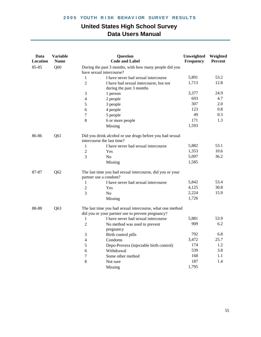| Data<br>Location | <b>Variable</b><br><b>Name</b> |                | <b>Question</b><br><b>Code and Label</b>                                                                       | Unweighted<br>Frequency | Weighted<br><b>Percent</b> |
|------------------|--------------------------------|----------------|----------------------------------------------------------------------------------------------------------------|-------------------------|----------------------------|
| 85-85            | Q60                            |                | During the past 3 months, with how many people did you<br>have sexual intercourse?                             |                         |                            |
|                  |                                | 1              | I have never had sexual intercourse                                                                            | 5,891                   | 53.2                       |
|                  |                                | $\overline{2}$ | I have had sexual intercourse, but not<br>during the past 3 months                                             | 1,713                   | 12.8                       |
|                  |                                | 3              | 1 person                                                                                                       | 3,377                   | 24.9                       |
|                  |                                | $\overline{4}$ | 2 people                                                                                                       | 693                     | 4.7                        |
|                  |                                | 5              | 3 people                                                                                                       | 307                     | 2.0                        |
|                  |                                | 6              | 4 people                                                                                                       | 123                     | 0.8                        |
|                  |                                | 7              | 5 people                                                                                                       | 49                      | 0.3                        |
|                  |                                | 8              | 6 or more people                                                                                               | 171                     | 1.3                        |
|                  |                                |                | Missing                                                                                                        | 1,593                   |                            |
| 86-86            | Q61                            |                | Did you drink alcohol or use drugs before you had sexual<br>intercourse the last time?                         |                         |                            |
|                  |                                | $\mathbf{1}$   | I have never had sexual intercourse                                                                            | 5,882                   | 53.1                       |
|                  |                                | $\overline{2}$ | Yes                                                                                                            | 1,353                   | 10.6                       |
|                  |                                | 3              | N <sub>0</sub>                                                                                                 | 5,097                   | 36.2                       |
|                  |                                |                | Missing                                                                                                        | 1,585                   |                            |
| 87-87            | Q <sub>62</sub>                |                | The last time you had sexual intercourse, did you or your<br>partner use a condom?                             |                         |                            |
|                  |                                | 1              | I have never had sexual intercourse                                                                            | 5,842                   | 53.4                       |
|                  |                                | $\overline{2}$ | Yes                                                                                                            | 4,125                   | 30.8                       |
|                  |                                | 3              | N <sub>o</sub>                                                                                                 | 2,224                   | 15.9                       |
|                  |                                |                | Missing                                                                                                        | 1,726                   |                            |
| 88-88            | Q63                            |                | The last time you had sexual intercourse, what one method<br>did you or your partner use to prevent pregnancy? |                         |                            |
|                  |                                | 1              | I have never had sexual intercourse                                                                            | 5,881                   | 53.9                       |
|                  |                                | $\overline{2}$ | No method was used to prevent                                                                                  | 909                     | 6.2                        |
|                  |                                |                | pregnancy                                                                                                      |                         |                            |
|                  |                                | 3              | Birth control pills                                                                                            | 792                     | 6.8                        |
|                  |                                | 4              | Condoms                                                                                                        | 3,472                   | 25.7                       |
|                  |                                | 5              | Depo-Provera (injectable birth control)                                                                        | 174                     | 1.2                        |
|                  |                                | 6              | Withdrawal                                                                                                     | 539                     | 3.8                        |
|                  |                                | 7              | Some other method                                                                                              | 168                     | 1.1                        |
|                  |                                | 8              | Not sure                                                                                                       | 187                     | 1.4                        |
|                  |                                |                | Missing                                                                                                        | 1,795                   |                            |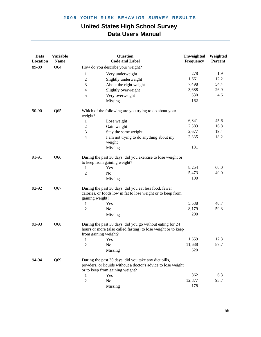| Data<br>Location | <b>Variable</b><br><b>Name</b> |                      | <b>Question</b><br><b>Code and Label</b>                                                                                                                 | Unweighted<br>Frequency | Weighted<br>Percent |
|------------------|--------------------------------|----------------------|----------------------------------------------------------------------------------------------------------------------------------------------------------|-------------------------|---------------------|
| 89-89            | Q64                            |                      | How do you describe your weight?                                                                                                                         |                         |                     |
|                  |                                | $\mathbf{1}$         | Very underweight                                                                                                                                         | 278                     | 1.9                 |
|                  |                                | $\boldsymbol{2}$     | Slightly underweight                                                                                                                                     | 1,661                   | 12.2                |
|                  |                                | 3                    | About the right weight                                                                                                                                   | 7,498                   | 54.4                |
|                  |                                | 4                    | Slightly overweight                                                                                                                                      | 3,688                   | 26.9                |
|                  |                                | 5                    | Very overweight                                                                                                                                          | 630                     | 4.6                 |
|                  |                                |                      | Missing                                                                                                                                                  | 162                     |                     |
| 90-90            | Q65                            | weight?              | Which of the following are you trying to do about your                                                                                                   |                         |                     |
|                  |                                | 1                    | Lose weight                                                                                                                                              | 6,341                   | 45.6                |
|                  |                                | $\mathfrak{2}$       | Gain weight                                                                                                                                              | 2,383                   | 16.8                |
|                  |                                | 3                    | Stay the same weight                                                                                                                                     | 2,677                   | 19.4                |
|                  |                                | 4                    | I am not trying to do anything about my<br>weight                                                                                                        | 2,335                   | 18.2                |
|                  |                                |                      | Missing                                                                                                                                                  | 181                     |                     |
| 91-91            | Q66                            |                      | During the past 30 days, did you exercise to lose weight or<br>to keep from gaining weight?                                                              |                         |                     |
|                  |                                | 1                    | Yes                                                                                                                                                      | 8,254                   | 60.0                |
|                  |                                | $\overline{c}$       | No                                                                                                                                                       | 5,473                   | 40.0                |
|                  |                                |                      | Missing                                                                                                                                                  | 190                     |                     |
| 92-92            | Q67                            | gaining weight?      | During the past 30 days, did you eat less food, fewer<br>calories, or foods low in fat to lose weight or to keep from                                    |                         |                     |
|                  |                                | 1                    | Yes                                                                                                                                                      | 5,538                   | 40.7                |
|                  |                                | $\overline{2}$       | No                                                                                                                                                       | 8,179                   | 59.3                |
|                  |                                |                      | Missing                                                                                                                                                  | 200                     |                     |
| 93-93            | Q68                            | from gaining weight? | During the past 30 days, did you go without eating for 24<br>hours or more (also called fasting) to lose weight or to keep                               |                         |                     |
|                  |                                | $\mathbf{1}$         | Yes                                                                                                                                                      | 1,659                   | 12.3                |
|                  |                                | $\overline{2}$       | No                                                                                                                                                       | 11,638                  | 87.7                |
|                  |                                |                      | Missing                                                                                                                                                  | 620                     |                     |
| 94-94            | Q69                            |                      | During the past 30 days, did you take any diet pills,<br>powders, or liquids without a doctor's advice to lose weight<br>or to keep from gaining weight? |                         |                     |
|                  |                                | 1                    | Yes                                                                                                                                                      | 862                     | 6.3                 |
|                  |                                | $\mathfrak{2}$       | No                                                                                                                                                       | 12,877                  | 93.7                |
|                  |                                |                      | Missing                                                                                                                                                  | 178                     |                     |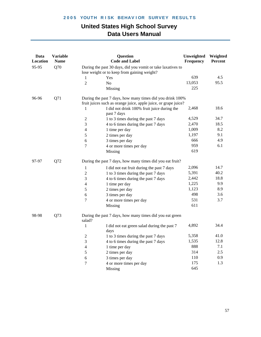| Data<br>Location | <b>Variable</b><br><b>Name</b> |                  | Question<br><b>Code and Label</b>                                                                          | Unweighted<br>Frequency | Weighted<br>Percent |
|------------------|--------------------------------|------------------|------------------------------------------------------------------------------------------------------------|-------------------------|---------------------|
| 95-95            | Q70                            |                  | During the past 30 days, did you vomit or take laxatives to<br>lose weight or to keep from gaining weight? |                         |                     |
|                  |                                | 1                | Yes                                                                                                        | 639                     | 4.5                 |
|                  |                                | $\overline{2}$   | N <sub>0</sub>                                                                                             | 13,053                  | 95.5                |
|                  |                                |                  | Missing                                                                                                    | 225                     |                     |
| 96-96            | Q71                            |                  | During the past 7 days, how many times did you drink 100%                                                  |                         |                     |
|                  |                                |                  | fruit juices such as orange juice, apple juice, or grape juice?                                            |                         |                     |
|                  |                                | 1                | I did not drink 100% fruit juice during the<br>past 7 days                                                 | 2,468                   | 18.6                |
|                  |                                | $\boldsymbol{2}$ | 1 to 3 times during the past 7 days                                                                        | 4,529                   | 34.7                |
|                  |                                | $\mathfrak{Z}$   | 4 to 6 times during the past 7 days                                                                        | 2,470                   | 18.5                |
|                  |                                | $\overline{4}$   | 1 time per day                                                                                             | 1,009                   | 8.2                 |
|                  |                                | $\mathfrak s$    | 2 times per day                                                                                            | 1,197                   | 9.1                 |
|                  |                                | 6                | 3 times per day                                                                                            | 666                     | 4.9                 |
|                  |                                | 7                | 4 or more times per day                                                                                    | 959                     | 6.1                 |
|                  |                                |                  | Missing                                                                                                    | 619                     |                     |
| 97-97            | Q72                            |                  | During the past 7 days, how many times did you eat fruit?                                                  |                         |                     |
|                  |                                | $\mathbf{1}$     | I did not eat fruit during the past 7 days                                                                 | 2,096                   | 14.7                |
|                  |                                | $\overline{2}$   | 1 to 3 times during the past 7 days                                                                        | 5,391                   | 40.2                |
|                  |                                | 3                | 4 to 6 times during the past 7 days                                                                        | 2,442                   | 18.8                |
|                  |                                | 4                | 1 time per day                                                                                             | 1,225                   | 9.9                 |
|                  |                                | 5                | 2 times per day                                                                                            | 1,123                   | 8.9                 |
|                  |                                | 6                | 3 times per day                                                                                            | 498                     | 3.6                 |
|                  |                                | 7                | 4 or more times per day                                                                                    | 531                     | 3.7                 |
|                  |                                |                  | Missing                                                                                                    | 611                     |                     |
| 98-98            | Q73                            | salad?           | During the past 7 days, how many times did you eat green                                                   |                         |                     |
|                  |                                | $\mathbf{1}$     | I did not eat green salad during the past 7<br>days                                                        | 4,892                   | 34.4                |
|                  |                                | $\boldsymbol{2}$ | 1 to 3 times during the past 7 days                                                                        | 5,358                   | 41.0                |
|                  |                                | 3                | 4 to 6 times during the past 7 days                                                                        | 1,535                   | 12.8                |
|                  |                                | 4                | 1 time per day                                                                                             | 888                     | 7.1                 |
|                  |                                | 5                | 2 times per day                                                                                            | 314                     | $2.5$               |
|                  |                                | 6                | 3 times per day                                                                                            | 110                     | 0.9                 |
|                  |                                | 7                | 4 or more times per day                                                                                    | 175                     | 1.3                 |
|                  |                                |                  | Missing                                                                                                    | 645                     |                     |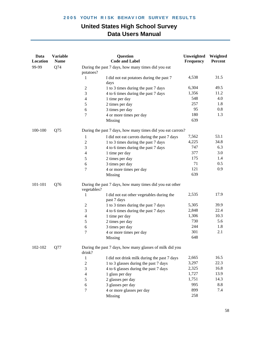| Data<br>Location | <b>Variable</b><br><b>Name</b> |                                                                 | <b>Question</b><br><b>Code and Label</b>                    | Unweighted<br>Frequency | Weighted<br><b>Percent</b> |  |
|------------------|--------------------------------|-----------------------------------------------------------------|-------------------------------------------------------------|-------------------------|----------------------------|--|
| 99-99            | Q74                            | During the past 7 days, how many times did you eat<br>potatoes? |                                                             |                         |                            |  |
|                  |                                | 1<br>days                                                       | I did not eat potatoes during the past 7                    | 4,538                   | 31.5                       |  |
|                  |                                | $\mathfrak{2}$                                                  | 1 to 3 times during the past 7 days                         | 6,304                   | 49.5                       |  |
|                  |                                | 3                                                               | 4 to 6 times during the past 7 days                         | 1,356                   | 11.2                       |  |
|                  |                                | 4<br>1 time per day                                             |                                                             | 548                     | 4.0                        |  |
|                  |                                | 2 times per day<br>$\mathfrak s$                                |                                                             | 257                     | 1.8                        |  |
|                  |                                | 3 times per day<br>6                                            |                                                             | 95                      | $0.8\,$                    |  |
|                  |                                | 7                                                               | 4 or more times per day                                     | 180                     | 1.3                        |  |
|                  |                                | Missing                                                         |                                                             | 639                     |                            |  |
| 100-100          | Q75                            |                                                                 | During the past 7 days, how many times did you eat carrots? |                         |                            |  |
|                  |                                | 1                                                               | I did not eat carrots during the past 7 days                | 7,562                   | 53.1                       |  |
|                  |                                | $\mathfrak{2}$                                                  | 1 to 3 times during the past 7 days                         | 4,225                   | 34.8                       |  |
|                  |                                | 3                                                               | 4 to 6 times during the past 7 days                         | 747                     | 6.3                        |  |
|                  |                                | 4<br>1 time per day                                             |                                                             | 377                     | 3.0                        |  |
|                  |                                | $\mathfrak s$<br>2 times per day                                |                                                             | 175                     | 1.4                        |  |
|                  |                                | 3 times per day<br>6                                            |                                                             | 71                      | 0.5                        |  |
|                  |                                | 7                                                               | 4 or more times per day                                     | 121                     | 0.9                        |  |
|                  |                                | Missing                                                         |                                                             | 639                     |                            |  |
| 101-101          | Q76                            | vegetables?                                                     | During the past 7 days, how many times did you eat other    |                         |                            |  |
|                  |                                | 1<br>past 7 days                                                | I did not eat other vegetables during the                   | 2,535                   | 17.9                       |  |
|                  |                                | $\mathfrak{2}$                                                  | 1 to 3 times during the past 7 days                         | 5,305                   | 39.9                       |  |
|                  |                                | 3                                                               | 4 to 6 times during the past 7 days                         | 2,848                   | 22.4                       |  |
|                  |                                | 1 time per day<br>4                                             |                                                             | 1,306                   | 10.3                       |  |
|                  |                                | 2 times per day<br>5                                            |                                                             | 730                     | 5.6                        |  |
|                  |                                | 3 times per day<br>6                                            |                                                             | 244                     | 1.8                        |  |
|                  |                                | 7                                                               | 4 or more times per day                                     | 301                     | 2.1                        |  |
|                  |                                | Missing                                                         |                                                             | 648                     |                            |  |
| 102-102          | Q77                            | drink?                                                          | During the past 7 days, how many glasses of milk did you    |                         |                            |  |
|                  |                                | $\mathbf{1}$                                                    | I did not drink milk during the past 7 days                 | 2,665                   | 16.5                       |  |
|                  |                                | $\overline{2}$                                                  | 1 to 3 glasses during the past 7 days                       | 3,297                   | 22.3                       |  |
|                  |                                | 3                                                               | 4 to 6 glasses during the past 7 days                       | 2,325                   | 16.8                       |  |
|                  |                                | $\overline{4}$<br>1 glass per day                               |                                                             | 1,727                   | 13.9                       |  |
|                  |                                | 5<br>2 glasses per day                                          |                                                             | 1,751                   | 14.3                       |  |
|                  |                                | 3 glasses per day<br>6                                          |                                                             | 995                     | 8.8                        |  |
|                  |                                | 7                                                               | 4 or more glasses per day                                   | 899                     | 7.4                        |  |
|                  |                                | Missing                                                         |                                                             | 258                     |                            |  |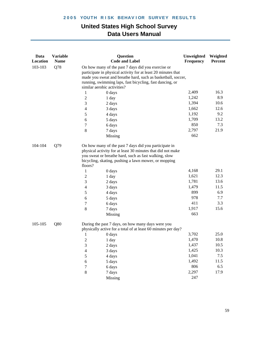| Data<br><b>Location</b> | <b>Variable</b><br><b>Name</b> |                          | <b>Question</b><br><b>Code and Label</b>                                                                                                                                                                                                                                       | Unweighted<br>Frequency | Weighted<br>Percent |
|-------------------------|--------------------------------|--------------------------|--------------------------------------------------------------------------------------------------------------------------------------------------------------------------------------------------------------------------------------------------------------------------------|-------------------------|---------------------|
| 103-103                 | Q78                            |                          | On how many of the past 7 days did you exercise or<br>participate in physical activity for at least 20 minutes that<br>made you sweat and breathe hard, such as basketball, soccer,<br>running, swimming laps, fast bicycling, fast dancing, or<br>similar aerobic activities? |                         |                     |
|                         |                                | $\mathbf{1}$             | 0 days                                                                                                                                                                                                                                                                         | 2,409                   | 16.3                |
|                         |                                | $\mathbf{2}$             | 1 day                                                                                                                                                                                                                                                                          | 1,242                   | 8.9                 |
|                         |                                | 3                        | 2 days                                                                                                                                                                                                                                                                         | 1,394                   | 10.6                |
|                         |                                | $\overline{\mathcal{L}}$ | 3 days                                                                                                                                                                                                                                                                         | 1,662                   | 12.6                |
|                         |                                | 5                        | 4 days                                                                                                                                                                                                                                                                         | 1,192                   | 9.2                 |
|                         |                                | 6                        | 5 days                                                                                                                                                                                                                                                                         | 1,709                   | 13.2                |
|                         |                                | 7                        | 6 days                                                                                                                                                                                                                                                                         | 850                     | 7.3                 |
|                         |                                | $\,8\,$                  | 7 days                                                                                                                                                                                                                                                                         | 2,797                   | 21.9                |
|                         |                                |                          | Missing                                                                                                                                                                                                                                                                        | 662                     |                     |
| 104-104                 | Q79                            | floors?                  | On how many of the past 7 days did you participate in<br>physical activity for at least 30 minutes that did not make<br>you sweat or breathe hard, such as fast walking, slow<br>bicycling, skating, pushing a lawn mower, or mopping                                          |                         |                     |
|                         |                                | $\mathbf{1}$             | 0 days                                                                                                                                                                                                                                                                         | 4,168                   | 29.1                |
|                         |                                | $\overline{c}$           | 1 day                                                                                                                                                                                                                                                                          | 1,621                   | 12.3                |
|                         |                                | 3                        | 2 days                                                                                                                                                                                                                                                                         | 1,781                   | 13.6                |
|                         |                                | $\overline{\mathbf{4}}$  | 3 days                                                                                                                                                                                                                                                                         | 1,479                   | 11.5                |
|                         |                                | 5                        | 4 days                                                                                                                                                                                                                                                                         | 899                     | 6.9                 |
|                         |                                | 6                        | 5 days                                                                                                                                                                                                                                                                         | 978                     | 7.7                 |
|                         |                                | 7                        | 6 days                                                                                                                                                                                                                                                                         | 411                     | 3.3                 |
|                         |                                | $\,8\,$                  | 7 days                                                                                                                                                                                                                                                                         | 1,917                   | 15.6                |
|                         |                                |                          | Missing                                                                                                                                                                                                                                                                        | 663                     |                     |
| 105-105                 | Q80                            |                          | During the past 7 days, on how many days were you<br>physically active for a total of at least 60 minutes per day?                                                                                                                                                             |                         |                     |
|                         |                                | 1                        | 0 days                                                                                                                                                                                                                                                                         | 3,702                   | 25.0                |
|                         |                                | $\sqrt{2}$               | 1 day                                                                                                                                                                                                                                                                          | 1,470                   | 10.8                |
|                         |                                | 3                        | 2 days                                                                                                                                                                                                                                                                         | 1,437                   | 10.5                |
|                         |                                | $\overline{4}$           | 3 days                                                                                                                                                                                                                                                                         | 1,425                   | 10.3                |
|                         |                                | 5                        | 4 days                                                                                                                                                                                                                                                                         | 1,041                   | 7.5                 |
|                         |                                | $\sqrt{6}$               | 5 days                                                                                                                                                                                                                                                                         | 1,492                   | 11.5                |
|                         |                                | 7                        | 6 days                                                                                                                                                                                                                                                                         | 806                     | 6.5                 |
|                         |                                | $\,8\,$                  | 7 days                                                                                                                                                                                                                                                                         | 2,297                   | 17.9                |
|                         |                                |                          | Missing                                                                                                                                                                                                                                                                        | 247                     |                     |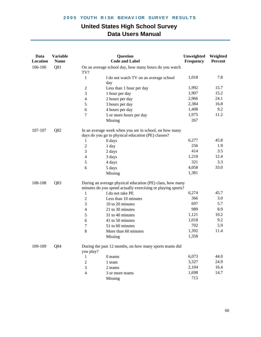| Data<br>Location | <b>Variable</b><br><b>Name</b> |                          | <b>Question</b><br><b>Code and Label</b>                                                                     | Unweighted<br>Frequency | Weighted<br>Percent |  |
|------------------|--------------------------------|--------------------------|--------------------------------------------------------------------------------------------------------------|-------------------------|---------------------|--|
| 106-106          | Q81                            | TV?                      | On an average school day, how many hours do you watch                                                        |                         |                     |  |
|                  |                                | 1                        | I do not watch TV on an average school<br>day                                                                | 1,018                   | 7.8                 |  |
|                  |                                | $\boldsymbol{2}$         | Less than 1 hour per day                                                                                     | 1,992                   | 15.7                |  |
|                  |                                | 3                        | 1 hour per day                                                                                               | 1,907                   | 15.2                |  |
|                  |                                | $\overline{\mathcal{L}}$ | 2 hours per day                                                                                              | 2,966                   | 24.1                |  |
|                  |                                | 5                        | 3 hours per day                                                                                              | 2,384                   | 16.8                |  |
|                  |                                | 6                        | 4 hours per day                                                                                              | 1,408                   | 9.2                 |  |
|                  |                                | 7                        | 5 or more hours per day                                                                                      | 1,975                   | 11.2                |  |
|                  |                                |                          | Missing                                                                                                      | 267                     |                     |  |
| 107-107          | Q82                            |                          | In an average week when you are in school, on how many<br>days do you go to physical education (PE) classes? |                         |                     |  |
|                  |                                | 1                        | 0 days                                                                                                       | 6,277                   | 45.8                |  |
|                  |                                | $\boldsymbol{2}$         | 1 day                                                                                                        | 256                     | 1.9                 |  |
|                  |                                | 3                        | 2 days                                                                                                       | 414                     | 3.5                 |  |
|                  |                                | 4                        | 3 days                                                                                                       | 1,210                   | 12.4                |  |
|                  |                                | 5                        | 4 days                                                                                                       | 321                     | 3.3                 |  |
|                  |                                | 6                        | 5 days                                                                                                       | 4,058                   | 33.0                |  |
|                  |                                |                          | Missing                                                                                                      | 1,381                   |                     |  |
| 108-108          | Q83                            |                          | During an average physical education (PE) class, how many                                                    |                         |                     |  |
|                  |                                |                          | minutes do you spend actually exercising or playing sports?                                                  |                         |                     |  |
|                  |                                | 1                        | I do not take PE                                                                                             | 6,274                   | 45.7                |  |
|                  |                                | $\boldsymbol{2}$         | Less than 10 minutes                                                                                         | 366                     | 3.0                 |  |
|                  |                                | 3                        | 10 to 20 minutes                                                                                             | 697                     | 5.7                 |  |
|                  |                                | $\overline{4}$           | 21 to 30 minutes                                                                                             | 989                     | 8.9                 |  |
|                  |                                | 5                        | 31 to 40 minutes                                                                                             | 1,121                   | 10.2<br>9.2         |  |
|                  |                                | 6                        | 41 to 50 minutes                                                                                             | 1,018<br>702            | 5.9                 |  |
|                  |                                | 7                        | 51 to 60 minutes                                                                                             |                         | 11.4                |  |
|                  |                                | $8\,$                    | More than 60 minutes                                                                                         | 1,392                   |                     |  |
|                  |                                |                          | Missing                                                                                                      | 1,358                   |                     |  |
| 109-109          | Q84                            | you play?                | During the past 12 months, on how many sports teams did                                                      |                         |                     |  |
|                  |                                | 1                        | 0 teams                                                                                                      | 6,073                   | 44.0                |  |
|                  |                                | $\overline{c}$           | 1 team                                                                                                       | 3,327                   | 24.9                |  |
|                  |                                | 3                        | 2 teams                                                                                                      | 2,104                   | 16.4                |  |
|                  |                                | 4                        | 3 or more teams                                                                                              | 1,698                   | 14.7                |  |
|                  |                                |                          | Missing                                                                                                      | 715                     |                     |  |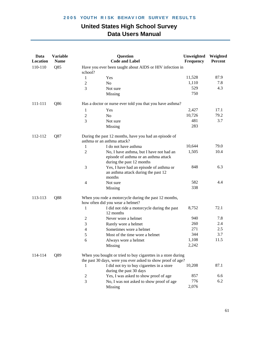| Data<br>Location | <b>Variable</b><br><b>Name</b> |                | <b>Question</b><br><b>Code and Label</b>                                                                                    | Unweighted<br>Frequency | Weighted<br><b>Percent</b> |
|------------------|--------------------------------|----------------|-----------------------------------------------------------------------------------------------------------------------------|-------------------------|----------------------------|
| 110-110          | Q85                            | school?        | Have you ever been taught about AIDS or HIV infection in                                                                    |                         |                            |
|                  |                                | 1              | Yes                                                                                                                         | 11,528                  | 87.9                       |
|                  |                                | 2              | N <sub>o</sub>                                                                                                              | 1,110                   | 7.8                        |
|                  |                                | 3              | Not sure                                                                                                                    | 529                     | 4.3                        |
|                  |                                |                | Missing                                                                                                                     | 750                     |                            |
| 111-111          | Q86                            |                | Has a doctor or nurse ever told you that you have asthma?                                                                   |                         |                            |
|                  |                                | 1              | Yes                                                                                                                         | 2,427                   | 17.1                       |
|                  |                                | $\overline{2}$ | No                                                                                                                          | 10,726                  | 79.2                       |
|                  |                                | 3              | Not sure                                                                                                                    | 481                     | 3.7                        |
|                  |                                |                | Missing                                                                                                                     | 283                     |                            |
| 112-112          | Q87                            |                | During the past 12 months, have you had an episode of<br>asthma or an asthma attack?                                        |                         |                            |
|                  |                                | 1              | I do not have asthma                                                                                                        | 10,644                  | 79.0                       |
|                  |                                | $\overline{2}$ | No, I have asthma, but I have not had an<br>episode of asthma or an asthma attack<br>during the past 12 months              | 1,505                   | 10.4                       |
|                  |                                | 3              | Yes, I have had an episode of asthma or<br>an asthma attack during the past 12<br>months                                    | 848                     | 6.3                        |
|                  |                                | 4              | Not sure                                                                                                                    | 582                     | 4.4                        |
|                  |                                |                | Missing                                                                                                                     | 338                     |                            |
| 113-113          | Q88                            |                | When you rode a motorcycle during the past 12 months,<br>how often did you wear a helmet?                                   |                         |                            |
|                  |                                | 1              | I did not ride a motorcycle during the past<br>12 months                                                                    | 8,752                   | 72.1                       |
|                  |                                | 2              | Never wore a helmet                                                                                                         | 940                     | 7.8                        |
|                  |                                | 3              | Rarely wore a helmet                                                                                                        | 260                     | 2.4                        |
|                  |                                | 4              | Sometimes wore a helmet                                                                                                     | 271                     | 2.5                        |
|                  |                                | 5              | Most of the time wore a helmet                                                                                              | 344                     | 3.7                        |
|                  |                                | 6              | Always wore a helmet                                                                                                        | 1,108                   | 11.5                       |
|                  |                                |                | Missing                                                                                                                     | 2,242                   |                            |
| 114-114          | Q89                            |                | When you bought or tried to buy cigarettes in a store during<br>the past 30 days, were you ever asked to show proof of age? |                         |                            |
|                  |                                | 1              | I did not try to buy cigarettes in a store<br>during the past 30 days                                                       | 10,208                  | 87.1                       |
|                  |                                | $\overline{c}$ | Yes, I was asked to show proof of age                                                                                       | 857                     | 6.6                        |
|                  |                                | 3              | No, I was not asked to show proof of age                                                                                    | 776                     | 6.2                        |
|                  |                                |                | Missing                                                                                                                     | 2,076                   |                            |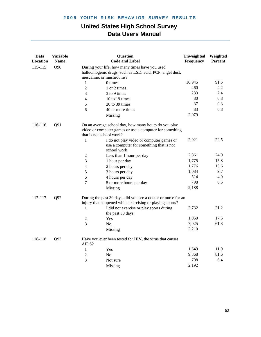| Data<br>Location | <b>Variable</b><br><b>Name</b> |                          | <b>Question</b><br><b>Code and Label</b>                                                                                  | Unweighted<br>Frequency | Weighted<br>Percent |
|------------------|--------------------------------|--------------------------|---------------------------------------------------------------------------------------------------------------------------|-------------------------|---------------------|
| 115-115          | Q90                            | mescaline, or mushrooms? | During your life, how many times have you used<br>hallucinogenic drugs, such as LSD, acid, PCP, angel dust,               |                         |                     |
|                  |                                | 1                        | 0 times                                                                                                                   | 10,945                  | 91.5                |
|                  |                                | $\overline{2}$           | 1 or 2 times                                                                                                              | 460                     | 4.2                 |
|                  |                                | 3                        | 3 to 9 times                                                                                                              | 233                     | 2.4                 |
|                  |                                | 4                        | 10 to 19 times                                                                                                            | 80                      | 0.8                 |
|                  |                                | 5                        | 20 to 39 times                                                                                                            | 37                      | 0.3                 |
|                  |                                | 6                        | 40 or more times                                                                                                          | 83                      | 0.8                 |
|                  |                                |                          | Missing                                                                                                                   | 2,079                   |                     |
| 116-116          | Q91                            | that is not school work? | On an average school day, how many hours do you play<br>video or computer games or use a computer for something           |                         |                     |
|                  |                                | 1                        | I do not play video or computer games or<br>use a computer for something that is not<br>school work                       | 2,921                   | 22.5                |
|                  |                                | $\sqrt{2}$               | Less than 1 hour per day                                                                                                  | 2,861                   | 24.9                |
|                  |                                | 3                        | 1 hour per day                                                                                                            | 1,775                   | 15.8                |
|                  |                                | $\overline{4}$           | 2 hours per day                                                                                                           | 1,776                   | 15.6                |
|                  |                                | 5                        | 3 hours per day                                                                                                           | 1,084                   | 9.7                 |
|                  |                                | 6                        | 4 hours per day                                                                                                           | 514                     | 4.9                 |
|                  |                                | 7                        | 5 or more hours per day                                                                                                   | 798                     | 6.5                 |
|                  |                                |                          | Missing                                                                                                                   | 2,188                   |                     |
| 117-117          | Q92                            |                          | During the past 30 days, did you see a doctor or nurse for an<br>injury that happened while exercising or playing sports? |                         |                     |
|                  |                                | 1                        | I did not exercise or play sports during<br>the past 30 days                                                              | 2,732                   | 21.2                |
|                  |                                | $\boldsymbol{2}$         | Yes                                                                                                                       | 1,950                   | 17.5                |
|                  |                                | 3                        | No                                                                                                                        | 7,025                   | 61.3                |
|                  |                                |                          | Missing                                                                                                                   | 2,210                   |                     |
| 118-118          | Q93                            | AIDS?                    | Have you ever been tested for HIV, the virus that causes                                                                  |                         |                     |
|                  |                                | 1                        | Yes                                                                                                                       | 1,649                   | 11.9                |
|                  |                                | $\overline{2}$           | N <sub>0</sub>                                                                                                            | 9,368                   | 81.6                |
|                  |                                | 3                        | Not sure                                                                                                                  | 708                     | 6.4                 |
|                  |                                |                          | Missing                                                                                                                   | 2,192                   |                     |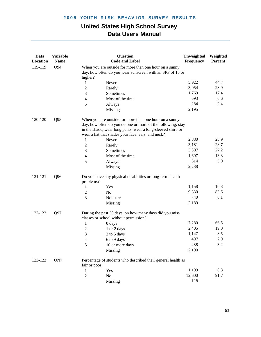| 119-119<br>Q94<br>When you are outside for more than one hour on a sunny<br>day, how often do you wear sunscreen with an SPF of 15 or<br>higher?<br>5,922<br>44.7<br>Never<br>1<br>28.9<br>3,054<br>$\overline{2}$<br>Rarely<br>17.4<br>1,769<br>3<br>Sometimes<br>6.6<br>693<br>Most of the time<br>4<br>284<br>2.4<br>5<br>Always<br>2,195<br>Missing<br>120-120<br>Q <sub>95</sub><br>When you are outside for more than one hour on a sunny<br>day, how often do you do one or more of the following: stay<br>in the shade, wear long pants, wear a long-sleeved shirt, or<br>wear a hat that shades your face, ears, and neck?<br>25.9<br>2,880<br>1<br>Never<br>28.7<br>3,181<br>$\overline{c}$<br>Rarely<br>27.2<br>3,307<br>3<br>Sometimes<br>13.3<br>1,697<br>Most of the time<br>$\overline{4}$<br>614<br>5.0<br>5<br>Always<br>2,238<br>Missing<br>Q96<br>121-121<br>Do you have any physical disabilities or long-term health<br>problems?<br>10.3<br>1,158<br>Yes<br>1<br>9,830<br>83.6<br>$\overline{c}$<br>N <sub>o</sub><br>$\overline{3}$<br>740<br>6.1<br>Not sure<br>2,189<br>Missing<br>122-122<br>Q97<br>During the past 30 days, on how many days did you miss<br>classes or school without permission?<br>66.5<br>7,280<br>1<br>0 days<br>19.0<br>2,405<br>$\mathbf{2}$<br>1 or 2 days<br>8.5<br>3<br>1,147<br>3 to 5 days<br>407<br>2.9<br>4<br>6 to 9 days<br>488<br>3.2<br>5<br>10 or more days<br>2,190<br><b>Missing</b><br>QN7<br>123-123<br>Percentage of students who described their general health as<br>fair or poor<br>8.3<br>1,199 | Data<br>Location | <b>Variable</b><br><b>Name</b> |              | <b>Question</b><br><b>Code and Label</b> | Unweighted<br>Frequency | Weighted<br>Percent |
|------------------------------------------------------------------------------------------------------------------------------------------------------------------------------------------------------------------------------------------------------------------------------------------------------------------------------------------------------------------------------------------------------------------------------------------------------------------------------------------------------------------------------------------------------------------------------------------------------------------------------------------------------------------------------------------------------------------------------------------------------------------------------------------------------------------------------------------------------------------------------------------------------------------------------------------------------------------------------------------------------------------------------------------------------------------------------------------------------------------------------------------------------------------------------------------------------------------------------------------------------------------------------------------------------------------------------------------------------------------------------------------------------------------------------------------------------------------------------------------------------------------------------------------------------------------------|------------------|--------------------------------|--------------|------------------------------------------|-------------------------|---------------------|
|                                                                                                                                                                                                                                                                                                                                                                                                                                                                                                                                                                                                                                                                                                                                                                                                                                                                                                                                                                                                                                                                                                                                                                                                                                                                                                                                                                                                                                                                                                                                                                        |                  |                                |              |                                          |                         |                     |
|                                                                                                                                                                                                                                                                                                                                                                                                                                                                                                                                                                                                                                                                                                                                                                                                                                                                                                                                                                                                                                                                                                                                                                                                                                                                                                                                                                                                                                                                                                                                                                        |                  |                                |              |                                          |                         |                     |
|                                                                                                                                                                                                                                                                                                                                                                                                                                                                                                                                                                                                                                                                                                                                                                                                                                                                                                                                                                                                                                                                                                                                                                                                                                                                                                                                                                                                                                                                                                                                                                        |                  |                                |              |                                          |                         |                     |
|                                                                                                                                                                                                                                                                                                                                                                                                                                                                                                                                                                                                                                                                                                                                                                                                                                                                                                                                                                                                                                                                                                                                                                                                                                                                                                                                                                                                                                                                                                                                                                        |                  |                                |              |                                          |                         |                     |
|                                                                                                                                                                                                                                                                                                                                                                                                                                                                                                                                                                                                                                                                                                                                                                                                                                                                                                                                                                                                                                                                                                                                                                                                                                                                                                                                                                                                                                                                                                                                                                        |                  |                                |              |                                          |                         |                     |
|                                                                                                                                                                                                                                                                                                                                                                                                                                                                                                                                                                                                                                                                                                                                                                                                                                                                                                                                                                                                                                                                                                                                                                                                                                                                                                                                                                                                                                                                                                                                                                        |                  |                                |              |                                          |                         |                     |
|                                                                                                                                                                                                                                                                                                                                                                                                                                                                                                                                                                                                                                                                                                                                                                                                                                                                                                                                                                                                                                                                                                                                                                                                                                                                                                                                                                                                                                                                                                                                                                        |                  |                                |              |                                          |                         |                     |
|                                                                                                                                                                                                                                                                                                                                                                                                                                                                                                                                                                                                                                                                                                                                                                                                                                                                                                                                                                                                                                                                                                                                                                                                                                                                                                                                                                                                                                                                                                                                                                        |                  |                                |              |                                          |                         |                     |
|                                                                                                                                                                                                                                                                                                                                                                                                                                                                                                                                                                                                                                                                                                                                                                                                                                                                                                                                                                                                                                                                                                                                                                                                                                                                                                                                                                                                                                                                                                                                                                        |                  |                                |              |                                          |                         |                     |
|                                                                                                                                                                                                                                                                                                                                                                                                                                                                                                                                                                                                                                                                                                                                                                                                                                                                                                                                                                                                                                                                                                                                                                                                                                                                                                                                                                                                                                                                                                                                                                        |                  |                                |              |                                          |                         |                     |
|                                                                                                                                                                                                                                                                                                                                                                                                                                                                                                                                                                                                                                                                                                                                                                                                                                                                                                                                                                                                                                                                                                                                                                                                                                                                                                                                                                                                                                                                                                                                                                        |                  |                                |              |                                          |                         |                     |
|                                                                                                                                                                                                                                                                                                                                                                                                                                                                                                                                                                                                                                                                                                                                                                                                                                                                                                                                                                                                                                                                                                                                                                                                                                                                                                                                                                                                                                                                                                                                                                        |                  |                                |              |                                          |                         |                     |
|                                                                                                                                                                                                                                                                                                                                                                                                                                                                                                                                                                                                                                                                                                                                                                                                                                                                                                                                                                                                                                                                                                                                                                                                                                                                                                                                                                                                                                                                                                                                                                        |                  |                                |              |                                          |                         |                     |
|                                                                                                                                                                                                                                                                                                                                                                                                                                                                                                                                                                                                                                                                                                                                                                                                                                                                                                                                                                                                                                                                                                                                                                                                                                                                                                                                                                                                                                                                                                                                                                        |                  |                                |              |                                          |                         |                     |
|                                                                                                                                                                                                                                                                                                                                                                                                                                                                                                                                                                                                                                                                                                                                                                                                                                                                                                                                                                                                                                                                                                                                                                                                                                                                                                                                                                                                                                                                                                                                                                        |                  |                                |              |                                          |                         |                     |
|                                                                                                                                                                                                                                                                                                                                                                                                                                                                                                                                                                                                                                                                                                                                                                                                                                                                                                                                                                                                                                                                                                                                                                                                                                                                                                                                                                                                                                                                                                                                                                        |                  |                                |              |                                          |                         |                     |
|                                                                                                                                                                                                                                                                                                                                                                                                                                                                                                                                                                                                                                                                                                                                                                                                                                                                                                                                                                                                                                                                                                                                                                                                                                                                                                                                                                                                                                                                                                                                                                        |                  |                                |              |                                          |                         |                     |
|                                                                                                                                                                                                                                                                                                                                                                                                                                                                                                                                                                                                                                                                                                                                                                                                                                                                                                                                                                                                                                                                                                                                                                                                                                                                                                                                                                                                                                                                                                                                                                        |                  |                                |              |                                          |                         |                     |
|                                                                                                                                                                                                                                                                                                                                                                                                                                                                                                                                                                                                                                                                                                                                                                                                                                                                                                                                                                                                                                                                                                                                                                                                                                                                                                                                                                                                                                                                                                                                                                        |                  |                                |              |                                          |                         |                     |
|                                                                                                                                                                                                                                                                                                                                                                                                                                                                                                                                                                                                                                                                                                                                                                                                                                                                                                                                                                                                                                                                                                                                                                                                                                                                                                                                                                                                                                                                                                                                                                        |                  |                                |              |                                          |                         |                     |
|                                                                                                                                                                                                                                                                                                                                                                                                                                                                                                                                                                                                                                                                                                                                                                                                                                                                                                                                                                                                                                                                                                                                                                                                                                                                                                                                                                                                                                                                                                                                                                        |                  |                                |              |                                          |                         |                     |
|                                                                                                                                                                                                                                                                                                                                                                                                                                                                                                                                                                                                                                                                                                                                                                                                                                                                                                                                                                                                                                                                                                                                                                                                                                                                                                                                                                                                                                                                                                                                                                        |                  |                                |              |                                          |                         |                     |
|                                                                                                                                                                                                                                                                                                                                                                                                                                                                                                                                                                                                                                                                                                                                                                                                                                                                                                                                                                                                                                                                                                                                                                                                                                                                                                                                                                                                                                                                                                                                                                        |                  |                                |              |                                          |                         |                     |
|                                                                                                                                                                                                                                                                                                                                                                                                                                                                                                                                                                                                                                                                                                                                                                                                                                                                                                                                                                                                                                                                                                                                                                                                                                                                                                                                                                                                                                                                                                                                                                        |                  |                                |              |                                          |                         |                     |
|                                                                                                                                                                                                                                                                                                                                                                                                                                                                                                                                                                                                                                                                                                                                                                                                                                                                                                                                                                                                                                                                                                                                                                                                                                                                                                                                                                                                                                                                                                                                                                        |                  |                                |              |                                          |                         |                     |
|                                                                                                                                                                                                                                                                                                                                                                                                                                                                                                                                                                                                                                                                                                                                                                                                                                                                                                                                                                                                                                                                                                                                                                                                                                                                                                                                                                                                                                                                                                                                                                        |                  |                                |              |                                          |                         |                     |
|                                                                                                                                                                                                                                                                                                                                                                                                                                                                                                                                                                                                                                                                                                                                                                                                                                                                                                                                                                                                                                                                                                                                                                                                                                                                                                                                                                                                                                                                                                                                                                        |                  |                                |              |                                          |                         |                     |
|                                                                                                                                                                                                                                                                                                                                                                                                                                                                                                                                                                                                                                                                                                                                                                                                                                                                                                                                                                                                                                                                                                                                                                                                                                                                                                                                                                                                                                                                                                                                                                        |                  |                                |              |                                          |                         |                     |
|                                                                                                                                                                                                                                                                                                                                                                                                                                                                                                                                                                                                                                                                                                                                                                                                                                                                                                                                                                                                                                                                                                                                                                                                                                                                                                                                                                                                                                                                                                                                                                        |                  |                                |              |                                          |                         |                     |
|                                                                                                                                                                                                                                                                                                                                                                                                                                                                                                                                                                                                                                                                                                                                                                                                                                                                                                                                                                                                                                                                                                                                                                                                                                                                                                                                                                                                                                                                                                                                                                        |                  |                                |              |                                          |                         |                     |
|                                                                                                                                                                                                                                                                                                                                                                                                                                                                                                                                                                                                                                                                                                                                                                                                                                                                                                                                                                                                                                                                                                                                                                                                                                                                                                                                                                                                                                                                                                                                                                        |                  |                                | $\mathbf{1}$ | Yes                                      |                         |                     |
| 12,600<br>91.7<br>$\overline{c}$<br>No                                                                                                                                                                                                                                                                                                                                                                                                                                                                                                                                                                                                                                                                                                                                                                                                                                                                                                                                                                                                                                                                                                                                                                                                                                                                                                                                                                                                                                                                                                                                 |                  |                                |              |                                          |                         |                     |
| 118<br>Missing                                                                                                                                                                                                                                                                                                                                                                                                                                                                                                                                                                                                                                                                                                                                                                                                                                                                                                                                                                                                                                                                                                                                                                                                                                                                                                                                                                                                                                                                                                                                                         |                  |                                |              |                                          |                         |                     |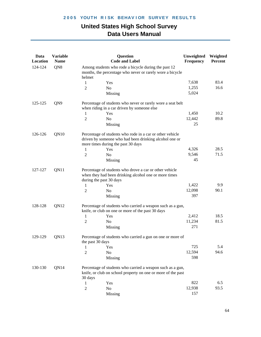| Data<br>Location | <b>Variable</b><br><b>Name</b> | <b>Question</b><br><b>Code and Label</b>                                                                                                                  | Unweighted<br>Frequency | Weighted<br>Percent |
|------------------|--------------------------------|-----------------------------------------------------------------------------------------------------------------------------------------------------------|-------------------------|---------------------|
| 124-124          | QN8                            | Among students who rode a bicycle during the past 12<br>months, the percentage who never or rarely wore a bicycle<br>helmet                               |                         |                     |
|                  |                                | 1<br>Yes                                                                                                                                                  | 7,638                   | 83.4                |
|                  |                                | $\overline{2}$<br>N <sub>o</sub>                                                                                                                          | 1,255                   | 16.6                |
|                  |                                | Missing                                                                                                                                                   | 5,024                   |                     |
| 125-125          | QN9                            | Percentage of students who never or rarely wore a seat belt<br>when riding in a car driven by someone else                                                |                         |                     |
|                  |                                | Yes<br>1                                                                                                                                                  | 1,450                   | 10.2                |
|                  |                                | $\overline{2}$<br>N <sub>o</sub>                                                                                                                          | 12,442                  | 89.8                |
|                  |                                | Missing                                                                                                                                                   | 25                      |                     |
| 126-126          | QN10                           | Percentage of students who rode in a car or other vehicle<br>driven by someone who had been drinking alcohol one or<br>more times during the past 30 days |                         |                     |
|                  |                                | Yes<br>1                                                                                                                                                  | 4,326                   | 28.5                |
|                  |                                | $\overline{c}$<br>No                                                                                                                                      | 9,546                   | 71.5                |
|                  |                                | Missing                                                                                                                                                   | 45                      |                     |
| 127-127          | QN11                           | Percentage of students who drove a car or other vehicle<br>when they had been drinking alcohol one or more times<br>during the past 30 days               |                         |                     |
|                  |                                | Yes<br>1                                                                                                                                                  | 1,422                   | 9.9                 |
|                  |                                | 2<br>No                                                                                                                                                   | 12,098                  | 90.1                |
|                  |                                | Missing                                                                                                                                                   | 397                     |                     |
| 128-128          | QN12                           | Percentage of students who carried a weapon such as a gun,<br>knife, or club on one or more of the past 30 days                                           |                         |                     |
|                  |                                | 1<br>Yes                                                                                                                                                  | 2,412                   | 18.5                |
|                  |                                | $\overline{2}$<br>N <sub>o</sub>                                                                                                                          | 11,234                  | 81.5                |
|                  |                                | Missing                                                                                                                                                   | 271                     |                     |
| 129-129          | QN13                           | Percentage of students who carried a gun on one or more of<br>the past 30 days                                                                            |                         |                     |
|                  |                                | 1<br>Yes                                                                                                                                                  | 725                     | 5.4                 |
|                  |                                | $\overline{2}$<br>No                                                                                                                                      | 12,594                  | 94.6                |
|                  |                                | Missing                                                                                                                                                   | 598                     |                     |
| 130-130          | QN14                           | Percentage of students who carried a weapon such as a gun,<br>knife, or club on school property on one or more of the past<br>30 days                     |                         |                     |
|                  |                                | 1<br>Yes                                                                                                                                                  | 822                     | 6.5                 |
|                  |                                | $\overline{2}$<br>No                                                                                                                                      | 12,938                  | 93.5                |
|                  |                                | Missing                                                                                                                                                   | 157                     |                     |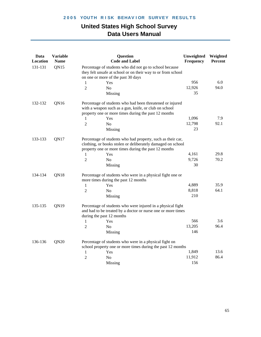| <b>QN15</b><br>131-131<br>Percentage of students who did not go to school because<br>they felt unsafe at school or on their way to or from school<br>on one or more of the past 30 days<br>956<br>6.0<br>1<br>Yes<br>12,926<br>94.0<br>$\overline{2}$<br>N <sub>0</sub><br>35<br>Missing<br>QN16<br>Percentage of students who had been threatened or injured<br>132-132<br>with a weapon such as a gun, knife, or club on school<br>property one or more times during the past 12 months<br>7.9<br>1,096<br>Yes<br>1<br>92.1<br>12,798<br>$\overline{2}$<br>N <sub>0</sub><br>23<br>Missing<br>QN17<br>133-133<br>Percentage of students who had property, such as their car,<br>clothing, or books stolen or deliberately damaged on school<br>property one or more times during the past 12 months<br>29.8<br>4,161<br>1<br>Yes<br>9,726<br>70.2<br>$\overline{2}$<br>N <sub>0</sub><br>30<br>Missing<br>134-134<br>QN18<br>Percentage of students who were in a physical fight one or<br>more times during the past 12 months<br>35.9<br>4,889<br>1<br>Yes<br>8,818<br>64.1<br>$\overline{2}$<br>N <sub>0</sub><br>210<br>Missing<br>QN19<br>135-135<br>Percentage of students who were injured in a physical fight<br>and had to be treated by a doctor or nurse one or more times<br>during the past 12 months<br>566<br>3.6<br>Yes<br>1<br>96.4<br>$\overline{2}$<br>13,205<br>N <sub>0</sub><br>146<br>Missing<br>136-136<br>QN20<br>Percentage of students who were in a physical fight on<br>school property one or more times during the past 12 months<br>1,849<br>13.6<br>$\mathbf{1}$<br>Yes<br>86.4<br>11,912<br>$\overline{c}$<br>N <sub>0</sub><br>156<br>Missing | Data<br>Location | <b>Variable</b><br><b>Name</b> | <b>Question</b><br><b>Code and Label</b> | Unweighted<br>Frequency | Weighted<br>Percent |
|------------------------------------------------------------------------------------------------------------------------------------------------------------------------------------------------------------------------------------------------------------------------------------------------------------------------------------------------------------------------------------------------------------------------------------------------------------------------------------------------------------------------------------------------------------------------------------------------------------------------------------------------------------------------------------------------------------------------------------------------------------------------------------------------------------------------------------------------------------------------------------------------------------------------------------------------------------------------------------------------------------------------------------------------------------------------------------------------------------------------------------------------------------------------------------------------------------------------------------------------------------------------------------------------------------------------------------------------------------------------------------------------------------------------------------------------------------------------------------------------------------------------------------------------------------------------------------------------------------------------------------------------------------------------------------|------------------|--------------------------------|------------------------------------------|-------------------------|---------------------|
|                                                                                                                                                                                                                                                                                                                                                                                                                                                                                                                                                                                                                                                                                                                                                                                                                                                                                                                                                                                                                                                                                                                                                                                                                                                                                                                                                                                                                                                                                                                                                                                                                                                                                    |                  |                                |                                          |                         |                     |
|                                                                                                                                                                                                                                                                                                                                                                                                                                                                                                                                                                                                                                                                                                                                                                                                                                                                                                                                                                                                                                                                                                                                                                                                                                                                                                                                                                                                                                                                                                                                                                                                                                                                                    |                  |                                |                                          |                         |                     |
|                                                                                                                                                                                                                                                                                                                                                                                                                                                                                                                                                                                                                                                                                                                                                                                                                                                                                                                                                                                                                                                                                                                                                                                                                                                                                                                                                                                                                                                                                                                                                                                                                                                                                    |                  |                                |                                          |                         |                     |
|                                                                                                                                                                                                                                                                                                                                                                                                                                                                                                                                                                                                                                                                                                                                                                                                                                                                                                                                                                                                                                                                                                                                                                                                                                                                                                                                                                                                                                                                                                                                                                                                                                                                                    |                  |                                |                                          |                         |                     |
|                                                                                                                                                                                                                                                                                                                                                                                                                                                                                                                                                                                                                                                                                                                                                                                                                                                                                                                                                                                                                                                                                                                                                                                                                                                                                                                                                                                                                                                                                                                                                                                                                                                                                    |                  |                                |                                          |                         |                     |
|                                                                                                                                                                                                                                                                                                                                                                                                                                                                                                                                                                                                                                                                                                                                                                                                                                                                                                                                                                                                                                                                                                                                                                                                                                                                                                                                                                                                                                                                                                                                                                                                                                                                                    |                  |                                |                                          |                         |                     |
|                                                                                                                                                                                                                                                                                                                                                                                                                                                                                                                                                                                                                                                                                                                                                                                                                                                                                                                                                                                                                                                                                                                                                                                                                                                                                                                                                                                                                                                                                                                                                                                                                                                                                    |                  |                                |                                          |                         |                     |
|                                                                                                                                                                                                                                                                                                                                                                                                                                                                                                                                                                                                                                                                                                                                                                                                                                                                                                                                                                                                                                                                                                                                                                                                                                                                                                                                                                                                                                                                                                                                                                                                                                                                                    |                  |                                |                                          |                         |                     |
|                                                                                                                                                                                                                                                                                                                                                                                                                                                                                                                                                                                                                                                                                                                                                                                                                                                                                                                                                                                                                                                                                                                                                                                                                                                                                                                                                                                                                                                                                                                                                                                                                                                                                    |                  |                                |                                          |                         |                     |
|                                                                                                                                                                                                                                                                                                                                                                                                                                                                                                                                                                                                                                                                                                                                                                                                                                                                                                                                                                                                                                                                                                                                                                                                                                                                                                                                                                                                                                                                                                                                                                                                                                                                                    |                  |                                |                                          |                         |                     |
|                                                                                                                                                                                                                                                                                                                                                                                                                                                                                                                                                                                                                                                                                                                                                                                                                                                                                                                                                                                                                                                                                                                                                                                                                                                                                                                                                                                                                                                                                                                                                                                                                                                                                    |                  |                                |                                          |                         |                     |
|                                                                                                                                                                                                                                                                                                                                                                                                                                                                                                                                                                                                                                                                                                                                                                                                                                                                                                                                                                                                                                                                                                                                                                                                                                                                                                                                                                                                                                                                                                                                                                                                                                                                                    |                  |                                |                                          |                         |                     |
|                                                                                                                                                                                                                                                                                                                                                                                                                                                                                                                                                                                                                                                                                                                                                                                                                                                                                                                                                                                                                                                                                                                                                                                                                                                                                                                                                                                                                                                                                                                                                                                                                                                                                    |                  |                                |                                          |                         |                     |
|                                                                                                                                                                                                                                                                                                                                                                                                                                                                                                                                                                                                                                                                                                                                                                                                                                                                                                                                                                                                                                                                                                                                                                                                                                                                                                                                                                                                                                                                                                                                                                                                                                                                                    |                  |                                |                                          |                         |                     |
|                                                                                                                                                                                                                                                                                                                                                                                                                                                                                                                                                                                                                                                                                                                                                                                                                                                                                                                                                                                                                                                                                                                                                                                                                                                                                                                                                                                                                                                                                                                                                                                                                                                                                    |                  |                                |                                          |                         |                     |
|                                                                                                                                                                                                                                                                                                                                                                                                                                                                                                                                                                                                                                                                                                                                                                                                                                                                                                                                                                                                                                                                                                                                                                                                                                                                                                                                                                                                                                                                                                                                                                                                                                                                                    |                  |                                |                                          |                         |                     |
|                                                                                                                                                                                                                                                                                                                                                                                                                                                                                                                                                                                                                                                                                                                                                                                                                                                                                                                                                                                                                                                                                                                                                                                                                                                                                                                                                                                                                                                                                                                                                                                                                                                                                    |                  |                                |                                          |                         |                     |
|                                                                                                                                                                                                                                                                                                                                                                                                                                                                                                                                                                                                                                                                                                                                                                                                                                                                                                                                                                                                                                                                                                                                                                                                                                                                                                                                                                                                                                                                                                                                                                                                                                                                                    |                  |                                |                                          |                         |                     |
|                                                                                                                                                                                                                                                                                                                                                                                                                                                                                                                                                                                                                                                                                                                                                                                                                                                                                                                                                                                                                                                                                                                                                                                                                                                                                                                                                                                                                                                                                                                                                                                                                                                                                    |                  |                                |                                          |                         |                     |
|                                                                                                                                                                                                                                                                                                                                                                                                                                                                                                                                                                                                                                                                                                                                                                                                                                                                                                                                                                                                                                                                                                                                                                                                                                                                                                                                                                                                                                                                                                                                                                                                                                                                                    |                  |                                |                                          |                         |                     |
|                                                                                                                                                                                                                                                                                                                                                                                                                                                                                                                                                                                                                                                                                                                                                                                                                                                                                                                                                                                                                                                                                                                                                                                                                                                                                                                                                                                                                                                                                                                                                                                                                                                                                    |                  |                                |                                          |                         |                     |
|                                                                                                                                                                                                                                                                                                                                                                                                                                                                                                                                                                                                                                                                                                                                                                                                                                                                                                                                                                                                                                                                                                                                                                                                                                                                                                                                                                                                                                                                                                                                                                                                                                                                                    |                  |                                |                                          |                         |                     |
|                                                                                                                                                                                                                                                                                                                                                                                                                                                                                                                                                                                                                                                                                                                                                                                                                                                                                                                                                                                                                                                                                                                                                                                                                                                                                                                                                                                                                                                                                                                                                                                                                                                                                    |                  |                                |                                          |                         |                     |
|                                                                                                                                                                                                                                                                                                                                                                                                                                                                                                                                                                                                                                                                                                                                                                                                                                                                                                                                                                                                                                                                                                                                                                                                                                                                                                                                                                                                                                                                                                                                                                                                                                                                                    |                  |                                |                                          |                         |                     |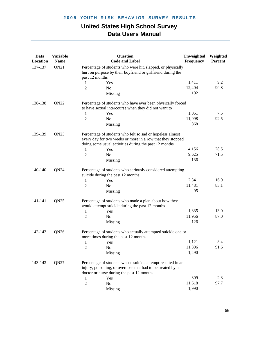| Data<br>Location | <b>Variable</b><br><b>Name</b> | <b>Question</b><br><b>Code and Label</b>                                                                                                                                         | Unweighted<br>Frequency | Weighted<br>Percent |
|------------------|--------------------------------|----------------------------------------------------------------------------------------------------------------------------------------------------------------------------------|-------------------------|---------------------|
| 137-137          | QN21                           | Percentage of students who were hit, slapped, or physically<br>hurt on purpose by their boyfriend or girlfriend during the<br>past 12 months                                     |                         |                     |
|                  |                                | Yes<br>1                                                                                                                                                                         | 1,411                   | 9.2                 |
|                  |                                | $\overline{2}$<br>N <sub>o</sub>                                                                                                                                                 | 12,404                  | 90.8                |
|                  |                                | Missing                                                                                                                                                                          | 102                     |                     |
| 138-138          | QN22                           | Percentage of students who have ever been physically forced<br>to have sexual intercourse when they did not want to                                                              |                         |                     |
|                  |                                | Yes<br>1                                                                                                                                                                         | 1,051                   | 7.5                 |
|                  |                                | 2<br>N <sub>0</sub>                                                                                                                                                              | 11,998                  | 92.5                |
|                  |                                | Missing                                                                                                                                                                          | 868                     |                     |
| 139-139          | QN23                           | Percentage of students who felt so sad or hopeless almost<br>every day for two weeks or more in a row that they stopped<br>doing some usual activities during the past 12 months |                         |                     |
|                  |                                | Yes<br>1                                                                                                                                                                         | 4,156                   | 28.5                |
|                  |                                | 2<br>N <sub>o</sub>                                                                                                                                                              | 9,625                   | 71.5                |
|                  |                                | Missing                                                                                                                                                                          | 136                     |                     |
| 140-140          | QN24                           | Percentage of students who seriously considered attempting<br>suicide during the past 12 months                                                                                  |                         |                     |
|                  |                                | Yes<br>1                                                                                                                                                                         | 2,341                   | 16.9                |
|                  |                                | 2<br>N <sub>0</sub>                                                                                                                                                              | 11,481                  | 83.1                |
|                  |                                | Missing                                                                                                                                                                          | 95                      |                     |
| 141-141          | QN25                           | Percentage of students who made a plan about how they<br>would attempt suicide during the past 12 months                                                                         |                         |                     |
|                  |                                | $\mathbf{1}$<br>Yes                                                                                                                                                              | 1,835                   | 13.0                |
|                  |                                | 2<br>No                                                                                                                                                                          | 11,956                  | 87.0                |
|                  |                                | Missing                                                                                                                                                                          | 126                     |                     |
| 142-142          | QN <sub>26</sub>               | Percentage of students who actually attempted suicide one or<br>more times during the past 12 months                                                                             |                         |                     |
|                  |                                | Yes                                                                                                                                                                              | 1,121                   | 8.4                 |
|                  |                                | $\overline{2}$<br>N <sub>0</sub>                                                                                                                                                 | 11,306                  | 91.6                |
|                  |                                | Missing                                                                                                                                                                          | 1,490                   |                     |
| 143-143          | QN27                           | Percentage of students whose suicide attempt resulted in an<br>injury, poisoning, or overdose that had to be treated by a<br>doctor or nurse during the past 12 months           |                         |                     |
|                  |                                | Yes<br>1                                                                                                                                                                         | 309                     | 2.3                 |
|                  |                                | $\sqrt{2}$<br>No                                                                                                                                                                 | 11,618                  | 97.7                |
|                  |                                | Missing                                                                                                                                                                          | 1,990                   |                     |
|                  |                                |                                                                                                                                                                                  |                         |                     |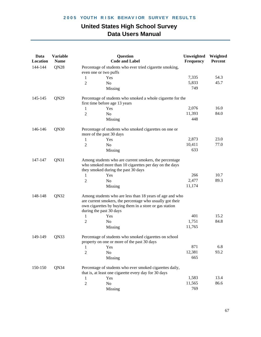| Data<br>Location | <b>Variable</b><br><b>Name</b> | <b>Question</b><br><b>Code and Label</b>                                                                                                                                                                    | Unweighted<br>Frequency | Weighted<br>Percent |
|------------------|--------------------------------|-------------------------------------------------------------------------------------------------------------------------------------------------------------------------------------------------------------|-------------------------|---------------------|
| 144-144          | QN28                           | Percentage of students who ever tried cigarette smoking,                                                                                                                                                    |                         |                     |
|                  |                                | even one or two puffs                                                                                                                                                                                       |                         |                     |
|                  |                                | Yes<br>1                                                                                                                                                                                                    | 7,335                   | 54.3                |
|                  |                                | 2<br>No                                                                                                                                                                                                     | 5,833                   | 45.7                |
|                  |                                | Missing                                                                                                                                                                                                     | 749                     |                     |
| 145-145          | QN29                           | Percentage of students who smoked a whole cigarette for the                                                                                                                                                 |                         |                     |
|                  |                                | first time before age 13 years                                                                                                                                                                              |                         |                     |
|                  |                                | Yes<br>1                                                                                                                                                                                                    | 2,076                   | 16.0                |
|                  |                                | $\overline{2}$<br>N <sub>o</sub>                                                                                                                                                                            | 11,393                  | 84.0                |
|                  |                                | Missing                                                                                                                                                                                                     | 448                     |                     |
| 146-146          | QN30                           | Percentage of students who smoked cigarettes on one or<br>more of the past 30 days                                                                                                                          |                         |                     |
|                  |                                | Yes<br>$\mathbf{1}$                                                                                                                                                                                         | 2,873                   | 23.0                |
|                  |                                | $\overline{2}$<br>No                                                                                                                                                                                        | 10,411                  | 77.0                |
|                  |                                | Missing                                                                                                                                                                                                     | 633                     |                     |
| 147-147          | QN31                           | Among students who are current smokers, the percentage<br>who smoked more than 10 cigarettes per day on the days<br>they smoked during the past 30 days                                                     |                         |                     |
|                  |                                | Yes<br>1                                                                                                                                                                                                    | 266                     | 10.7                |
|                  |                                | No<br>2                                                                                                                                                                                                     | 2,477                   | 89.3                |
|                  |                                | Missing                                                                                                                                                                                                     | 11,174                  |                     |
| 148-148          | QN32                           | Among students who are less than 18 years of age and who<br>are current smokers, the percentage who usually got their<br>own cigarettes by buying them in a store or gas station<br>during the past 30 days |                         |                     |
|                  |                                | Yes<br>1                                                                                                                                                                                                    | 401                     | 15.2                |
|                  |                                | No<br>2                                                                                                                                                                                                     | 1,751                   | 84.8                |
|                  |                                | Missing                                                                                                                                                                                                     | 11,765                  |                     |
| 149-149          | QN33                           | Percentage of students who smoked cigarettes on school<br>property on one or more of the past 30 days                                                                                                       |                         |                     |
|                  |                                | Yes<br>1                                                                                                                                                                                                    | 871                     | 6.8                 |
|                  |                                | $\overline{2}$<br>No                                                                                                                                                                                        | 12,381                  | 93.2                |
|                  |                                | Missing                                                                                                                                                                                                     | 665                     |                     |
| 150-150          | QN34                           | Percentage of students who ever smoked cigarettes daily,<br>that is, at least one cigarette every day for 30 days                                                                                           |                         |                     |
|                  |                                | Yes<br>1                                                                                                                                                                                                    | 1,583                   | 13.4                |
|                  |                                | $\overline{c}$<br>No                                                                                                                                                                                        | 11,565                  | 86.6                |
|                  |                                | Missing                                                                                                                                                                                                     | 769                     |                     |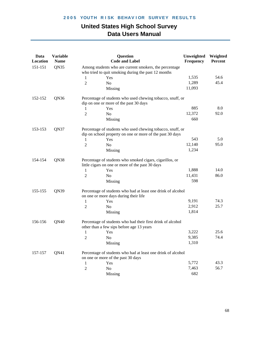| Data<br>Location | <b>Variable</b><br><b>Name</b> | <b>Question</b><br><b>Code and Label</b>                                                                                | Unweighted<br>Frequency | Weighted<br><b>Percent</b> |
|------------------|--------------------------------|-------------------------------------------------------------------------------------------------------------------------|-------------------------|----------------------------|
| 151-151          | QN35                           | Among students who are current smokers, the percentage<br>who tried to quit smoking during the past 12 months           |                         |                            |
|                  |                                | Yes<br>1                                                                                                                | 1,535                   | 54.6                       |
|                  |                                | $\overline{2}$<br>No                                                                                                    | 1,289                   | 45.4                       |
|                  |                                | Missing                                                                                                                 | 11,093                  |                            |
| 152-152          | QN36                           | Percentage of students who used chewing tobacco, snuff, or                                                              |                         |                            |
|                  |                                | dip on one or more of the past 30 days                                                                                  |                         |                            |
|                  |                                | Yes<br>1                                                                                                                | 885                     | 8.0                        |
|                  |                                | 2<br>No                                                                                                                 | 12,372                  | 92.0                       |
|                  |                                | Missing                                                                                                                 | 660                     |                            |
| 153-153          | QN37                           | Percentage of students who used chewing tobacco, snuff, or<br>dip on school property on one or more of the past 30 days |                         |                            |
|                  |                                | Yes<br>1                                                                                                                | 543                     | 5.0                        |
|                  |                                | 2<br>N <sub>o</sub>                                                                                                     | 12,140                  | 95.0                       |
|                  |                                | Missing                                                                                                                 | 1,234                   |                            |
| 154-154          | QN38                           | Percentage of students who smoked cigars, cigarillos, or<br>little cigars on one or more of the past 30 days            |                         |                            |
|                  |                                | 1<br>Yes                                                                                                                | 1,888                   | 14.0                       |
|                  |                                | No<br>2                                                                                                                 | 11,431                  | 86.0                       |
|                  |                                | Missing                                                                                                                 | 598                     |                            |
| 155-155          | QN39                           | Percentage of students who had at least one drink of alcohol<br>on one or more days during their life                   |                         |                            |
|                  |                                | 1<br>Yes                                                                                                                | 9,191                   | 74.3                       |
|                  |                                | No<br>2                                                                                                                 | 2,912                   | 25.7                       |
|                  |                                | Missing                                                                                                                 | 1,814                   |                            |
| 156-156          | QN40                           | Percentage of students who had their first drink of alcohol<br>other than a few sips before age 13 years                |                         |                            |
|                  |                                | Yes<br>1                                                                                                                | 3,222                   | 25.6                       |
|                  |                                | 2<br>No                                                                                                                 | 9,385                   | 74.4                       |
|                  |                                | Missing                                                                                                                 | 1,310                   |                            |
| 157-157          | QN41                           | Percentage of students who had at least one drink of alcohol<br>on one or more of the past 30 days                      |                         |                            |
|                  |                                | $\mathbf{1}$<br>Yes                                                                                                     | 5,772                   | 43.3                       |
|                  |                                | $\overline{2}$<br>No                                                                                                    | 7,463                   | 56.7                       |
|                  |                                | Missing                                                                                                                 | 682                     |                            |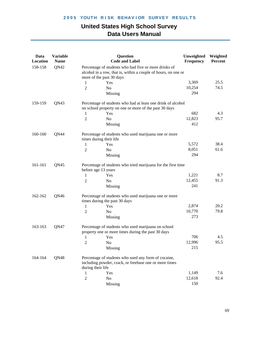| Data<br>Location | <b>Variable</b><br><b>Name</b> | <b>Question</b><br><b>Code and Label</b>                                                                                                            | Unweighted<br>Frequency | Weighted<br>Percent |
|------------------|--------------------------------|-----------------------------------------------------------------------------------------------------------------------------------------------------|-------------------------|---------------------|
| 158-158          | QN42                           | Percentage of students who had five or more drinks of<br>alcohol in a row, that is, within a couple of hours, on one or<br>more of the past 30 days |                         |                     |
|                  |                                | 1<br>Yes                                                                                                                                            | 3,369                   | 25.5                |
|                  |                                | $\overline{2}$<br>N <sub>o</sub>                                                                                                                    | 10,254                  | 74.5                |
|                  |                                | Missing                                                                                                                                             | 294                     |                     |
| 159-159          | QN43                           | Percentage of students who had at least one drink of alcohol<br>on school property on one or more of the past 30 days                               |                         |                     |
|                  |                                | Yes<br>1                                                                                                                                            | 682                     | 4.3                 |
|                  |                                | $\overline{2}$<br>N <sub>0</sub>                                                                                                                    | 12,823                  | 95.7                |
|                  |                                | Missing                                                                                                                                             | 412                     |                     |
| 160-160          | QN44                           | Percentage of students who used marijuana one or more<br>times during their life                                                                    |                         |                     |
|                  |                                | Yes<br>1                                                                                                                                            | 5,572                   | 38.4                |
|                  |                                | $\overline{c}$<br>N <sub>0</sub>                                                                                                                    | 8,051                   | 61.6                |
|                  |                                | Missing                                                                                                                                             | 294                     |                     |
| 161-161          | QN45                           | Percentage of students who tried marijuana for the first time<br>before age 13 years                                                                |                         |                     |
|                  |                                | 1<br>Yes                                                                                                                                            | 1,221                   | 8.7                 |
|                  |                                | 2<br>N <sub>o</sub>                                                                                                                                 | 12,455                  | 91.3                |
|                  |                                | Missing                                                                                                                                             | 241                     |                     |
| 162-162          | QN46                           | Percentage of students who used marijuana one or more<br>times during the past 30 days                                                              |                         |                     |
|                  |                                | 1<br>Yes                                                                                                                                            | 2,874                   | 20.2                |
|                  |                                | 2<br>No                                                                                                                                             | 10,770                  | 79.8                |
|                  |                                | Missing                                                                                                                                             | 273                     |                     |
| 163-163          | QN47                           | Percentage of students who used marijuana on school<br>property one or more times during the past 30 days                                           |                         |                     |
|                  |                                | Yes<br>1                                                                                                                                            | 706                     | 4.5                 |
|                  |                                | 2<br>No                                                                                                                                             | 12,996                  | 95.5                |
|                  |                                | Missing                                                                                                                                             | 215                     |                     |
| 164-164          | QN48                           | Percentage of students who used any form of cocaine,<br>including powder, crack, or freebase one or more times<br>during their life                 |                         |                     |
|                  |                                | 1<br>Yes                                                                                                                                            | 1,149                   | 7.6                 |
|                  |                                | $\overline{c}$<br>N <sub>o</sub>                                                                                                                    | 12,618                  | 92.4                |
|                  |                                | Missing                                                                                                                                             | 150                     |                     |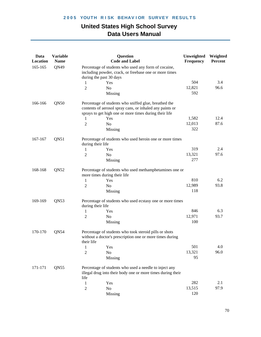| Data<br>Location | <b>Variable</b><br><b>Name</b> | <b>Question</b><br><b>Code and Label</b>                                                                                                                                    | Unweighted<br>Frequency | Weighted<br><b>Percent</b> |
|------------------|--------------------------------|-----------------------------------------------------------------------------------------------------------------------------------------------------------------------------|-------------------------|----------------------------|
| 165-165          | QN49                           | Percentage of students who used any form of cocaine,<br>including powder, crack, or freebase one or more times<br>during the past 30 days                                   |                         |                            |
|                  |                                | 1<br>Yes                                                                                                                                                                    | 504                     | 3.4                        |
|                  |                                | $\overline{2}$<br>N <sub>o</sub>                                                                                                                                            | 12,821                  | 96.6                       |
|                  |                                | Missing                                                                                                                                                                     | 592                     |                            |
| 166-166          | QN50                           | Percentage of students who sniffed glue, breathed the<br>contents of aerosol spray cans, or inhaled any paints or<br>sprays to get high one or more times during their life |                         |                            |
|                  |                                | Yes<br>1                                                                                                                                                                    | 1,582                   | 12.4                       |
|                  |                                | $\overline{2}$<br>N <sub>o</sub>                                                                                                                                            | 12,013                  | 87.6                       |
|                  |                                | Missing                                                                                                                                                                     | 322                     |                            |
| 167-167          | QN51                           | Percentage of students who used heroin one or more times<br>during their life                                                                                               |                         |                            |
|                  |                                | Yes<br>1                                                                                                                                                                    | 319                     | 2.4                        |
|                  |                                | 2<br>N <sub>0</sub>                                                                                                                                                         | 13,321                  | 97.6                       |
|                  |                                | Missing                                                                                                                                                                     | 277                     |                            |
| 168-168          | QN52                           | Percentage of students who used methamphetamines one or<br>more times during their life                                                                                     |                         |                            |
|                  |                                | Yes<br>1                                                                                                                                                                    | 810                     | 6.2                        |
|                  |                                | 2<br>No                                                                                                                                                                     | 12,989                  | 93.8                       |
|                  |                                | Missing                                                                                                                                                                     | 118                     |                            |
| 169-169          | QN53                           | Percentage of students who used ecstasy one or more times<br>during their life                                                                                              |                         |                            |
|                  |                                | 1<br>Yes                                                                                                                                                                    | 846                     | 6.3                        |
|                  |                                | 2<br>N <sub>o</sub>                                                                                                                                                         | 12,971                  | 93.7                       |
|                  |                                | Missing                                                                                                                                                                     | 100                     |                            |
| 170-170          | QN54                           | Percentage of students who took steroid pills or shots<br>without a doctor's prescription one or more times during<br>their life                                            |                         |                            |
|                  |                                | Yes<br>1                                                                                                                                                                    | 501                     | 4.0                        |
|                  |                                | $\overline{c}$<br>N <sub>o</sub>                                                                                                                                            | 13,321                  | 96.0                       |
|                  |                                | Missing                                                                                                                                                                     | 95                      |                            |
| 171-171          | QN55                           | Percentage of students who used a needle to inject any<br>illegal drug into their body one or more times during their<br>life                                               |                         |                            |
|                  |                                | 1<br>Yes                                                                                                                                                                    | 282                     | 2.1                        |
|                  |                                | $\overline{c}$<br>No                                                                                                                                                        | 13,515                  | 97.9                       |
|                  |                                | Missing                                                                                                                                                                     | 120                     |                            |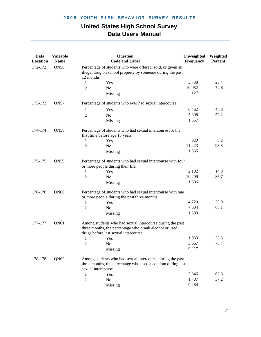| Data<br>Location | <b>Variable</b><br><b>Name</b> |                    | <b>Question</b><br><b>Code and Label</b>                                                                                                                    | Unweighted<br>Frequency | Weighted<br>Percent |
|------------------|--------------------------------|--------------------|-------------------------------------------------------------------------------------------------------------------------------------------------------------|-------------------------|---------------------|
| 172-172          | QN56                           | 12 months          | Percentage of students who were offered, sold, or given an<br>illegal drug on school property by someone during the past                                    |                         |                     |
|                  |                                | 1                  | Yes                                                                                                                                                         | 3,738                   | 25.4                |
|                  |                                | $\overline{2}$     | N <sub>0</sub>                                                                                                                                              | 10,052                  | 74.6                |
|                  |                                |                    | Missing                                                                                                                                                     | 127                     |                     |
| 173-173          | QN57                           |                    | Percentage of students who ever had sexual intercourse                                                                                                      |                         |                     |
|                  |                                | 1                  | Yes                                                                                                                                                         | 6,462                   | 46.8                |
|                  |                                | $\overline{2}$     | N <sub>o</sub>                                                                                                                                              | 5,898                   | 53.2                |
|                  |                                |                    | Missing                                                                                                                                                     | 1,557                   |                     |
| 174-174          | QN58                           |                    | Percentage of students who had sexual intercourse for the                                                                                                   |                         |                     |
|                  |                                |                    | first time before age 13 years                                                                                                                              | 929                     | 6.2                 |
|                  |                                | 1                  | Yes                                                                                                                                                         | 11,423                  | 93.8                |
|                  |                                | 2                  | No                                                                                                                                                          | 1,565                   |                     |
|                  |                                |                    | Missing                                                                                                                                                     |                         |                     |
| 175-175          | QN59                           |                    | Percentage of students who had sexual intercourse with four<br>or more people during their life                                                             |                         |                     |
|                  |                                | 1                  | Yes                                                                                                                                                         | 2,102                   | 14.3                |
|                  |                                | 2                  | N <sub>o</sub>                                                                                                                                              | 10,209                  | 85.7                |
|                  |                                |                    | Missing                                                                                                                                                     | 1,606                   |                     |
| 176-176          | QN60                           |                    | Percentage of students who had sexual intercourse with one<br>or more people during the past three months                                                   |                         |                     |
|                  |                                | 1                  | Yes                                                                                                                                                         | 4,720                   | 33.9                |
|                  |                                | 2                  | N <sub>0</sub>                                                                                                                                              | 7,604                   | 66.1                |
|                  |                                |                    | Missing                                                                                                                                                     | 1,593                   |                     |
| 177-177          | QN61                           |                    | Among students who had sexual intercourse during the past<br>three months, the percentage who drank alcohol or used<br>drugs before last sexual intercourse |                         |                     |
|                  |                                | 1                  | Yes                                                                                                                                                         | 1,033                   | 23.3                |
|                  |                                | $\overline{c}$     | No                                                                                                                                                          | 3,667                   | 76.7                |
|                  |                                |                    | Missing                                                                                                                                                     | 9,217                   |                     |
|                  |                                |                    |                                                                                                                                                             |                         |                     |
| 178-178          | QN62                           | sexual intercourse | Among students who had sexual intercourse during the past<br>three months, the percentage who used a condom during last                                     |                         |                     |
|                  |                                | 1                  | Yes                                                                                                                                                         | 2,846                   | 62.8                |
|                  |                                | $\overline{2}$     | N <sub>o</sub>                                                                                                                                              | 1,787                   | 37.2                |
|                  |                                |                    |                                                                                                                                                             | 9,284                   |                     |
|                  |                                |                    | Missing                                                                                                                                                     |                         |                     |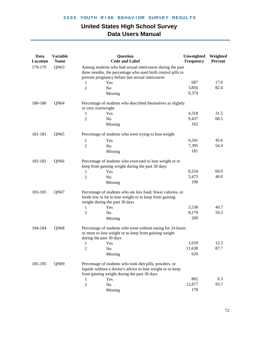| Data<br>Location | <b>Variable</b><br><b>Name</b> | Question<br><b>Code and Label</b>                                                                                                                                             | Unweighted<br>Frequency | Weighted<br>Percent |
|------------------|--------------------------------|-------------------------------------------------------------------------------------------------------------------------------------------------------------------------------|-------------------------|---------------------|
| 179-179          | QN63                           | Among students who had sexual intercourse during the past<br>three months, the percentage who used birth control pills to<br>prevent pregnancy before last sexual intercourse |                         |                     |
|                  |                                | Yes<br>1                                                                                                                                                                      | 687                     | 17.6                |
|                  |                                | $\overline{2}$<br>N <sub>0</sub>                                                                                                                                              | 3,856                   | 82.4                |
|                  |                                | Missing                                                                                                                                                                       | 9,374                   |                     |
| 180-180          | QN64                           | Percentage of students who described themselves as slightly<br>or very overweight                                                                                             |                         |                     |
|                  |                                | $\mathbf{1}$<br>Yes                                                                                                                                                           | 4,318                   | 31.5                |
|                  |                                | 2<br>N <sub>0</sub>                                                                                                                                                           | 9,437                   | 68.5                |
|                  |                                | Missing                                                                                                                                                                       | 162                     |                     |
| 181-181          | QN <sub>65</sub>               | Percentage of students who were trying to lose weight                                                                                                                         |                         |                     |
|                  |                                | 1<br>Yes                                                                                                                                                                      | 6,341                   | 45.6                |
|                  |                                | 2<br>No                                                                                                                                                                       | 7,395                   | 54.4                |
|                  |                                | Missing                                                                                                                                                                       | 181                     |                     |
| 182-182          | QN66                           | Percentage of students who exercised to lose weight or to<br>keep from gaining weight during the past 30 days                                                                 |                         |                     |
|                  |                                | Yes<br>1                                                                                                                                                                      | 8,254                   | 60.0                |
|                  |                                | 2<br>N <sub>o</sub>                                                                                                                                                           | 5,473                   | 40.0                |
|                  |                                | Missing                                                                                                                                                                       | 190                     |                     |
| 183-183          | QN67                           | Percentage of students who ate less food, fewer calories, or<br>foods low in fat to lose weight or to keep from gaining<br>weight during the past 30 days                     |                         |                     |
|                  |                                | Yes<br>1                                                                                                                                                                      | 5,538                   | 40.7                |
|                  |                                | 2<br>N <sub>0</sub>                                                                                                                                                           | 8,179                   | 59.3                |
|                  |                                | Missing                                                                                                                                                                       | 200                     |                     |
| 184-184          | QN68                           | Percentage of students who went without eating for 24 hours<br>or more to lose weight or to keep from gaining weight<br>during the past 30 days                               |                         |                     |
|                  |                                | 1 Yes                                                                                                                                                                         | 1,659                   | 12.3                |
|                  |                                | 2<br>N <sub>0</sub>                                                                                                                                                           | 11,638                  | 87.7                |
|                  |                                | Missing                                                                                                                                                                       | 620                     |                     |
| 185-185          | QN69                           | Percentage of students who took diet pills, powders, or<br>liquids without a doctor's advice to lose weight or to keep<br>from gaining weight during the past 30 days         |                         |                     |
|                  |                                | Yes<br>1                                                                                                                                                                      | 862                     | 6.3                 |
|                  |                                | $\overline{2}$<br>N <sub>o</sub>                                                                                                                                              | 12,877                  | 93.7                |
|                  |                                | Missing                                                                                                                                                                       | 178                     |                     |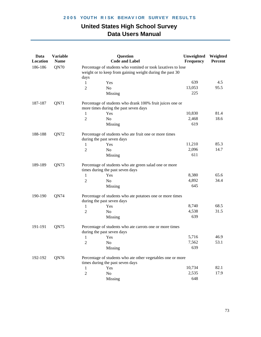| Data<br>Location | <b>Variable</b><br><b>Name</b> |                | <b>Question</b><br><b>Code and Label</b>                                                                                 | Unweighted<br>Frequency | Weighted<br>Percent |
|------------------|--------------------------------|----------------|--------------------------------------------------------------------------------------------------------------------------|-------------------------|---------------------|
| 186-186          | QN70                           | days           | Percentage of students who vomited or took laxatives to lose<br>weight or to keep from gaining weight during the past 30 |                         |                     |
|                  |                                | 1              | Yes                                                                                                                      | 639                     | 4.5                 |
|                  |                                | 2              | N <sub>o</sub>                                                                                                           | 13,053                  | 95.5                |
|                  |                                |                | Missing                                                                                                                  | 225                     |                     |
| 187-187          | QN71                           |                | Percentage of students who drank 100% fruit juices one or<br>more times during the past seven days                       |                         |                     |
|                  |                                | 1              | Yes                                                                                                                      | 10,830                  | 81.4                |
|                  |                                | $\overline{2}$ | No                                                                                                                       | 2,468                   | 18.6                |
|                  |                                |                | Missing                                                                                                                  | 619                     |                     |
| 188-188          | QN72                           |                | Percentage of students who ate fruit one or more times<br>during the past seven days                                     |                         |                     |
|                  |                                | 1              | Yes                                                                                                                      | 11,210                  | 85.3                |
|                  |                                | 2              | N <sub>o</sub>                                                                                                           | 2,096                   | 14.7                |
|                  |                                |                | Missing                                                                                                                  | 611                     |                     |
| 189-189          | QN73                           |                | Percentage of students who ate green salad one or more<br>times during the past seven days                               |                         |                     |
|                  |                                | 1              | Yes                                                                                                                      | 8,380                   | 65.6                |
|                  |                                | 2              | N <sub>o</sub>                                                                                                           | 4,892                   | 34.4                |
|                  |                                |                | Missing                                                                                                                  | 645                     |                     |
| 190-190          | QN74                           |                | Percentage of students who ate potatoes one or more times<br>during the past seven days                                  |                         |                     |
|                  |                                | 1              | Yes                                                                                                                      | 8,740                   | 68.5                |
|                  |                                | 2              | No                                                                                                                       | 4,538                   | 31.5                |
|                  |                                |                | Missing                                                                                                                  | 639                     |                     |
| 191-191          | QN75                           |                | Percentage of students who ate carrots one or more times<br>during the past seven days                                   |                         |                     |
|                  |                                | 1              | Yes                                                                                                                      | 5,716                   | 46.9                |
|                  |                                | 2              | $\rm No$                                                                                                                 | 7,562                   | 53.1                |
|                  |                                |                | Missing                                                                                                                  | 639                     |                     |
| 192-192          | QN76                           |                | Percentage of students who ate other vegetables one or more<br>times during the past seven days                          |                         |                     |
|                  |                                | 1              | Yes                                                                                                                      | 10,734                  | 82.1                |
|                  |                                | $\sqrt{2}$     | No                                                                                                                       | 2,535                   | 17.9                |
|                  |                                |                | Missing                                                                                                                  | 648                     |                     |
|                  |                                |                |                                                                                                                          |                         |                     |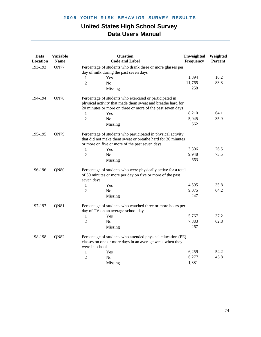| 193-193<br>QN77<br>Percentage of students who drank three or more glasses per<br>day of milk during the past seven days<br>1,894<br>Yes<br>1<br>11,765<br>83.8<br>$\overline{2}$<br>No<br>258<br>Missing<br><b>QN78</b><br>194-194<br>Percentage of students who exercised or participated in<br>physical activity that made them sweat and breathe hard for<br>20 minutes or more on three or more of the past seven days<br>8,210<br>64.1<br>Yes<br>1<br>35.9<br>5,045<br>$\overline{2}$<br>N <sub>o</sub><br>662<br>Missing<br>195-195<br>QN79<br>Percentage of students who participated in physical activity<br>that did not make them sweat or breathe hard for 30 minutes<br>or more on five or more of the past seven days | Unweighted<br><b>Code and Label</b><br>Frequency | <b>Variable</b><br>Question<br>Data<br>Location<br><b>Name</b> | Weighted<br>Percent |
|------------------------------------------------------------------------------------------------------------------------------------------------------------------------------------------------------------------------------------------------------------------------------------------------------------------------------------------------------------------------------------------------------------------------------------------------------------------------------------------------------------------------------------------------------------------------------------------------------------------------------------------------------------------------------------------------------------------------------------|--------------------------------------------------|----------------------------------------------------------------|---------------------|
|                                                                                                                                                                                                                                                                                                                                                                                                                                                                                                                                                                                                                                                                                                                                    |                                                  |                                                                |                     |
|                                                                                                                                                                                                                                                                                                                                                                                                                                                                                                                                                                                                                                                                                                                                    |                                                  |                                                                | 16.2                |
|                                                                                                                                                                                                                                                                                                                                                                                                                                                                                                                                                                                                                                                                                                                                    |                                                  |                                                                |                     |
|                                                                                                                                                                                                                                                                                                                                                                                                                                                                                                                                                                                                                                                                                                                                    |                                                  |                                                                |                     |
|                                                                                                                                                                                                                                                                                                                                                                                                                                                                                                                                                                                                                                                                                                                                    |                                                  |                                                                |                     |
|                                                                                                                                                                                                                                                                                                                                                                                                                                                                                                                                                                                                                                                                                                                                    |                                                  |                                                                |                     |
|                                                                                                                                                                                                                                                                                                                                                                                                                                                                                                                                                                                                                                                                                                                                    |                                                  |                                                                |                     |
|                                                                                                                                                                                                                                                                                                                                                                                                                                                                                                                                                                                                                                                                                                                                    |                                                  |                                                                |                     |
|                                                                                                                                                                                                                                                                                                                                                                                                                                                                                                                                                                                                                                                                                                                                    |                                                  |                                                                |                     |
|                                                                                                                                                                                                                                                                                                                                                                                                                                                                                                                                                                                                                                                                                                                                    |                                                  |                                                                |                     |
| 26.5<br>Yes<br>1                                                                                                                                                                                                                                                                                                                                                                                                                                                                                                                                                                                                                                                                                                                   | 3,306                                            |                                                                |                     |
| 73.5<br>9,948<br>$\overline{2}$<br>N <sub>0</sub>                                                                                                                                                                                                                                                                                                                                                                                                                                                                                                                                                                                                                                                                                  |                                                  |                                                                |                     |
| 663<br>Missing                                                                                                                                                                                                                                                                                                                                                                                                                                                                                                                                                                                                                                                                                                                     |                                                  |                                                                |                     |
| QN80<br>196-196<br>Percentage of students who were physically active for a total<br>of 60 minutes or more per day on five or more of the past<br>seven days                                                                                                                                                                                                                                                                                                                                                                                                                                                                                                                                                                        |                                                  |                                                                |                     |
| 35.8<br>4,595<br>Yes<br>1                                                                                                                                                                                                                                                                                                                                                                                                                                                                                                                                                                                                                                                                                                          |                                                  |                                                                |                     |
| 64.2<br>9,075<br>$\overline{2}$<br>N <sub>o</sub>                                                                                                                                                                                                                                                                                                                                                                                                                                                                                                                                                                                                                                                                                  |                                                  |                                                                |                     |
| 247<br>Missing                                                                                                                                                                                                                                                                                                                                                                                                                                                                                                                                                                                                                                                                                                                     |                                                  |                                                                |                     |
| QN81<br>197-197<br>Percentage of students who watched three or more hours per<br>day of TV on an average school day                                                                                                                                                                                                                                                                                                                                                                                                                                                                                                                                                                                                                |                                                  |                                                                |                     |
| 5,767<br>37.2<br>Yes<br>1                                                                                                                                                                                                                                                                                                                                                                                                                                                                                                                                                                                                                                                                                                          |                                                  |                                                                |                     |
| 62.8<br>$\overline{2}$<br>7,883<br>N <sub>0</sub>                                                                                                                                                                                                                                                                                                                                                                                                                                                                                                                                                                                                                                                                                  |                                                  |                                                                |                     |
| 267<br>Missing                                                                                                                                                                                                                                                                                                                                                                                                                                                                                                                                                                                                                                                                                                                     |                                                  |                                                                |                     |
| 198-198<br>QN82<br>Percentage of students who attended physical education (PE)<br>classes on one or more days in an average week when they<br>were in school                                                                                                                                                                                                                                                                                                                                                                                                                                                                                                                                                                       |                                                  |                                                                |                     |
| 6,259<br>1<br>Yes                                                                                                                                                                                                                                                                                                                                                                                                                                                                                                                                                                                                                                                                                                                  |                                                  |                                                                | 54.2                |
| 6,277<br>$\overline{c}$<br>No                                                                                                                                                                                                                                                                                                                                                                                                                                                                                                                                                                                                                                                                                                      |                                                  |                                                                | 45.8                |
| 1,381<br>Missing                                                                                                                                                                                                                                                                                                                                                                                                                                                                                                                                                                                                                                                                                                                   |                                                  |                                                                |                     |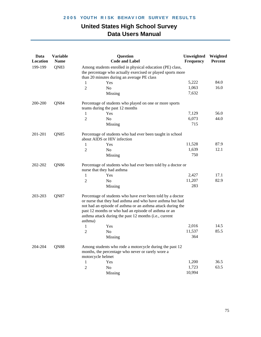| Data<br>Location | <b>Variable</b><br><b>Name</b> |                   | Question<br><b>Code and Label</b>                                                                                                                                                                                                                                                                        | Unweighted<br>Frequency | Weighted<br>Percent |
|------------------|--------------------------------|-------------------|----------------------------------------------------------------------------------------------------------------------------------------------------------------------------------------------------------------------------------------------------------------------------------------------------------|-------------------------|---------------------|
| 199-199          | QN83                           |                   | Among students enrolled in physical education (PE) class,<br>the percentage who actually exercised or played sports more<br>than 20 minutes during an average PE class                                                                                                                                   |                         |                     |
|                  |                                | 1                 | Yes                                                                                                                                                                                                                                                                                                      | 5,222                   | 84.0                |
|                  |                                | $\overline{2}$    | N <sub>o</sub>                                                                                                                                                                                                                                                                                           | 1,063                   | 16.0                |
|                  |                                |                   | Missing                                                                                                                                                                                                                                                                                                  | 7,632                   |                     |
| 200-200          | QN84                           |                   | Percentage of students who played on one or more sports<br>teams during the past 12 months                                                                                                                                                                                                               |                         |                     |
|                  |                                | 1                 | Yes                                                                                                                                                                                                                                                                                                      | 7,129                   | 56.0                |
|                  |                                | 2                 | N <sub>0</sub>                                                                                                                                                                                                                                                                                           | 6,073                   | 44.0                |
|                  |                                |                   | Missing                                                                                                                                                                                                                                                                                                  | 715                     |                     |
| 201-201          | QN85                           |                   | Percentage of students who had ever been taught in school<br>about AIDS or HIV infection                                                                                                                                                                                                                 |                         |                     |
|                  |                                | 1                 | Yes                                                                                                                                                                                                                                                                                                      | 11,528                  | 87.9                |
|                  |                                | 2                 | No                                                                                                                                                                                                                                                                                                       | 1,639                   | 12.1                |
|                  |                                |                   | Missing                                                                                                                                                                                                                                                                                                  | 750                     |                     |
| 202-202          | QN86                           |                   | Percentage of students who had ever been told by a doctor or<br>nurse that they had asthma                                                                                                                                                                                                               |                         |                     |
|                  |                                | 1                 | Yes                                                                                                                                                                                                                                                                                                      | 2,427                   | 17.1                |
|                  |                                | 2                 | N <sub>o</sub>                                                                                                                                                                                                                                                                                           | 11,207                  | 82.9                |
|                  |                                |                   | Missing                                                                                                                                                                                                                                                                                                  | 283                     |                     |
| 203-203          | QN87                           | asthma)           | Percentage of students who have ever been told by a doctor<br>or nurse that they had asthma and who have asthma but had<br>not had an episode of asthma or an asthma attack during the<br>past 12 months or who had an episode of asthma or an<br>asthma attack during the past 12 months (i.e., current |                         |                     |
|                  |                                | 1                 | Yes                                                                                                                                                                                                                                                                                                      | 2,016                   | 14.5                |
|                  |                                | 2                 | No                                                                                                                                                                                                                                                                                                       | 11,537                  | 85.5                |
|                  |                                |                   | Missing                                                                                                                                                                                                                                                                                                  | 364                     |                     |
| 204-204          | QN88                           | motorcycle helmet | Among students who rode a motorcycle during the past 12<br>months, the percentage who never or rarely wore a                                                                                                                                                                                             |                         |                     |
|                  |                                | 1                 | Yes                                                                                                                                                                                                                                                                                                      | 1,200                   | 36.5                |
|                  |                                | $\overline{2}$    | No                                                                                                                                                                                                                                                                                                       | 1,723                   | 63.5                |
|                  |                                |                   | Missing                                                                                                                                                                                                                                                                                                  | 10,994                  |                     |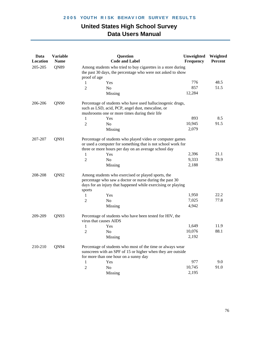| Data<br>Location | <b>Variable</b><br><b>Name</b> |                        | <b>Question</b><br><b>Code and Label</b>                                                                                                                                          | Unweighted<br>Frequency | Weighted<br>Percent |
|------------------|--------------------------------|------------------------|-----------------------------------------------------------------------------------------------------------------------------------------------------------------------------------|-------------------------|---------------------|
| 205-205          | QN89                           | proof of age           | Among students who tried to buy cigarettes in a store during<br>the past 30 days, the percentage who were not asked to show                                                       |                         |                     |
|                  |                                | 1                      | Yes                                                                                                                                                                               | 776                     | 48.5                |
|                  |                                | $\overline{2}$         | N <sub>o</sub>                                                                                                                                                                    | 857                     | 51.5                |
|                  |                                |                        | Missing                                                                                                                                                                           | 12,284                  |                     |
| 206-206          | QN90                           |                        | Percentage of students who have used hallucinogenic drugs,<br>such as LSD, acid, PCP, angel dust, mescaline, or<br>mushrooms one or more times during their life                  |                         |                     |
|                  |                                | 1                      | Yes                                                                                                                                                                               | 893                     | 8.5                 |
|                  |                                | $\overline{2}$         | N <sub>0</sub>                                                                                                                                                                    | 10,945                  | 91.5                |
|                  |                                |                        | Missing                                                                                                                                                                           | 2,079                   |                     |
| QN91<br>207-207  |                                |                        | Percentage of students who played video or computer games<br>or used a computer for something that is not school work for<br>three or more hours per day on an average school day |                         |                     |
|                  |                                | 1                      | Yes                                                                                                                                                                               | 2,396                   | 21.1                |
|                  |                                | $\overline{2}$         | No                                                                                                                                                                                | 9,333                   | 78.9                |
|                  |                                |                        | Missing                                                                                                                                                                           | 2,188                   |                     |
| 208-208          | QN92                           | sports                 | Among students who exercised or played sports, the<br>percentage who saw a doctor or nurse during the past 30<br>days for an injury that happened while exercising or playing     |                         |                     |
|                  |                                | 1                      | Yes                                                                                                                                                                               | 1,950                   | 22.2                |
|                  |                                | 2                      | No                                                                                                                                                                                | 7,025                   | 77.8                |
|                  |                                |                        | Missing                                                                                                                                                                           | 4,942                   |                     |
| 209-209          | QN93                           | virus that causes AIDS | Percentage of students who have been tested for HIV, the                                                                                                                          |                         |                     |
|                  |                                | 1                      | Yes                                                                                                                                                                               | 1,649                   | 11.9                |
|                  |                                | $\overline{2}$         | No                                                                                                                                                                                | 10,076                  | 88.1                |
|                  |                                |                        | Missing                                                                                                                                                                           | 2,192                   |                     |
| 210-210          | QN94                           |                        | Percentage of students who most of the time or always wear<br>sunscreen with an SPF of 15 or higher when they are outside                                                         |                         |                     |
|                  |                                |                        | for more than one hour on a sunny day                                                                                                                                             | 977                     | 9.0                 |
|                  |                                | 1<br>$\overline{2}$    | Yes<br>No                                                                                                                                                                         | 10,745                  | 91.0                |
|                  |                                |                        |                                                                                                                                                                                   | 2,195                   |                     |
|                  |                                |                        | Missing                                                                                                                                                                           |                         |                     |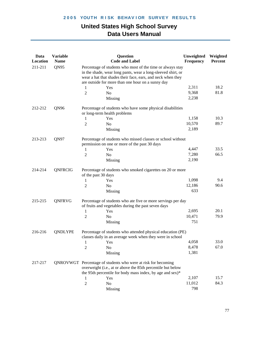| Data<br><b>Location</b> | <b>Variable</b><br><b>Name</b> | Question<br><b>Code and Label</b>                                                                                                                                                                                                              | Unweighted<br>Frequency | Weighted<br>Percent |  |  |
|-------------------------|--------------------------------|------------------------------------------------------------------------------------------------------------------------------------------------------------------------------------------------------------------------------------------------|-------------------------|---------------------|--|--|
| 211-211                 | QN95                           | Percentage of students who most of the time or always stay<br>in the shade, wear long pants, wear a long-sleeved shirt, or<br>wear a hat that shades their face, ears, and neck when they<br>are outside for more than one hour on a sunny day |                         |                     |  |  |
|                         |                                | Yes<br>1                                                                                                                                                                                                                                       | 2,311                   | 18.2                |  |  |
|                         |                                | $\sqrt{2}$<br>N <sub>0</sub>                                                                                                                                                                                                                   | 9,368                   | 81.8                |  |  |
|                         |                                | Missing                                                                                                                                                                                                                                        | 2,238                   |                     |  |  |
| 212-212                 | QN96                           | Percentage of students who have some physical disabilities<br>or long-term health problems                                                                                                                                                     |                         |                     |  |  |
|                         |                                | Yes<br>1                                                                                                                                                                                                                                       | 1,158                   | 10.3                |  |  |
|                         |                                | $\overline{2}$<br>N <sub>o</sub>                                                                                                                                                                                                               | 10,570                  | 89.7                |  |  |
|                         |                                | Missing                                                                                                                                                                                                                                        | 2,189                   |                     |  |  |
| 213-213                 | QN97                           | Percentage of students who missed classes or school without<br>permission on one or more of the past 30 days                                                                                                                                   |                         |                     |  |  |
|                         |                                | Yes<br>1                                                                                                                                                                                                                                       | 4,447                   | 33.5                |  |  |
|                         |                                | $\overline{2}$<br>N <sub>0</sub>                                                                                                                                                                                                               | 7,280                   | 66.5                |  |  |
|                         |                                | Missing                                                                                                                                                                                                                                        | 2,190                   |                     |  |  |
| 214-214                 | QNFRCIG                        | Percentage of students who smoked cigarettes on 20 or more<br>of the past 30 days                                                                                                                                                              |                         |                     |  |  |
|                         |                                | Yes<br>1                                                                                                                                                                                                                                       | 1,098                   | 9.4                 |  |  |
|                         |                                | 2<br>No                                                                                                                                                                                                                                        | 12,186                  | 90.6                |  |  |
|                         |                                | Missing                                                                                                                                                                                                                                        | 633                     |                     |  |  |
| 215-215                 | QNFRVG                         | Percentage of students who ate five or more servings per day<br>of fruits and vegetables during the past seven days                                                                                                                            |                         |                     |  |  |
|                         |                                | Yes<br>1                                                                                                                                                                                                                                       | 2,695                   | 20.1                |  |  |
|                         |                                | $\overline{2}$<br>N <sub>o</sub>                                                                                                                                                                                                               | 10,471                  | 79.9                |  |  |
|                         |                                | Missing                                                                                                                                                                                                                                        | 751                     |                     |  |  |
| 216-216                 | QNDLYPE                        | Percentage of students who attended physical education (PE)<br>classes daily in an average week when they were in school                                                                                                                       |                         |                     |  |  |
|                         |                                | Yes<br>$\mathbf{1}$                                                                                                                                                                                                                            | 4,058                   | 33.0                |  |  |
|                         |                                | $\overline{c}$<br>No                                                                                                                                                                                                                           | 8,478                   | 67.0                |  |  |
|                         |                                | Missing                                                                                                                                                                                                                                        | 1,381                   |                     |  |  |
| 217-217                 |                                | QNROVWGT Percentage of students who were at risk for becoming<br>overweight (i.e., at or above the 85th percentile but below<br>the 95th percentile for body mass index, by age and sex)*                                                      |                         |                     |  |  |
|                         |                                | Yes<br>1                                                                                                                                                                                                                                       | 2,107                   | 15.7                |  |  |
|                         |                                | $\sqrt{2}$<br>No                                                                                                                                                                                                                               | 11,012                  | 84.3                |  |  |
|                         |                                | Missing                                                                                                                                                                                                                                        | 798                     |                     |  |  |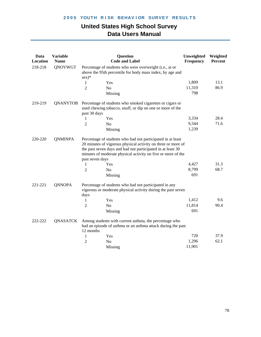| Data<br>Location | <b>Variable</b><br><b>Name</b> |                      | Question<br><b>Code and Label</b>                                                                                                                                                                                                                                 | Unweighted<br>Frequency | Weighted<br>Percent |
|------------------|--------------------------------|----------------------|-------------------------------------------------------------------------------------------------------------------------------------------------------------------------------------------------------------------------------------------------------------------|-------------------------|---------------------|
| 218-218          | QNOVWGT                        | $sex)*$              | Percentage of students who were overweight (i.e., at or<br>above the 95th percentile for body mass index, by age and                                                                                                                                              |                         |                     |
|                  |                                | 1                    | Yes                                                                                                                                                                                                                                                               | 1,809                   | 13.1                |
|                  |                                | $\overline{c}$       | N <sub>o</sub>                                                                                                                                                                                                                                                    | 11,310                  | 86.9                |
|                  |                                |                      | Missing                                                                                                                                                                                                                                                           | 798                     |                     |
| 219-219          | QNANYTOB                       | past 30 days         | Percentage of students who smoked cigarettes or cigars or<br>used chewing tobacco, snuff, or dip on one or more of the                                                                                                                                            |                         |                     |
|                  |                                | 1                    | Yes                                                                                                                                                                                                                                                               | 3,334                   | 28.4                |
|                  |                                | $\overline{2}$       | N <sub>o</sub>                                                                                                                                                                                                                                                    | 9,344                   | 71.6                |
|                  |                                |                      | Missing                                                                                                                                                                                                                                                           | 1,239                   |                     |
| 220-220          | <b>QNMINPA</b>                 | past seven days<br>1 | Percentage of students who had not participated in at least<br>20 minutes of vigorous physical activity on three or more of<br>the past seven days and had not participated in at least 30<br>minutes of moderate physical activity on five or more of the<br>Yes | 4,427<br>8,799          | 31.3<br>68.7        |
|                  |                                | $\overline{2}$       | N <sub>o</sub>                                                                                                                                                                                                                                                    | 691                     |                     |
| 221-221          | <b>QNNOPA</b>                  | days                 | Missing<br>Percentage of students who had not participated in any<br>vigorous or moderate physical activity during the past seven                                                                                                                                 |                         |                     |
|                  |                                | 1                    | Yes                                                                                                                                                                                                                                                               | 1,412                   | 9.6                 |
|                  |                                | $\overline{c}$       | N <sub>o</sub>                                                                                                                                                                                                                                                    | 11,814                  | 90.4                |
|                  |                                |                      | Missing                                                                                                                                                                                                                                                           | 691                     |                     |
| 222-222          | QNASATCK                       | 12 months            | Among students with current asthma, the percentage who<br>had an episode of asthma or an asthma attack during the past                                                                                                                                            |                         |                     |
|                  |                                | 1                    | Yes                                                                                                                                                                                                                                                               | 720                     | 37.9                |
|                  |                                | 2                    | N <sub>o</sub>                                                                                                                                                                                                                                                    | 1,296                   | 62.1                |
|                  |                                |                      | Missing                                                                                                                                                                                                                                                           | 11,901                  |                     |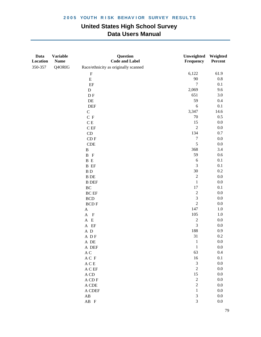| Data<br>Location | <b>Variable</b><br><b>Name</b> | Question<br><b>Code and Label</b>                   | Unweighted<br>Frequency     | Weighted<br>Percent |
|------------------|--------------------------------|-----------------------------------------------------|-----------------------------|---------------------|
| 350-357          | Q4ORIG                         | Race/ethnicity as originally scanned                |                             |                     |
|                  |                                | $\boldsymbol{\mathrm{F}}$                           | 6,122                       | 61.9                |
|                  |                                | ${\bf E}$                                           | 90                          | 0.8                 |
|                  |                                | EF                                                  | $\boldsymbol{7}$            | 0.1                 |
|                  |                                | ${\bf D}$                                           | 2,069                       | 9.6                 |
|                  |                                | $\mathbf{D} \mathbf{F}$                             | 651                         | $3.0\,$             |
|                  |                                | $\rm DE$                                            | 59                          | 0.4                 |
|                  |                                | <b>DEF</b>                                          | $\sqrt{6}$                  | 0.1                 |
|                  |                                | $\mathsf C$                                         | 3,347                       | 14.6                |
|                  |                                | C F                                                 | $70\,$                      | 0.5                 |
|                  |                                | $\mathbf C$ E                                       | 15                          | $0.0\,$             |
|                  |                                | $\mathbf C$ EF                                      | $\sqrt{2}$                  | $0.0\,$             |
|                  |                                | CD                                                  | 134                         | $0.7\,$             |
|                  |                                | $\mathop{\rm CD}\nolimits{\mathop{\rm F}\nolimits}$ | $\boldsymbol{7}$            | $0.0\,$             |
|                  |                                | <b>CDE</b>                                          | 5                           | $0.0\,$             |
|                  |                                | $\, {\bf B}$                                        | 368                         | 3.4                 |
|                  |                                | $B$ $F$                                             | 59                          | $0.6\,$             |
|                  |                                | $\, {\bf B} \,$ E                                   | 6                           | 0.1                 |
|                  |                                | <b>B</b> EF                                         | $\mathfrak 3$               | 0.1                 |
|                  |                                | $\, {\bf B} \,$ D                                   | $30\,$                      | $0.2\,$             |
|                  |                                | <b>B</b> DE                                         | $\sqrt{2}$                  | $0.0\,$             |
|                  |                                | <b>B</b> DEF                                        | $\,1\,$                     | $0.0\,$             |
|                  |                                | $\operatorname{BC}$                                 | 17                          | 0.1                 |
|                  |                                | $\operatorname{BC}$ $\operatorname{EF}$             | $\sqrt{2}$                  | $0.0\,$             |
|                  |                                | <b>BCD</b>                                          | $\mathfrak{Z}$              | $0.0\,$             |
|                  |                                | <b>BCDF</b>                                         | $\sqrt{2}$                  | $0.0\,$             |
|                  |                                | $\mathbf A$                                         | 147                         | 1.0                 |
|                  |                                | $A$ $F$                                             | 105                         | $1.0\,$             |
|                  |                                | $\mathbf{A} \quad \mathbf{E}$                       | $\sqrt{2}$                  | $0.0\,$             |
|                  |                                | $\mathbf{A}$ $\mathbf{EF}$                          | $\mathfrak{Z}$              | $0.0\,$             |
|                  |                                | $\,$ A $\,$ D                                       | 188                         | 0.9                 |
|                  |                                | A DF                                                | 31                          | $0.2\,$             |
|                  |                                | A DE                                                | $\mathbf{1}$                | $0.0\,$             |
|                  |                                | A DEF                                               | $\mathbf{1}$                | $0.0\,$             |
|                  |                                | $\mathbf A$ C                                       | 63                          | 0.4                 |
|                  |                                | $\mathcal A$ C $\,\mathcal F$                       | 16                          | 0.1                 |
|                  |                                | $\mathbf A \mathbf C \mathbf E$                     | $\ensuremath{\mathfrak{Z}}$ | 0.0                 |
|                  |                                | $\mathcal A$ C EF                                   | $\sqrt{2}$                  | $0.0\,$             |
|                  |                                | A CD                                                | 15                          | 0.0                 |
|                  |                                | A CD F                                              | $\sqrt{2}$                  | 0.0                 |
|                  |                                | A CDE                                               | $\sqrt{2}$                  | $0.0\,$             |
|                  |                                | A CDEF                                              | $\mathbf 1$                 | $0.0\,$             |
|                  |                                | $\mathbf{A}\mathbf{B}$                              | $\ensuremath{\mathfrak{Z}}$ | $0.0\,$             |
|                  |                                | $AB$ F                                              | $\mathfrak{Z}$              | $0.0\,$             |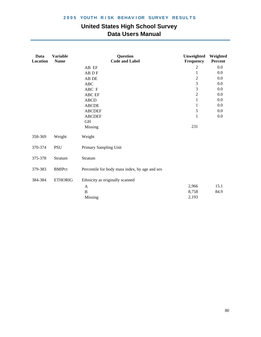| Data<br>Location | <b>Variable</b><br><b>Name</b> | Question<br><b>Code and Label</b>              | Unweighted<br>Frequency | Weighted<br>Percent |
|------------------|--------------------------------|------------------------------------------------|-------------------------|---------------------|
|                  |                                | AB EF                                          | 2                       | 0.0                 |
|                  |                                | AB D F                                         | $\mathbf{1}$            | 0.0                 |
|                  |                                | AB DE                                          | $\overline{2}$          | 0.0                 |
|                  |                                | $\rm ABC$                                      | 3                       | 0.0                 |
|                  |                                | ABC F                                          | 3                       | $0.0\,$             |
|                  |                                | ABC EF                                         | $\sqrt{2}$              | 0.0                 |
|                  |                                | <b>ABCD</b>                                    | $\mathbf{1}$            | $0.0\,$             |
|                  |                                | <b>ABCDE</b>                                   | 1                       | 0.0                 |
|                  |                                | <b>ABCDEF</b>                                  | 5                       | 0.0                 |
|                  |                                | <b>ABCDEF</b>                                  | 1                       | $0.0\,$             |
|                  |                                | <b>GH</b>                                      |                         |                     |
|                  |                                | Missing                                        | 231                     |                     |
| 358-369          | Weight                         | Weight                                         |                         |                     |
| 370-374          | <b>PSU</b>                     | Primary Sampling Unit                          |                         |                     |
| 375-378          | Stratum                        | Stratum                                        |                         |                     |
| 379-383          | <b>BMIPct</b>                  | Percentile for body mass index, by age and sex |                         |                     |
| 384-384          | <b>ETHORIG</b>                 | Ethnicity as originally scanned                |                         |                     |
|                  |                                | $\mathbf{A}$                                   | 2,966                   | 15.1                |
|                  |                                | $\, {\bf B}$                                   | 8,758                   | 84.9                |
|                  |                                | <b>Missing</b>                                 | 2,193                   |                     |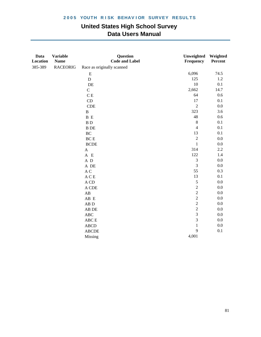| Data<br>Location | <b>Variable</b><br><b>Name</b> | Question<br><b>Code and Label</b> | Unweighted<br>Frequency | Weighted<br>Percent |
|------------------|--------------------------------|-----------------------------------|-------------------------|---------------------|
| 385-389          | <b>RACEORIG</b>                | Race as originally scanned        |                         |                     |
|                  |                                | ${\bf E}$                         | 6,096                   | 74.5                |
|                  |                                | ${\bf D}$                         | 125                     | $1.2\,$             |
|                  |                                | $\rm DE$                          | $10\,$                  | 0.1                 |
|                  |                                | $\mathbf C$                       | 2,662                   | 14.7                |
|                  |                                | $\mathbf C$ E                     | 64                      | 0.6                 |
|                  |                                | CD                                | 17                      | 0.1                 |
|                  |                                | CDE                               | $\sqrt{2}$              | $0.0\,$             |
|                  |                                | $\, {\bf B}$                      | 323                     | 3.6                 |
|                  |                                | B E                               | $48\,$                  | $0.6\,$             |
|                  |                                | $\, {\bf B} \,$ D                 | $\,8\,$                 | 0.1                 |
|                  |                                | $\, {\bf B} \,$ DE                | $\overline{4}$          | 0.1                 |
|                  |                                | $\rm BC$                          | 13                      | 0.1                 |
|                  |                                | $BCE$                             | $\sqrt{2}$              | $0.0\,$             |
|                  |                                | <b>BCDE</b>                       | $\mathbf 1$             | $0.0\,$             |
|                  |                                | $\mathbf A$                       | 314                     | 2.2                 |
|                  |                                | A E                               | 122                     | 1.4                 |
|                  |                                | $\mathbf A~\mathbf D$             | $\mathfrak{Z}$          | 0.0                 |
|                  |                                | $\,$ A $\,$ DE $\,$               | $\mathfrak{Z}$          | $0.0\,$             |
|                  |                                | $\mathbf A$ C                     | 55                      | 0.3                 |
|                  |                                | $\mathbf A \mathbf C \mathbf E$   | 13                      | 0.1                 |
|                  |                                | $\mathbf A$ CD                    | $\sqrt{5}$              | 0.0                 |
|                  |                                | A CDE                             | $\sqrt{2}$              | 0.0                 |
|                  |                                | $\mathbf{A}\mathbf{B}$            | $\overline{c}$          | $0.0\,$             |
|                  |                                | AB E                              | $\sqrt{2}$              | $0.0\,$             |
|                  |                                | ${\bf AB}$ D                      | $\overline{c}$          | $0.0\,$             |
|                  |                                | AB DE                             | $\sqrt{2}$              | 0.0                 |
|                  |                                | $\mathbf{ABC}$                    | $\overline{\mathbf{3}}$ | $0.0\,$             |
|                  |                                | ${\rm ABC} \to$                   | $\mathfrak{Z}$          | $0.0\,$             |
|                  |                                | <b>ABCD</b>                       | $\,1\,$                 | $0.0\,$             |
|                  |                                | <b>ABCDE</b>                      | 9                       | 0.1                 |
|                  |                                | Missing                           | 4,001                   |                     |